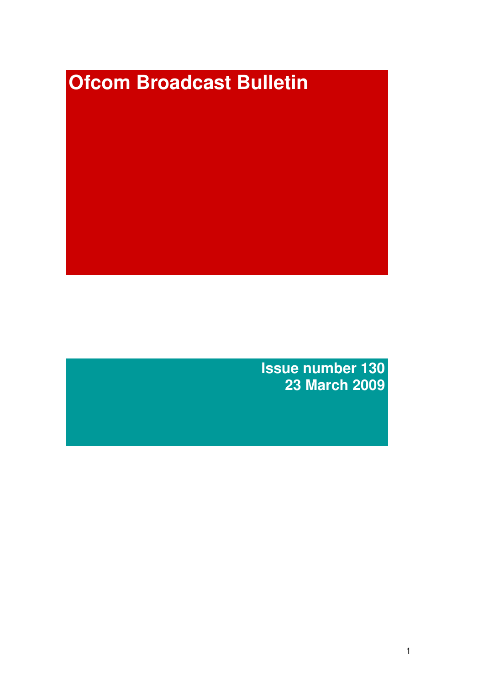# **Ofcom Broadcast Bulletin**

**Issue number 130 23 March 2009**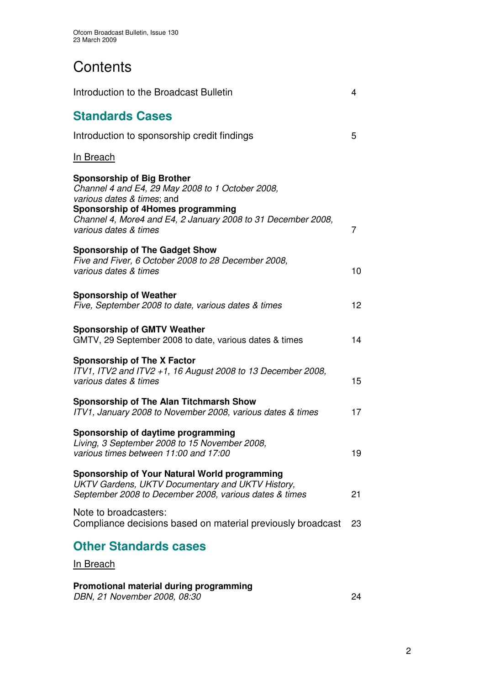# **Contents**

| Introduction to the Broadcast Bulletin                                                                                                                                                                                                            | 4              |
|---------------------------------------------------------------------------------------------------------------------------------------------------------------------------------------------------------------------------------------------------|----------------|
| <b>Standards Cases</b>                                                                                                                                                                                                                            |                |
| Introduction to sponsorship credit findings                                                                                                                                                                                                       | 5              |
| In Breach                                                                                                                                                                                                                                         |                |
| <b>Sponsorship of Big Brother</b><br>Channel 4 and E4, 29 May 2008 to 1 October 2008,<br>various dates & times; and<br>Sponsorship of 4Homes programming<br>Channel 4, More4 and E4, 2 January 2008 to 31 December 2008,<br>various dates & times | $\overline{7}$ |
| <b>Sponsorship of The Gadget Show</b><br>Five and Fiver, 6 October 2008 to 28 December 2008,<br>various dates & times                                                                                                                             | 10             |
| <b>Sponsorship of Weather</b><br>Five, September 2008 to date, various dates & times                                                                                                                                                              | 12             |
| <b>Sponsorship of GMTV Weather</b><br>GMTV, 29 September 2008 to date, various dates & times                                                                                                                                                      | 14             |
| <b>Sponsorship of The X Factor</b><br>ITV1, ITV2 and ITV2 +1, 16 August 2008 to 13 December 2008,<br>various dates & times                                                                                                                        | 15             |
| <b>Sponsorship of The Alan Titchmarsh Show</b><br>ITV1, January 2008 to November 2008, various dates & times                                                                                                                                      | 17             |
| Sponsorship of daytime programming<br>Living, 3 September 2008 to 15 November 2008,<br>various times between 11:00 and 17:00                                                                                                                      | 19             |
| Sponsorship of Your Natural World programming<br>UKTV Gardens, UKTV Documentary and UKTV History,<br>September 2008 to December 2008, various dates & times                                                                                       | 21             |
| Note to broadcasters:<br>Compliance decisions based on material previously broadcast                                                                                                                                                              | 23             |
| <b>Other Standards cases</b>                                                                                                                                                                                                                      |                |
| <u>In Breach</u>                                                                                                                                                                                                                                  |                |

# **Promotional material during programming**

*DBN, 21 November 2008, 08:30* 24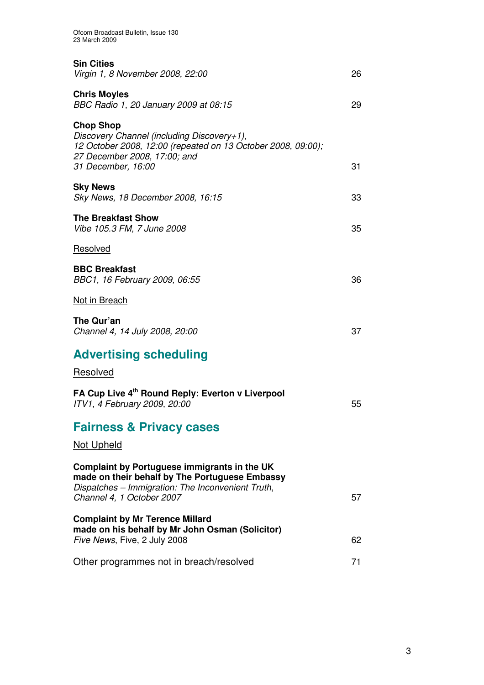| <b>Sin Cities</b><br>Virgin 1, 8 November 2008, 22:00                                                                                                                                | 26 |
|--------------------------------------------------------------------------------------------------------------------------------------------------------------------------------------|----|
| <b>Chris Moyles</b><br>BBC Radio 1, 20 January 2009 at 08:15                                                                                                                         | 29 |
| <b>Chop Shop</b><br>Discovery Channel (including Discovery+1),<br>12 October 2008, 12:00 (repeated on 13 October 2008, 09:00);<br>27 December 2008, 17:00; and<br>31 December, 16:00 | 31 |
| <b>Sky News</b><br>Sky News, 18 December 2008, 16:15                                                                                                                                 | 33 |
| <b>The Breakfast Show</b><br>Vibe 105.3 FM, 7 June 2008                                                                                                                              | 35 |
| Resolved                                                                                                                                                                             |    |
| <b>BBC Breakfast</b><br>BBC1, 16 February 2009, 06:55                                                                                                                                | 36 |
| Not in Breach                                                                                                                                                                        |    |
| The Qur'an<br>Channel 4, 14 July 2008, 20:00                                                                                                                                         | 37 |
| <b>Advertising scheduling</b>                                                                                                                                                        |    |
| Resolved                                                                                                                                                                             |    |
| FA Cup Live 4th Round Reply: Everton v Liverpool<br>ITV1, 4 February 2009, 20:00                                                                                                     | 55 |
| <b>Fairness &amp; Privacy cases</b>                                                                                                                                                  |    |
| <b>Not Upheld</b>                                                                                                                                                                    |    |
| Complaint by Portuguese immigrants in the UK<br>made on their behalf by The Portuguese Embassy<br>Dispatches - Immigration: The Inconvenient Truth,<br>Channel 4, 1 October 2007     | 57 |
| <b>Complaint by Mr Terence Millard</b><br>made on his behalf by Mr John Osman (Solicitor)<br>Five News, Five, 2 July 2008                                                            | 62 |
| Other programmes not in breach/resolved                                                                                                                                              | 71 |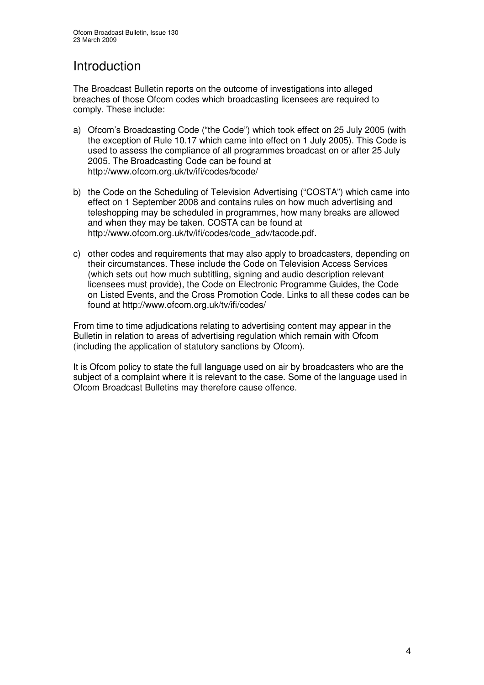# Introduction

The Broadcast Bulletin reports on the outcome of investigations into alleged breaches of those Ofcom codes which broadcasting licensees are required to comply. These include:

- a) Ofcom's Broadcasting Code ("the Code") which took effect on 25 July 2005 (with the exception of Rule 10.17 which came into effect on 1 July 2005). This Code is used to assess the compliance of all programmes broadcast on or after 25 July 2005. The Broadcasting Code can be found at http://www.ofcom.org.uk/tv/ifi/codes/bcode/
- b) the Code on the Scheduling of Television Advertising ("COSTA") which came into effect on 1 September 2008 and contains rules on how much advertising and teleshopping may be scheduled in programmes, how many breaks are allowed and when they may be taken. COSTA can be found at http://www.ofcom.org.uk/tv/ifi/codes/code\_adv/tacode.pdf.
- c) other codes and requirements that may also apply to broadcasters, depending on their circumstances. These include the Code on Television Access Services (which sets out how much subtitling, signing and audio description relevant licensees must provide), the Code on Electronic Programme Guides, the Code on Listed Events, and the Cross Promotion Code. Links to all these codes can be found at http://www.ofcom.org.uk/tv/ifi/codes/

From time to time adjudications relating to advertising content may appear in the Bulletin in relation to areas of advertising regulation which remain with Ofcom (including the application of statutory sanctions by Ofcom).

It is Ofcom policy to state the full language used on air by broadcasters who are the subject of a complaint where it is relevant to the case. Some of the language used in Ofcom Broadcast Bulletins may therefore cause offence.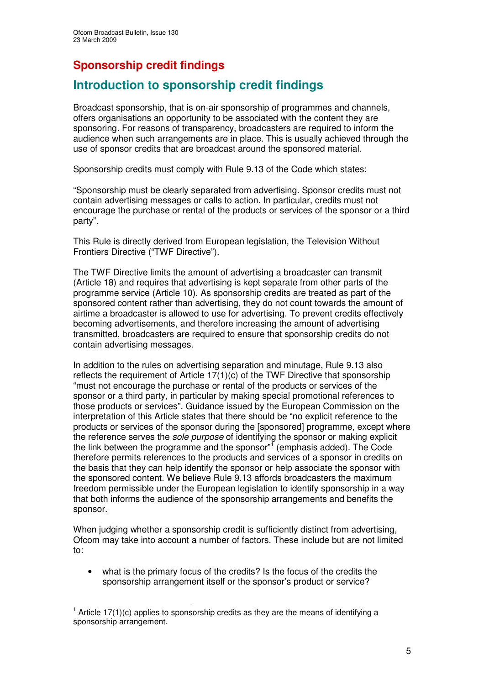# **Sponsorship credit findings**

# **Introduction to sponsorship credit findings**

Broadcast sponsorship, that is on-air sponsorship of programmes and channels, offers organisations an opportunity to be associated with the content they are sponsoring. For reasons of transparency, broadcasters are required to inform the audience when such arrangements are in place. This is usually achieved through the use of sponsor credits that are broadcast around the sponsored material.

Sponsorship credits must comply with Rule 9.13 of the Code which states:

"Sponsorship must be clearly separated from advertising. Sponsor credits must not contain advertising messages or calls to action. In particular, credits must not encourage the purchase or rental of the products or services of the sponsor or a third party".

This Rule is directly derived from European legislation, the Television Without Frontiers Directive ("TWF Directive").

The TWF Directive limits the amount of advertising a broadcaster can transmit (Article 18) and requires that advertising is kept separate from other parts of the programme service (Article 10). As sponsorship credits are treated as part of the sponsored content rather than advertising, they do not count towards the amount of airtime a broadcaster is allowed to use for advertising. To prevent credits effectively becoming advertisements, and therefore increasing the amount of advertising transmitted, broadcasters are required to ensure that sponsorship credits do not contain advertising messages.

In addition to the rules on advertising separation and minutage, Rule 9.13 also reflects the requirement of Article 17(1)(c) of the TWF Directive that sponsorship "must not encourage the purchase or rental of the products or services of the sponsor or a third party, in particular by making special promotional references to those products or services". Guidance issued by the European Commission on the interpretation of this Article states that there should be "no explicit reference to the products or services of the sponsor during the [sponsored] programme, except where the reference serves the *sole purpose* of identifying the sponsor or making explicit the link between the programme and the sponsor"<sup>1</sup> (emphasis added). The Code therefore permits references to the products and services of a sponsor in credits on the basis that they can help identify the sponsor or help associate the sponsor with the sponsored content. We believe Rule 9.13 affords broadcasters the maximum freedom permissible under the European legislation to identify sponsorship in a way that both informs the audience of the sponsorship arrangements and benefits the sponsor.

When judging whether a sponsorship credit is sufficiently distinct from advertising. Ofcom may take into account a number of factors. These include but are not limited to:

what is the primary focus of the credits? Is the focus of the credits the sponsorship arrangement itself or the sponsor's product or service?

 $1$  Article 17(1)(c) applies to sponsorship credits as they are the means of identifying a sponsorship arrangement.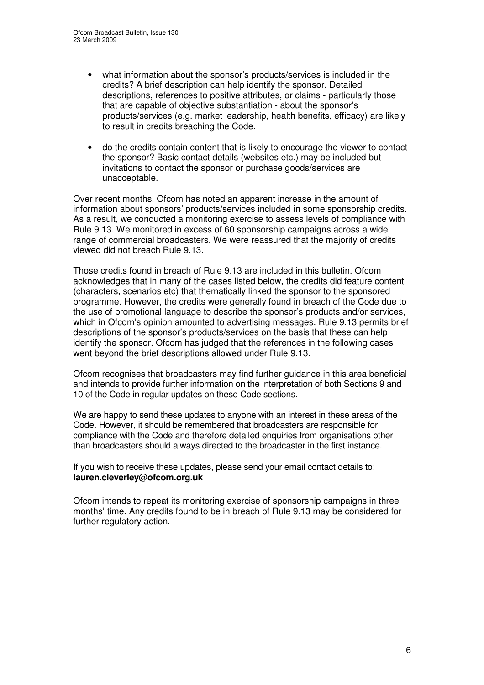- what information about the sponsor's products/services is included in the credits? A brief description can help identify the sponsor. Detailed descriptions, references to positive attributes, or claims - particularly those that are capable of objective substantiation - about the sponsor's products/services (e.g. market leadership, health benefits, efficacy) are likely to result in credits breaching the Code.
- do the credits contain content that is likely to encourage the viewer to contact the sponsor? Basic contact details (websites etc.) may be included but invitations to contact the sponsor or purchase goods/services are unacceptable.

Over recent months, Ofcom has noted an apparent increase in the amount of information about sponsors' products/services included in some sponsorship credits. As a result, we conducted a monitoring exercise to assess levels of compliance with Rule 9.13. We monitored in excess of 60 sponsorship campaigns across a wide range of commercial broadcasters. We were reassured that the majority of credits viewed did not breach Rule 9.13.

Those credits found in breach of Rule 9.13 are included in this bulletin. Ofcom acknowledges that in many of the cases listed below, the credits did feature content (characters, scenarios etc) that thematically linked the sponsor to the sponsored programme. However, the credits were generally found in breach of the Code due to the use of promotional language to describe the sponsor's products and/or services, which in Ofcom's opinion amounted to advertising messages. Rule 9.13 permits brief descriptions of the sponsor's products/services on the basis that these can help identify the sponsor. Ofcom has judged that the references in the following cases went beyond the brief descriptions allowed under Rule 9.13.

Ofcom recognises that broadcasters may find further guidance in this area beneficial and intends to provide further information on the interpretation of both Sections 9 and 10 of the Code in regular updates on these Code sections.

We are happy to send these updates to anyone with an interest in these areas of the Code. However, it should be remembered that broadcasters are responsible for compliance with the Code and therefore detailed enquiries from organisations other than broadcasters should always directed to the broadcaster in the first instance.

If you wish to receive these updates, please send your email contact details to: **lauren.cleverley@ofcom.org.uk**

Ofcom intends to repeat its monitoring exercise of sponsorship campaigns in three months' time. Any credits found to be in breach of Rule 9.13 may be considered for further regulatory action.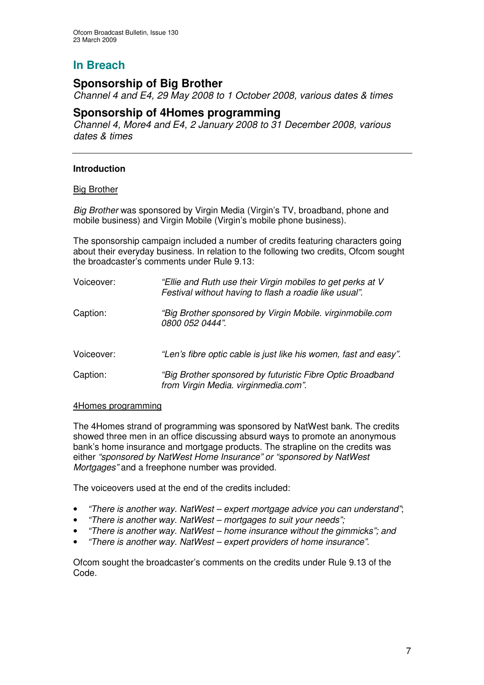# **Sponsorship of Big Brother**

*Channel 4 and E4, 29 May 2008 to 1 October 2008, various dates & times*

# **Sponsorship of 4Homes programming**

*Channel 4, More4 and E4, 2 January 2008 to 31 December 2008, various dates & times*

## **Introduction**

#### Big Brother

*Big Brother* was sponsored by Virgin Media (Virgin's TV, broadband, phone and mobile business) and Virgin Mobile (Virgin's mobile phone business).

The sponsorship campaign included a number of credits featuring characters going about their everyday business. In relation to the following two credits, Ofcom sought the broadcaster's comments under Rule 9.13:

| Voiceover: | "Ellie and Ruth use their Virgin mobiles to get perks at V<br>Festival without having to flash a roadie like usual". |
|------------|----------------------------------------------------------------------------------------------------------------------|
| Caption:   | "Big Brother sponsored by Virgin Mobile. virginmobile.com<br>0800 052 0444".                                         |
| Voiceover: | "Len's fibre optic cable is just like his women, fast and easy".                                                     |
| Caption:   | "Big Brother sponsored by futuristic Fibre Optic Broadband<br>from Virgin Media. virginmedia.com".                   |

#### 4Homes programming

The 4Homes strand of programming was sponsored by NatWest bank. The credits showed three men in an office discussing absurd ways to promote an anonymous bank's home insurance and mortgage products. The strapline on the credits was either *"sponsored by NatWest Home Insurance" or "sponsored by NatWest Mortgages"* and a freephone number was provided.

The voiceovers used at the end of the credits included:

- *"There is another way. NatWest – expert mortgage advice you can understand"*;
- *"There is another way. NatWest – mortgages to suit your needs";*
- *"There is another way. NatWest – home insurance without the gimmicks"; and*
- *"There is another way. NatWest – expert providers of home insurance".*

Ofcom sought the broadcaster's comments on the credits under Rule 9.13 of the Code.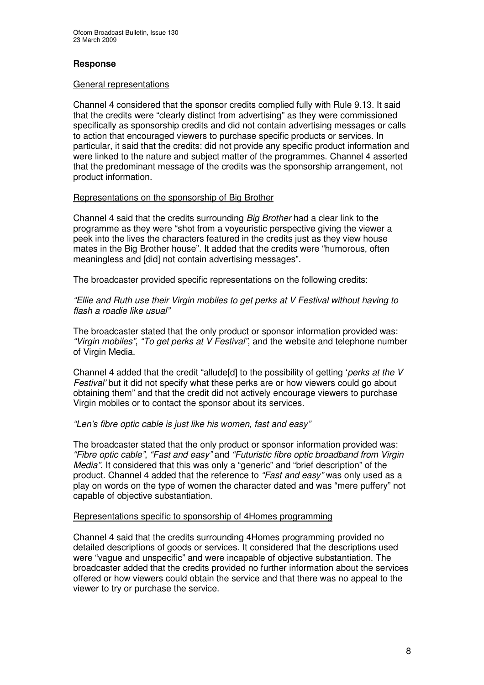## **Response**

#### General representations

Channel 4 considered that the sponsor credits complied fully with Rule 9.13. It said that the credits were "clearly distinct from advertising" as they were commissioned specifically as sponsorship credits and did not contain advertising messages or calls to action that encouraged viewers to purchase specific products or services. In particular, it said that the credits: did not provide any specific product information and were linked to the nature and subject matter of the programmes. Channel 4 asserted that the predominant message of the credits was the sponsorship arrangement, not product information.

#### Representations on the sponsorship of Big Brother

Channel 4 said that the credits surrounding *Big Brother* had a clear link to the programme as they were "shot from a voyeuristic perspective giving the viewer a peek into the lives the characters featured in the credits just as they view house mates in the Big Brother house". It added that the credits were "humorous, often meaningless and [did] not contain advertising messages".

The broadcaster provided specific representations on the following credits:

*"Ellie and Ruth use their Virgin mobiles to get perks at V Festival without having to flash a roadie like usual"*

The broadcaster stated that the only product or sponsor information provided was: *"Virgin mobiles"*, *"To get perks at V Festival"*, and the website and telephone number of Virgin Media.

Channel 4 added that the credit "allude[d] to the possibility of getting '*perks at the V Festival'* but it did not specify what these perks are or how viewers could go about obtaining them" and that the credit did not actively encourage viewers to purchase Virgin mobiles or to contact the sponsor about its services.

#### *"Len's fibre optic cable is just like his women, fast and easy"*

The broadcaster stated that the only product or sponsor information provided was: *"Fibre optic cable"*, *"Fast and easy"* and *"Futuristic fibre optic broadband from Virgin Media"*. It considered that this was only a "generic" and "brief description" of the product. Channel 4 added that the reference to *"Fast and easy"* was only used as a play on words on the type of women the character dated and was "mere puffery" not capable of objective substantiation.

#### Representations specific to sponsorship of 4Homes programming

Channel 4 said that the credits surrounding 4Homes programming provided no detailed descriptions of goods or services. It considered that the descriptions used were "vague and unspecific" and were incapable of objective substantiation. The broadcaster added that the credits provided no further information about the services offered or how viewers could obtain the service and that there was no appeal to the viewer to try or purchase the service.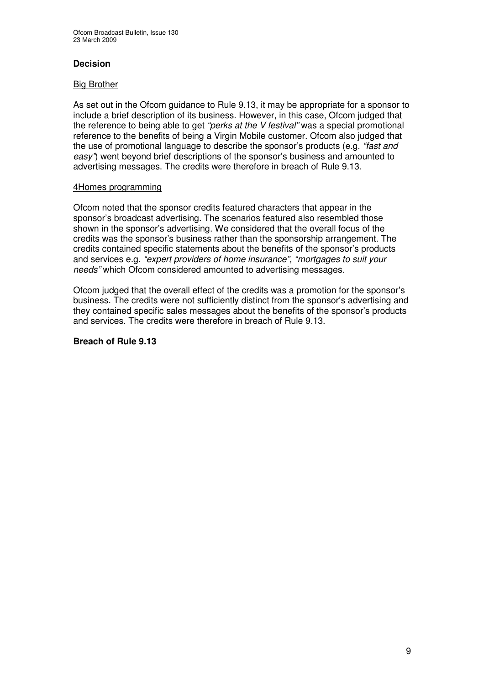# **Decision**

#### Big Brother

As set out in the Ofcom guidance to Rule 9.13, it may be appropriate for a sponsor to include a brief description of its business. However, in this case, Ofcom judged that the reference to being able to get *"perks at the V festival"* was a special promotional reference to the benefits of being a Virgin Mobile customer. Ofcom also judged that the use of promotional language to describe the sponsor's products (e.g. *"fast and easy"*) went beyond brief descriptions of the sponsor's business and amounted to advertising messages. The credits were therefore in breach of Rule 9.13.

#### 4Homes programming

Ofcom noted that the sponsor credits featured characters that appear in the sponsor's broadcast advertising. The scenarios featured also resembled those shown in the sponsor's advertising. We considered that the overall focus of the credits was the sponsor's business rather than the sponsorship arrangement. The credits contained specific statements about the benefits of the sponsor's products and services e.g. *"expert providers of home insurance", "mortgages to suit your needs"* which Ofcom considered amounted to advertising messages.

Ofcom judged that the overall effect of the credits was a promotion for the sponsor's business. The credits were not sufficiently distinct from the sponsor's advertising and they contained specific sales messages about the benefits of the sponsor's products and services. The credits were therefore in breach of Rule 9.13.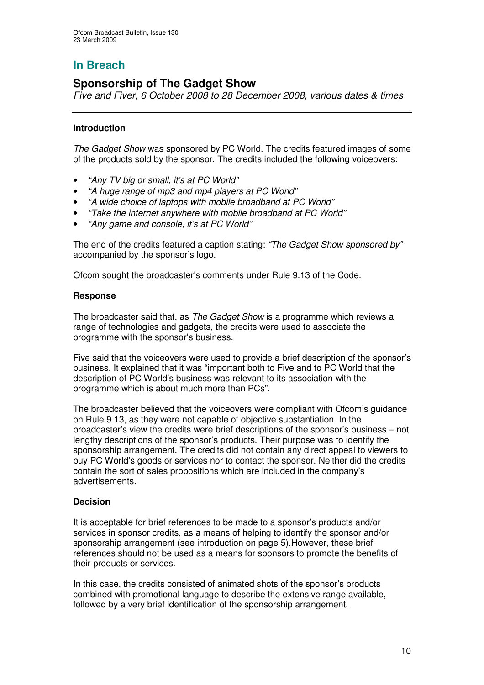# **Sponsorship of The Gadget Show**

*Five and Fiver, 6 October 2008 to 28 December 2008, various dates & times*

## **Introduction**

*The Gadget Show* was sponsored by PC World. The credits featured images of some of the products sold by the sponsor. The credits included the following voiceovers:

- *"Any TV big or small, it's at PC World"*
- *"A huge range of mp3 and mp4 players at PC World"*
- *"A wide choice of laptops with mobile broadband at PC World"*
- *"Take the internet anywhere with mobile broadband at PC World"*
- *"Any game and console, it's at PC World"*

The end of the credits featured a caption stating: *"The Gadget Show sponsored by"* accompanied by the sponsor's logo.

Ofcom sought the broadcaster's comments under Rule 9.13 of the Code.

#### **Response**

The broadcaster said that, as *The Gadget Show* is a programme which reviews a range of technologies and gadgets, the credits were used to associate the programme with the sponsor's business.

Five said that the voiceovers were used to provide a brief description of the sponsor's business. It explained that it was "important both to Five and to PC World that the description of PC World's business was relevant to its association with the programme which is about much more than PCs".

The broadcaster believed that the voiceovers were compliant with Ofcom's guidance on Rule 9.13, as they were not capable of objective substantiation. In the broadcaster's view the credits were brief descriptions of the sponsor's business – not lengthy descriptions of the sponsor's products. Their purpose was to identify the sponsorship arrangement. The credits did not contain any direct appeal to viewers to buy PC World's goods or services nor to contact the sponsor. Neither did the credits contain the sort of sales propositions which are included in the company's advertisements.

#### **Decision**

It is acceptable for brief references to be made to a sponsor's products and/or services in sponsor credits, as a means of helping to identify the sponsor and/or sponsorship arrangement (see introduction on page 5).However, these brief references should not be used as a means for sponsors to promote the benefits of their products or services.

In this case, the credits consisted of animated shots of the sponsor's products combined with promotional language to describe the extensive range available, followed by a very brief identification of the sponsorship arrangement.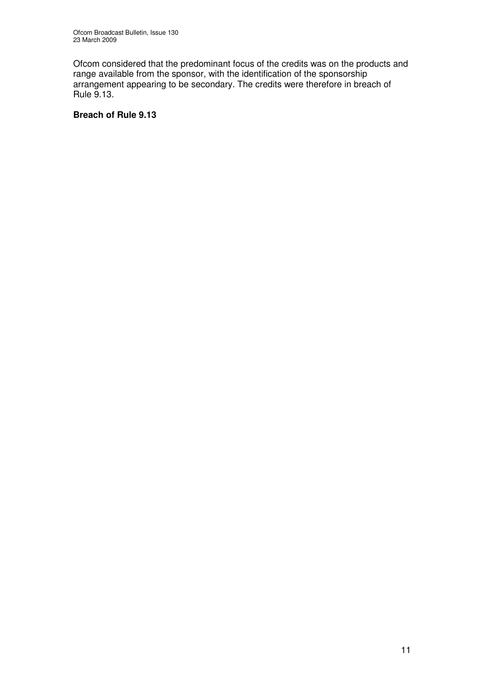Ofcom considered that the predominant focus of the credits was on the products and range available from the sponsor, with the identification of the sponsorship arrangement appearing to be secondary. The credits were therefore in breach of Rule 9.13.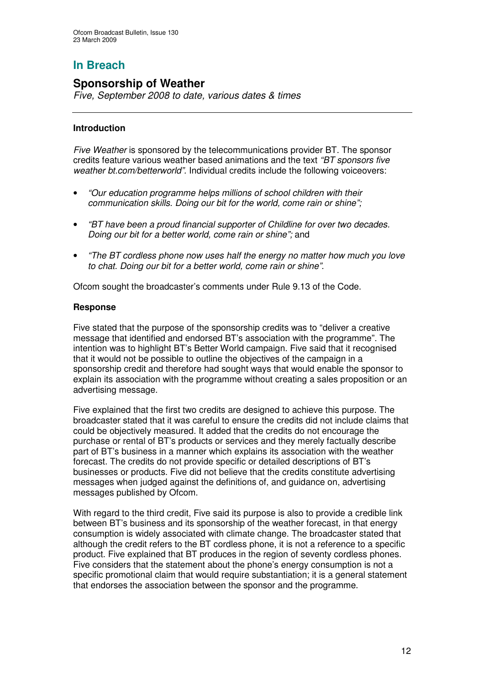# **Sponsorship of Weather**

*Five, September 2008 to date, various dates & times*

## **Introduction**

*Five Weather* is sponsored by the telecommunications provider BT. The sponsor credits feature various weather based animations and the text *"BT sponsors five weather bt.com/betterworld".* Individual credits include the following voiceovers:

- *"Our education programme helps millions of school children with their communication skills. Doing our bit for the world, come rain or shine";*
- *"BT have been a proud financial supporter of Childline for over two decades. Doing our bit for a better world, come rain or shine";* and
- *"The BT cordless phone now uses half the energy no matter how much you love to chat. Doing our bit for a better world, come rain or shine".*

Ofcom sought the broadcaster's comments under Rule 9.13 of the Code.

#### **Response**

Five stated that the purpose of the sponsorship credits was to "deliver a creative message that identified and endorsed BT's association with the programme". The intention was to highlight BT's Better World campaign. Five said that it recognised that it would not be possible to outline the objectives of the campaign in a sponsorship credit and therefore had sought ways that would enable the sponsor to explain its association with the programme without creating a sales proposition or an advertising message.

Five explained that the first two credits are designed to achieve this purpose. The broadcaster stated that it was careful to ensure the credits did not include claims that could be objectively measured. It added that the credits do not encourage the purchase or rental of BT's products or services and they merely factually describe part of BT's business in a manner which explains its association with the weather forecast. The credits do not provide specific or detailed descriptions of BT's businesses or products. Five did not believe that the credits constitute advertising messages when judged against the definitions of, and guidance on, advertising messages published by Ofcom.

With regard to the third credit, Five said its purpose is also to provide a credible link between BT's business and its sponsorship of the weather forecast, in that energy consumption is widely associated with climate change. The broadcaster stated that although the credit refers to the BT cordless phone, it is not a reference to a specific product. Five explained that BT produces in the region of seventy cordless phones. Five considers that the statement about the phone's energy consumption is not a specific promotional claim that would require substantiation; it is a general statement that endorses the association between the sponsor and the programme.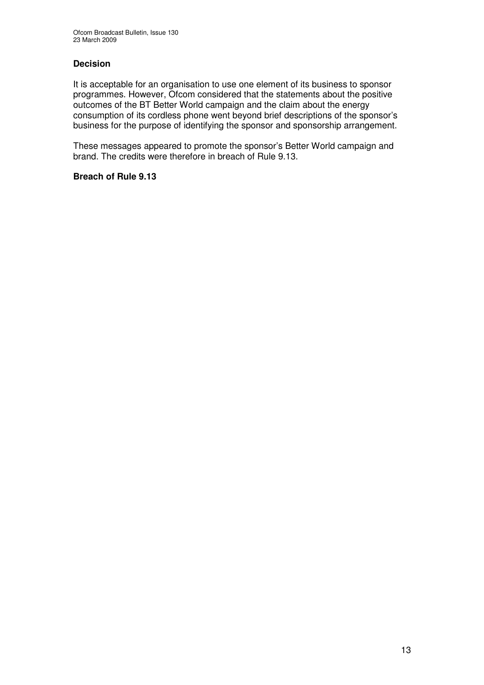# **Decision**

It is acceptable for an organisation to use one element of its business to sponsor programmes. However, Ofcom considered that the statements about the positive outcomes of the BT Better World campaign and the claim about the energy consumption of its cordless phone went beyond brief descriptions of the sponsor's business for the purpose of identifying the sponsor and sponsorship arrangement.

These messages appeared to promote the sponsor's Better World campaign and brand. The credits were therefore in breach of Rule 9.13.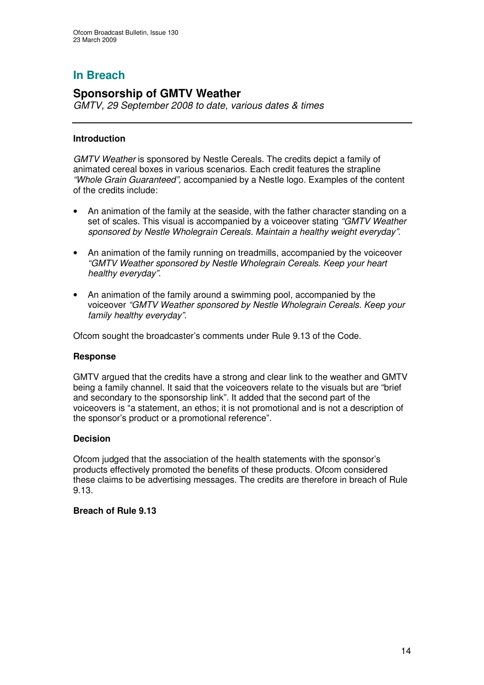# **Sponsorship of GMTV Weather**

*GMTV, 29 September 2008 to date, various dates & times*

# **Introduction**

*GMTV Weather* is sponsored by Nestle Cereals. The credits depict a family of animated cereal boxes in various scenarios. Each credit features the strapline *"Whole Grain Guaranteed",* accompanied by a Nestle logo. Examples of the content of the credits include:

- An animation of the family at the seaside, with the father character standing on a set of scales. This visual is accompanied by a voiceover stating *"GMTV Weather sponsored by Nestle Wholegrain Cereals. Maintain a healthy weight everyday".*
- An animation of the family running on treadmills, accompanied by the voiceover *"GMTV Weather sponsored by Nestle Wholegrain Cereals. Keep your heart healthy everyday".*
- An animation of the family around a swimming pool, accompanied by the voiceover *"GMTV Weather sponsored by Nestle Wholegrain Cereals. Keep your family healthy everyday".*

Ofcom sought the broadcaster's comments under Rule 9.13 of the Code.

#### **Response**

GMTV argued that the credits have a strong and clear link to the weather and GMTV being a family channel. It said that the voiceovers relate to the visuals but are "brief and secondary to the sponsorship link". It added that the second part of the voiceovers is "a statement, an ethos; it is not promotional and is not a description of the sponsor's product or a promotional reference".

#### **Decision**

Ofcom judged that the association of the health statements with the sponsor's products effectively promoted the benefits of these products. Ofcom considered these claims to be advertising messages. The credits are therefore in breach of Rule 9.13.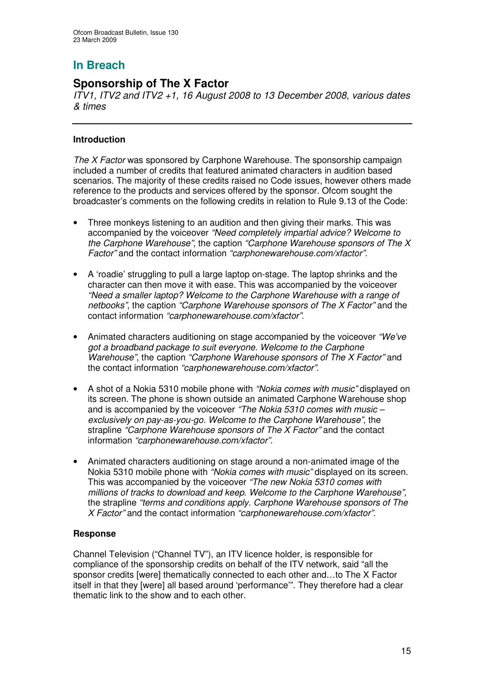# **Sponsorship of The X Factor**

*ITV1, ITV2 and ITV2 +1, 16 August 2008 to 13 December 2008, various dates & times*

# **Introduction**

*The X Factor* was sponsored by Carphone Warehouse. The sponsorship campaign included a number of credits that featured animated characters in audition based scenarios. The majority of these credits raised no Code issues, however others made reference to the products and services offered by the sponsor. Ofcom sought the broadcaster's comments on the following credits in relation to Rule 9.13 of the Code:

- Three monkeys listening to an audition and then giving their marks. This was accompanied by the voiceover *"Need completely impartial advice? Welcome to the Carphone Warehouse"*, the caption *"Carphone Warehouse sponsors of The X Factor"* and the contact information *"carphonewarehouse.com/xfactor".*
- A 'roadie' struggling to pull a large laptop on-stage. The laptop shrinks and the character can then move it with ease. This was accompanied by the voiceover *"Need a smaller laptop? Welcome to the Carphone Warehouse with a range of netbooks"*, the caption *"Carphone Warehouse sponsors of The X Factor"* and the contact information *"carphonewarehouse.com/xfactor"*.
- Animated characters auditioning on stage accompanied by the voiceover *"We've got a broadband package to suit everyone. Welcome to the Carphone Warehouse"*, the caption *"Carphone Warehouse sponsors of The X Factor"* and the contact information *"carphonewarehouse.com/xfactor"*.
- A shot of a Nokia 5310 mobile phone with *"Nokia comes with music"* displayed on its screen. The phone is shown outside an animated Carphone Warehouse shop and is accompanied by the voiceover *"The Nokia 5310 comes with music – exclusively on pay-as-you-go. Welcome to the Carphone Warehouse"*, the strapline *"Carphone Warehouse sponsors of The X Factor"* and the contact information *"carphonewarehouse.com/xfactor".*
- Animated characters auditioning on stage around a non-animated image of the Nokia 5310 mobile phone with *"Nokia comes with music"* displayed on its screen. This was accompanied by the voiceover *"The new Nokia 5310 comes with millions of tracks to download and keep. Welcome to the Carphone Warehouse",* the strapline *"terms and conditions apply. Carphone Warehouse sponsors of The X Factor"* and the contact information *"carphonewarehouse.com/xfactor".*

# **Response**

Channel Television ("Channel TV"), an ITV licence holder, is responsible for compliance of the sponsorship credits on behalf of the ITV network, said "all the sponsor credits [were] thematically connected to each other and…to The X Factor itself in that they [were] all based around 'performance'". They therefore had a clear thematic link to the show and to each other.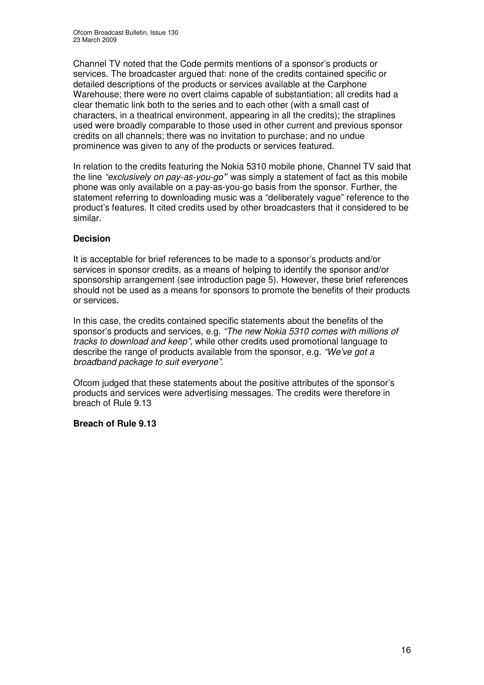Channel TV noted that the Code permits mentions of a sponsor's products or services. The broadcaster argued that: none of the credits contained specific or detailed descriptions of the products or services available at the Carphone Warehouse; there were no overt claims capable of substantiation; all credits had a clear thematic link both to the series and to each other (with a small cast of characters, in a theatrical environment, appearing in all the credits); the straplines used were broadly comparable to those used in other current and previous sponsor credits on all channels; there was no invitation to purchase; and no undue prominence was given to any of the products or services featured.

In relation to the credits featuring the Nokia 5310 mobile phone, Channel TV said that the line *"exclusively on pay-as-you-go'*" was simply a statement of fact as this mobile phone was only available on a pay-as-you-go basis from the sponsor. Further, the statement referring to downloading music was a "deliberately vague" reference to the product's features. It cited credits used by other broadcasters that it considered to be similar.

# **Decision**

It is acceptable for brief references to be made to a sponsor's products and/or services in sponsor credits, as a means of helping to identify the sponsor and/or sponsorship arrangement (see introduction page 5). However, these brief references should not be used as a means for sponsors to promote the benefits of their products or services.

In this case, the credits contained specific statements about the benefits of the sponsor's products and services, e.g. *"The new Nokia 5310 comes with millions of tracks to download and keep"*, while other credits used promotional language to describe the range of products available from the sponsor, e.g. *"We've got a broadband package to suit everyone".*

Ofcom judged that these statements about the positive attributes of the sponsor's products and services were advertising messages. The credits were therefore in breach of Rule 9.13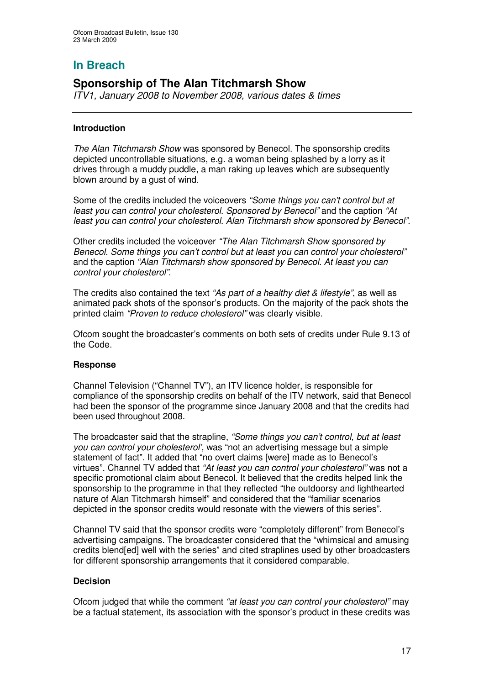# **Sponsorship of The Alan Titchmarsh Show**

*ITV1, January 2008 to November 2008, various dates & times*

### **Introduction**

*The Alan Titchmarsh Show* was sponsored by Benecol. The sponsorship credits depicted uncontrollable situations, e.g. a woman being splashed by a lorry as it drives through a muddy puddle, a man raking up leaves which are subsequently blown around by a gust of wind.

Some of the credits included the voiceovers *"Some things you can't control but at least you can control your cholesterol. Sponsored by Benecol"* and the caption *"At least you can control your cholesterol. Alan Titchmarsh show sponsored by Benecol".*

Other credits included the voiceover *"The Alan Titchmarsh Show sponsored by Benecol. Some things you can't control but at least you can control your cholesterol"* and the caption *"Alan Titchmarsh show sponsored by Benecol. At least you can control your cholesterol"*.

The credits also contained the text *"As part of a healthy diet & lifestyle"*, as well as animated pack shots of the sponsor's products. On the majority of the pack shots the printed claim *"Proven to reduce cholesterol"* was clearly visible.

Ofcom sought the broadcaster's comments on both sets of credits under Rule 9.13 of the Code.

#### **Response**

Channel Television ("Channel TV"), an ITV licence holder, is responsible for compliance of the sponsorship credits on behalf of the ITV network, said that Benecol had been the sponsor of the programme since January 2008 and that the credits had been used throughout 2008.

The broadcaster said that the strapline, *"Some things you can't control, but at least you can control your cholesterol',* was "not an advertising message but a simple statement of fact". It added that "no overt claims [were] made as to Benecol's virtues". Channel TV added that *"At least you can control your cholesterol"* was not a specific promotional claim about Benecol. It believed that the credits helped link the sponsorship to the programme in that they reflected "the outdoorsy and lighthearted nature of Alan Titchmarsh himself" and considered that the "familiar scenarios depicted in the sponsor credits would resonate with the viewers of this series".

Channel TV said that the sponsor credits were "completely different" from Benecol's advertising campaigns. The broadcaster considered that the "whimsical and amusing credits blend[ed] well with the series" and cited straplines used by other broadcasters for different sponsorship arrangements that it considered comparable.

#### **Decision**

Ofcom judged that while the comment *"at least you can control your cholesterol"* may be a factual statement, its association with the sponsor's product in these credits was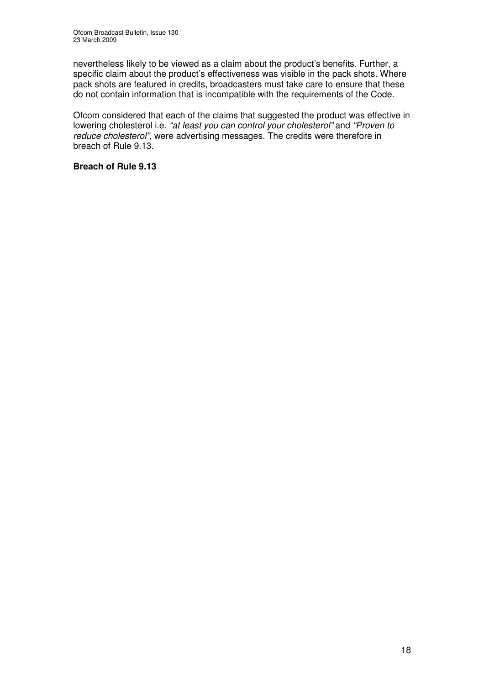nevertheless likely to be viewed as a claim about the product's benefits. Further, a specific claim about the product's effectiveness was visible in the pack shots. Where pack shots are featured in credits, broadcasters must take care to ensure that these do not contain information that is incompatible with the requirements of the Code.

Ofcom considered that each of the claims that suggested the product was effective in lowering cholesterol i.e. *"at least you can control your cholesterol"* and *"Proven to reduce cholesterol"*, were advertising messages. The credits were therefore in breach of Rule 9.13.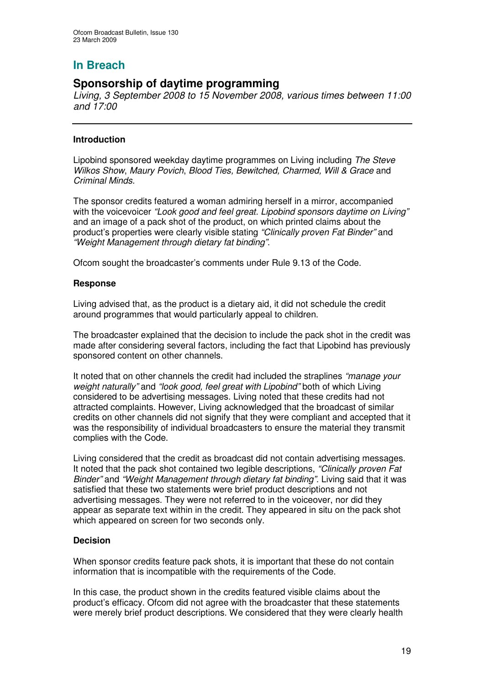# **Sponsorship of daytime programming**

*Living, 3 September 2008 to 15 November 2008, various times between 11:00 and 17:00*

## **Introduction**

Lipobind sponsored weekday daytime programmes on Living including *The Steve Wilkos Show*, *Maury Povich*, *Blood Ties, Bewitched, Charmed, Will & Grace* and *Criminal Minds.*

The sponsor credits featured a woman admiring herself in a mirror, accompanied with the voicevoicer *"Look good and feel great. Lipobind sponsors daytime on Living"* and an image of a pack shot of the product, on which printed claims about the product's properties were clearly visible stating *"Clinically proven Fat Binder"* and *"Weight Management through dietary fat binding"*.

Ofcom sought the broadcaster's comments under Rule 9.13 of the Code.

#### **Response**

Living advised that, as the product is a dietary aid, it did not schedule the credit around programmes that would particularly appeal to children.

The broadcaster explained that the decision to include the pack shot in the credit was made after considering several factors, including the fact that Lipobind has previously sponsored content on other channels.

It noted that on other channels the credit had included the straplines *"manage your weight naturally"* and *"look good, feel great with Lipobind"* both of which Living considered to be advertising messages. Living noted that these credits had not attracted complaints. However, Living acknowledged that the broadcast of similar credits on other channels did not signify that they were compliant and accepted that it was the responsibility of individual broadcasters to ensure the material they transmit complies with the Code.

Living considered that the credit as broadcast did not contain advertising messages. It noted that the pack shot contained two legible descriptions, *"Clinically proven Fat Binder"* and *"Weight Management through dietary fat binding".* Living said that it was satisfied that these two statements were brief product descriptions and not advertising messages. They were not referred to in the voiceover, nor did they appear as separate text within in the credit. They appeared in situ on the pack shot which appeared on screen for two seconds only.

#### **Decision**

When sponsor credits feature pack shots, it is important that these do not contain information that is incompatible with the requirements of the Code.

In this case, the product shown in the credits featured visible claims about the product's efficacy. Ofcom did not agree with the broadcaster that these statements were merely brief product descriptions. We considered that they were clearly health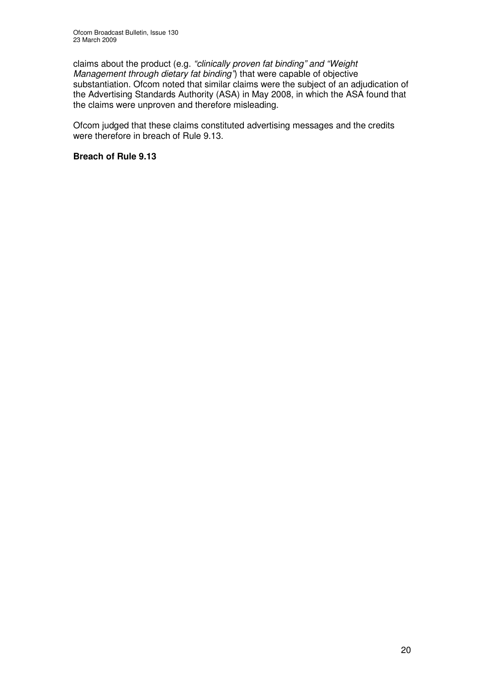claims about the product (e.g. *"clinically proven fat binding" and "Weight Management through dietary fat binding"*) that were capable of objective substantiation. Ofcom noted that similar claims were the subject of an adjudication of the Advertising Standards Authority (ASA) in May 2008, in which the ASA found that the claims were unproven and therefore misleading.

Ofcom judged that these claims constituted advertising messages and the credits were therefore in breach of Rule 9.13.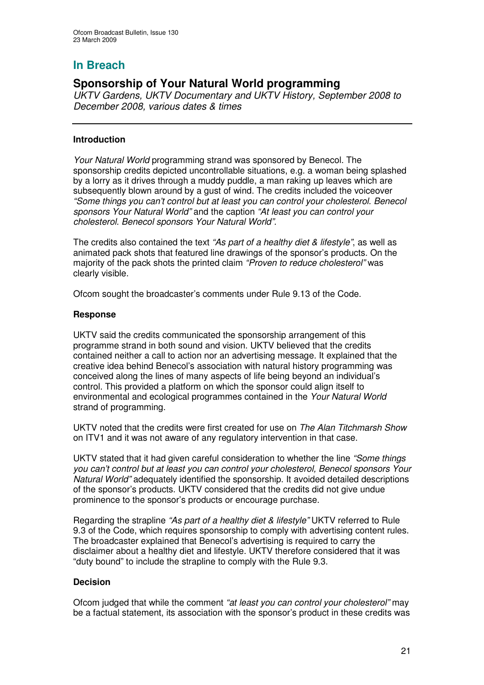# **Sponsorship of Your Natural World programming**

*UKTV Gardens, UKTV Documentary and UKTV History, September 2008 to December 2008, various dates & times*

## **Introduction**

*Your Natural World* programming strand was sponsored by Benecol. The sponsorship credits depicted uncontrollable situations, e.g. a woman being splashed by a lorry as it drives through a muddy puddle, a man raking up leaves which are subsequently blown around by a gust of wind. The credits included the voiceover *"Some things you can't control but at least you can control your cholesterol. Benecol sponsors Your Natural World"* and the caption *"At least you can control your cholesterol. Benecol sponsors Your Natural World".*

The credits also contained the text *"As part of a healthy diet & lifestyle"*, as well as animated pack shots that featured line drawings of the sponsor's products. On the majority of the pack shots the printed claim *"Proven to reduce cholesterol"* was clearly visible.

Ofcom sought the broadcaster's comments under Rule 9.13 of the Code.

## **Response**

UKTV said the credits communicated the sponsorship arrangement of this programme strand in both sound and vision. UKTV believed that the credits contained neither a call to action nor an advertising message. It explained that the creative idea behind Benecol's association with natural history programming was conceived along the lines of many aspects of life being beyond an individual's control. This provided a platform on which the sponsor could align itself to environmental and ecological programmes contained in the *Your Natural World* strand of programming.

UKTV noted that the credits were first created for use on *The Alan Titchmarsh Show* on ITV1 and it was not aware of any regulatory intervention in that case.

UKTV stated that it had given careful consideration to whether the line *"Some things you can't control but at least you can control your cholesterol, Benecol sponsors Your Natural World"* adequately identified the sponsorship. It avoided detailed descriptions of the sponsor's products. UKTV considered that the credits did not give undue prominence to the sponsor's products or encourage purchase.

Regarding the strapline *"As part of a healthy diet & lifestyle"* UKTV referred to Rule 9.3 of the Code, which requires sponsorship to comply with advertising content rules. The broadcaster explained that Benecol's advertising is required to carry the disclaimer about a healthy diet and lifestyle. UKTV therefore considered that it was "duty bound" to include the strapline to comply with the Rule 9.3.

# **Decision**

Ofcom judged that while the comment *"at least you can control your cholesterol"* may be a factual statement, its association with the sponsor's product in these credits was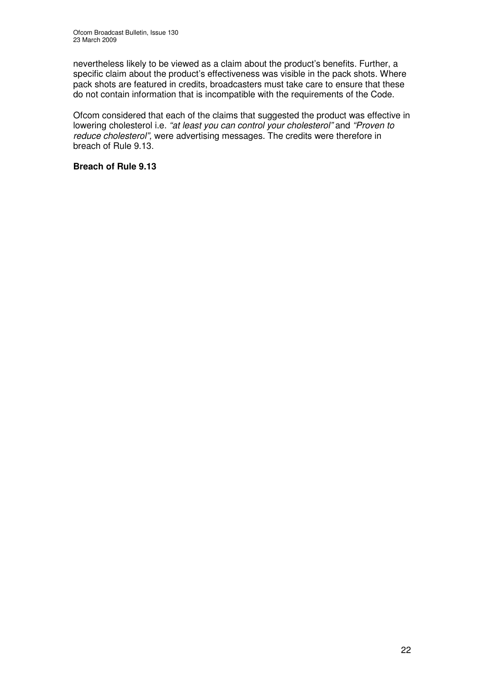nevertheless likely to be viewed as a claim about the product's benefits. Further, a specific claim about the product's effectiveness was visible in the pack shots. Where pack shots are featured in credits, broadcasters must take care to ensure that these do not contain information that is incompatible with the requirements of the Code.

Ofcom considered that each of the claims that suggested the product was effective in lowering cholesterol i.e. *"at least you can control your cholesterol"* and *"Proven to reduce cholesterol",* were advertising messages. The credits were therefore in breach of Rule 9.13.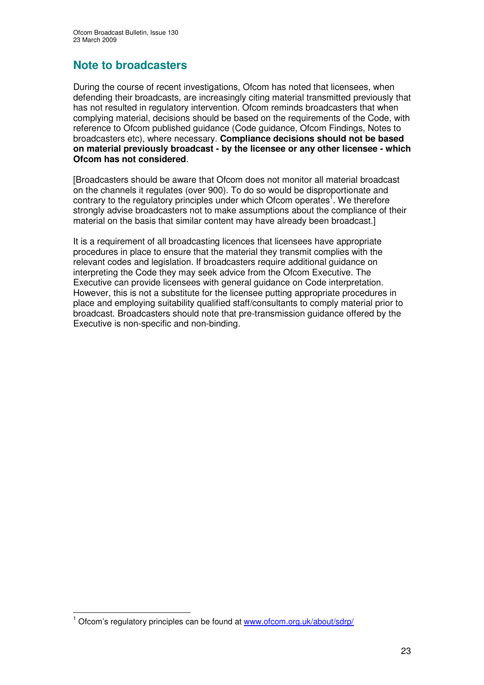# **Note to broadcasters**

During the course of recent investigations, Ofcom has noted that licensees, when defending their broadcasts, are increasingly citing material transmitted previously that has not resulted in regulatory intervention. Ofcom reminds broadcasters that when complying material, decisions should be based on the requirements of the Code, with reference to Ofcom published guidance (Code guidance, Ofcom Findings, Notes to broadcasters etc), where necessary. **Compliance decisions should not be based on material previously broadcast - by the licensee or any other licensee - which Ofcom has not considered**.

[Broadcasters should be aware that Ofcom does not monitor all material broadcast on the channels it regulates (over 900). To do so would be disproportionate and contrary to the regulatory principles under which Ofcom operates<sup>1</sup>. We therefore strongly advise broadcasters not to make assumptions about the compliance of their material on the basis that similar content may have already been broadcast.]

It is a requirement of all broadcasting licences that licensees have appropriate procedures in place to ensure that the material they transmit complies with the relevant codes and legislation. If broadcasters require additional guidance on interpreting the Code they may seek advice from the Ofcom Executive. The Executive can provide licensees with general guidance on Code interpretation. However, this is not a substitute for the licensee putting appropriate procedures in place and employing suitability qualified staff/consultants to comply material prior to broadcast. Broadcasters should note that pre-transmission guidance offered by the Executive is non-specific and non-binding.

<sup>&</sup>lt;sup>1</sup> Ofcom's regulatory principles can be found at www.ofcom.org.uk/about/sdrp/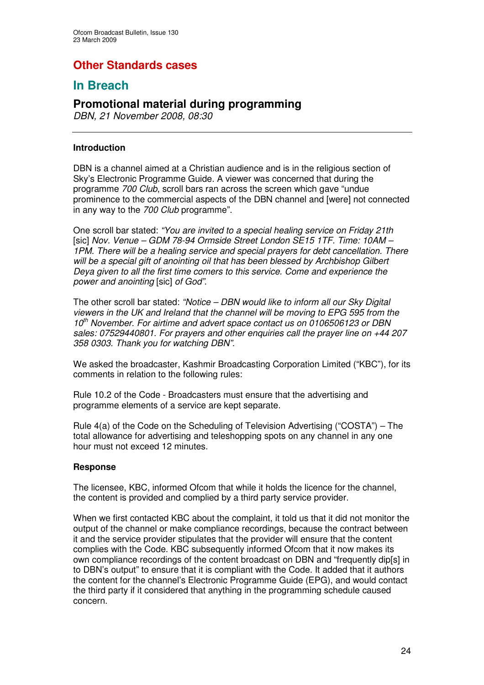# **Other Standards cases**

# **In Breach**

# **Promotional material during programming**

*DBN, 21 November 2008, 08:30*

### **Introduction**

DBN is a channel aimed at a Christian audience and is in the religious section of Sky's Electronic Programme Guide. A viewer was concerned that during the programme *700 Club*, scroll bars ran across the screen which gave "undue prominence to the commercial aspects of the DBN channel and [were] not connected in any way to the *700 Club* programme".

One scroll bar stated: *"You are invited to a special healing service on Friday 21th* [sic] *Nov. Venue – GDM 78-94 Ormside Street London SE15 1TF. Time: 10AM – 1PM. There will be a healing service and special prayers for debt cancellation. There will be a special gift of anointing oil that has been blessed by Archbishop Gilbert Deya given to all the first time comers to this service. Come and experience the power and anointing* [sic] *of God"*.

The other scroll bar stated: *"Notice – DBN would like to inform all our Sky Digital viewers in the UK and Ireland that the channel will be moving to EPG 595 from the 10 th November. For airtime and advert space contact us on 0106506123 or DBN sales: 07529440801. For prayers and other enquiries call the prayer line on +44 207 358 0303. Thank you for watching DBN".*

We asked the broadcaster, Kashmir Broadcasting Corporation Limited ("KBC"), for its comments in relation to the following rules:

Rule 10.2 of the Code - Broadcasters must ensure that the advertising and programme elements of a service are kept separate.

Rule 4(a) of the Code on the Scheduling of Television Advertising ("COSTA") – The total allowance for advertising and teleshopping spots on any channel in any one hour must not exceed 12 minutes.

#### **Response**

The licensee, KBC, informed Ofcom that while it holds the licence for the channel, the content is provided and complied by a third party service provider.

When we first contacted KBC about the complaint, it told us that it did not monitor the output of the channel or make compliance recordings, because the contract between it and the service provider stipulates that the provider will ensure that the content complies with the Code. KBC subsequently informed Ofcom that it now makes its own compliance recordings of the content broadcast on DBN and "frequently dip[s] in to DBN's output" to ensure that it is compliant with the Code. It added that it authors the content for the channel's Electronic Programme Guide (EPG), and would contact the third party if it considered that anything in the programming schedule caused concern.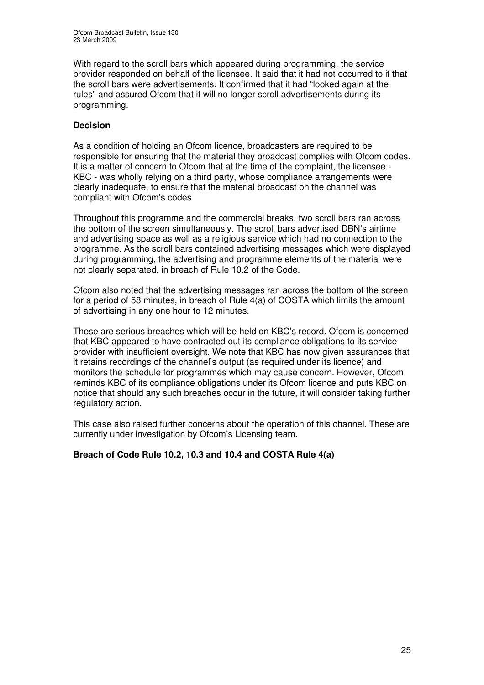With regard to the scroll bars which appeared during programming, the service provider responded on behalf of the licensee. It said that it had not occurred to it that the scroll bars were advertisements. It confirmed that it had "looked again at the rules" and assured Ofcom that it will no longer scroll advertisements during its programming.

### **Decision**

As a condition of holding an Ofcom licence, broadcasters are required to be responsible for ensuring that the material they broadcast complies with Ofcom codes. It is a matter of concern to Ofcom that at the time of the complaint, the licensee - KBC - was wholly relying on a third party, whose compliance arrangements were clearly inadequate, to ensure that the material broadcast on the channel was compliant with Ofcom's codes.

Throughout this programme and the commercial breaks, two scroll bars ran across the bottom of the screen simultaneously. The scroll bars advertised DBN's airtime and advertising space as well as a religious service which had no connection to the programme. As the scroll bars contained advertising messages which were displayed during programming, the advertising and programme elements of the material were not clearly separated, in breach of Rule 10.2 of the Code.

Ofcom also noted that the advertising messages ran across the bottom of the screen for a period of 58 minutes, in breach of Rule  $\frac{4}{a}$  of COSTA which limits the amount of advertising in any one hour to 12 minutes.

These are serious breaches which will be held on KBC's record. Ofcom is concerned that KBC appeared to have contracted out its compliance obligations to its service provider with insufficient oversight. We note that KBC has now given assurances that it retains recordings of the channel's output (as required under its licence) and monitors the schedule for programmes which may cause concern. However, Ofcom reminds KBC of its compliance obligations under its Ofcom licence and puts KBC on notice that should any such breaches occur in the future, it will consider taking further regulatory action.

This case also raised further concerns about the operation of this channel. These are currently under investigation by Ofcom's Licensing team.

#### **Breach of Code Rule 10.2, 10.3 and 10.4 and COSTA Rule 4(a)**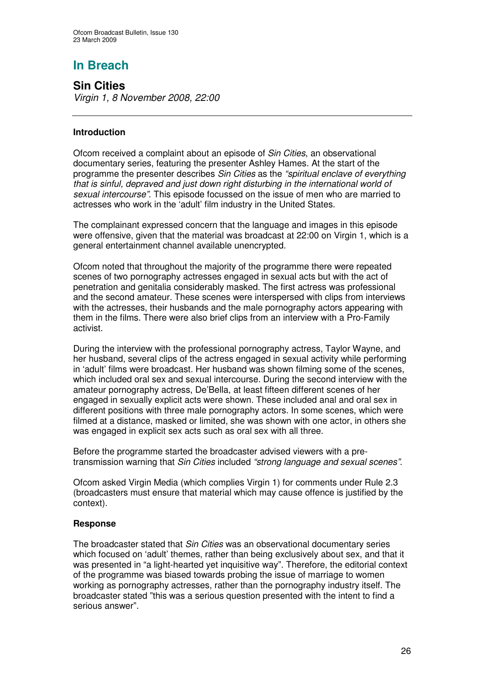**Sin Cities** *Virgin 1, 8 November 2008, 22:00*

# **Introduction**

Ofcom received a complaint about an episode of *Sin Cities*, an observational documentary series, featuring the presenter Ashley Hames. At the start of the programme the presenter describes *Sin Cities* as the *"spiritual enclave of everything that is sinful, depraved and just down right disturbing in the international world of sexual intercourse"*. This episode focussed on the issue of men who are married to actresses who work in the 'adult' film industry in the United States.

The complainant expressed concern that the language and images in this episode were offensive, given that the material was broadcast at 22:00 on Virgin 1, which is a general entertainment channel available unencrypted.

Ofcom noted that throughout the majority of the programme there were repeated scenes of two pornography actresses engaged in sexual acts but with the act of penetration and genitalia considerably masked. The first actress was professional and the second amateur. These scenes were interspersed with clips from interviews with the actresses, their husbands and the male pornography actors appearing with them in the films. There were also brief clips from an interview with a Pro-Family activist.

During the interview with the professional pornography actress, Taylor Wayne, and her husband, several clips of the actress engaged in sexual activity while performing in 'adult' films were broadcast. Her husband was shown filming some of the scenes, which included oral sex and sexual intercourse. During the second interview with the amateur pornography actress, De'Bella, at least fifteen different scenes of her engaged in sexually explicit acts were shown. These included anal and oral sex in different positions with three male pornography actors. In some scenes, which were filmed at a distance, masked or limited, she was shown with one actor, in others she was engaged in explicit sex acts such as oral sex with all three.

Before the programme started the broadcaster advised viewers with a pretransmission warning that *Sin Cities* included *"strong language and sexual scenes"*.

Ofcom asked Virgin Media (which complies Virgin 1) for comments under Rule 2.3 (broadcasters must ensure that material which may cause offence is justified by the context).

#### **Response**

The broadcaster stated that *Sin Cities* was an observational documentary series which focused on 'adult' themes, rather than being exclusively about sex, and that it was presented in "a light-hearted yet inquisitive way". Therefore, the editorial context of the programme was biased towards probing the issue of marriage to women working as pornography actresses, rather than the pornography industry itself. The broadcaster stated "this was a serious question presented with the intent to find a serious answer".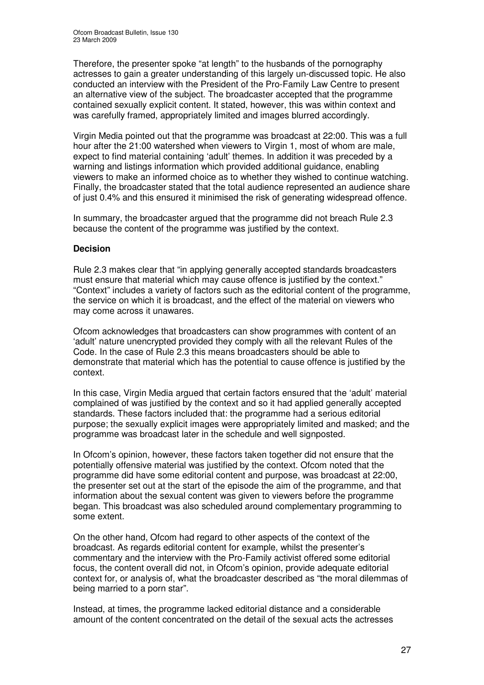Therefore, the presenter spoke "at length" to the husbands of the pornography actresses to gain a greater understanding of this largely un-discussed topic. He also conducted an interview with the President of the Pro-Family Law Centre to present an alternative view of the subject. The broadcaster accepted that the programme contained sexually explicit content. It stated, however, this was within context and was carefully framed, appropriately limited and images blurred accordingly.

Virgin Media pointed out that the programme was broadcast at 22:00. This was a full hour after the 21:00 watershed when viewers to Virgin 1, most of whom are male, expect to find material containing 'adult' themes. In addition it was preceded by a warning and listings information which provided additional guidance, enabling viewers to make an informed choice as to whether they wished to continue watching. Finally, the broadcaster stated that the total audience represented an audience share of just 0.4% and this ensured it minimised the risk of generating widespread offence.

In summary, the broadcaster argued that the programme did not breach Rule 2.3 because the content of the programme was justified by the context.

## **Decision**

Rule 2.3 makes clear that "in applying generally accepted standards broadcasters must ensure that material which may cause offence is justified by the context." "Context" includes a variety of factors such as the editorial content of the programme, the service on which it is broadcast, and the effect of the material on viewers who may come across it unawares.

Ofcom acknowledges that broadcasters can show programmes with content of an 'adult' nature unencrypted provided they comply with all the relevant Rules of the Code. In the case of Rule 2.3 this means broadcasters should be able to demonstrate that material which has the potential to cause offence is justified by the context.

In this case, Virgin Media argued that certain factors ensured that the 'adult' material complained of was justified by the context and so it had applied generally accepted standards. These factors included that: the programme had a serious editorial purpose; the sexually explicit images were appropriately limited and masked; and the programme was broadcast later in the schedule and well signposted.

In Ofcom's opinion, however, these factors taken together did not ensure that the potentially offensive material was justified by the context. Ofcom noted that the programme did have some editorial content and purpose, was broadcast at 22:00, the presenter set out at the start of the episode the aim of the programme, and that information about the sexual content was given to viewers before the programme began. This broadcast was also scheduled around complementary programming to some extent.

On the other hand, Ofcom had regard to other aspects of the context of the broadcast. As regards editorial content for example, whilst the presenter's commentary and the interview with the Pro-Family activist offered some editorial focus, the content overall did not, in Ofcom's opinion, provide adequate editorial context for, or analysis of, what the broadcaster described as "the moral dilemmas of being married to a porn star".

Instead, at times, the programme lacked editorial distance and a considerable amount of the content concentrated on the detail of the sexual acts the actresses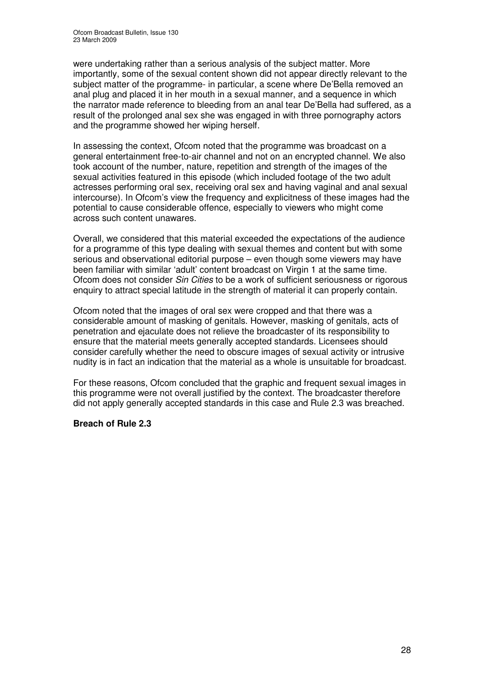were undertaking rather than a serious analysis of the subject matter. More importantly, some of the sexual content shown did not appear directly relevant to the subject matter of the programme- in particular, a scene where De'Bella removed an anal plug and placed it in her mouth in a sexual manner, and a sequence in which the narrator made reference to bleeding from an anal tear De'Bella had suffered, as a result of the prolonged anal sex she was engaged in with three pornography actors and the programme showed her wiping herself.

In assessing the context, Ofcom noted that the programme was broadcast on a general entertainment free-to-air channel and not on an encrypted channel. We also took account of the number, nature, repetition and strength of the images of the sexual activities featured in this episode (which included footage of the two adult actresses performing oral sex, receiving oral sex and having vaginal and anal sexual intercourse). In Ofcom's view the frequency and explicitness of these images had the potential to cause considerable offence, especially to viewers who might come across such content unawares.

Overall, we considered that this material exceeded the expectations of the audience for a programme of this type dealing with sexual themes and content but with some serious and observational editorial purpose – even though some viewers may have been familiar with similar 'adult' content broadcast on Virgin 1 at the same time. Ofcom does not consider *Sin Cities* to be a work of sufficient seriousness or rigorous enquiry to attract special latitude in the strength of material it can properly contain.

Ofcom noted that the images of oral sex were cropped and that there was a considerable amount of masking of genitals. However, masking of genitals, acts of penetration and ejaculate does not relieve the broadcaster of its responsibility to ensure that the material meets generally accepted standards. Licensees should consider carefully whether the need to obscure images of sexual activity or intrusive nudity is in fact an indication that the material as a whole is unsuitable for broadcast.

For these reasons, Ofcom concluded that the graphic and frequent sexual images in this programme were not overall justified by the context. The broadcaster therefore did not apply generally accepted standards in this case and Rule 2.3 was breached.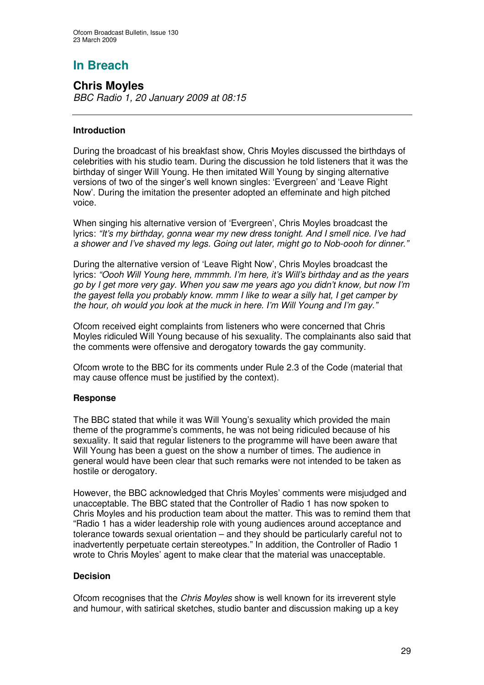**Chris Moyles** *BBC Radio 1, 20 January 2009 at 08:15*

# **Introduction**

During the broadcast of his breakfast show, Chris Moyles discussed the birthdays of celebrities with his studio team. During the discussion he told listeners that it was the birthday of singer Will Young. He then imitated Will Young by singing alternative versions of two of the singer's well known singles: 'Evergreen' and 'Leave Right Now'. During the imitation the presenter adopted an effeminate and high pitched voice.

When singing his alternative version of 'Evergreen', Chris Moyles broadcast the lyrics: *"It's my birthday, gonna wear my new dress tonight. And I smell nice. I've had a shower and I've shaved my legs. Going out later, might go to Nob-oooh for dinner."*

During the alternative version of 'Leave Right Now', Chris Moyles broadcast the lyrics: *"Oooh Will Young here, mmmmh. I'm here, it's Will's birthday and as the years go by I get more very gay. When you saw me years ago you didn't know, but now I'm the gayest fella you probably know. mmm I like to wear a silly hat, I get camper by the hour, oh would you look at the muck in here. I'm Will Young and I'm gay."*

Ofcom received eight complaints from listeners who were concerned that Chris Moyles ridiculed Will Young because of his sexuality. The complainants also said that the comments were offensive and derogatory towards the gay community.

Ofcom wrote to the BBC for its comments under Rule 2.3 of the Code (material that may cause offence must be justified by the context).

# **Response**

The BBC stated that while it was Will Young's sexuality which provided the main theme of the programme's comments, he was not being ridiculed because of his sexuality. It said that regular listeners to the programme will have been aware that Will Young has been a guest on the show a number of times. The audience in general would have been clear that such remarks were not intended to be taken as hostile or derogatory.

However, the BBC acknowledged that Chris Moyles' comments were misjudged and unacceptable. The BBC stated that the Controller of Radio 1 has now spoken to Chris Moyles and his production team about the matter. This was to remind them that "Radio 1 has a wider leadership role with young audiences around acceptance and tolerance towards sexual orientation – and they should be particularly careful not to inadvertently perpetuate certain stereotypes." In addition, the Controller of Radio 1 wrote to Chris Moyles' agent to make clear that the material was unacceptable.

# **Decision**

Ofcom recognises that the *Chris Moyles* show is well known for its irreverent style and humour, with satirical sketches, studio banter and discussion making up a key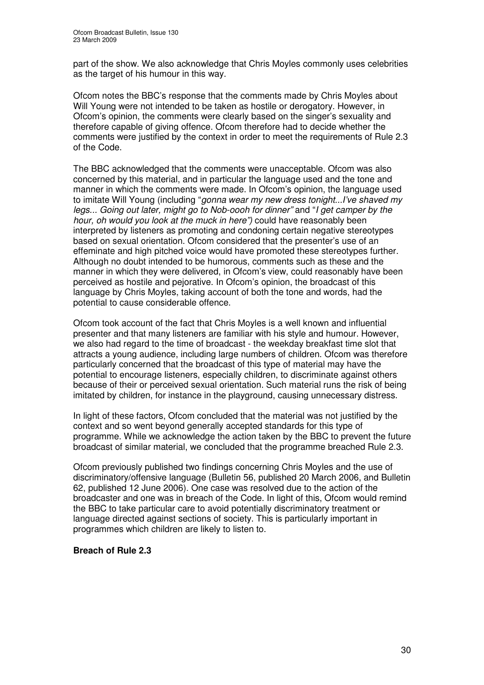part of the show. We also acknowledge that Chris Moyles commonly uses celebrities as the target of his humour in this way.

Ofcom notes the BBC's response that the comments made by Chris Moyles about Will Young were not intended to be taken as hostile or derogatory. However, in Ofcom's opinion, the comments were clearly based on the singer's sexuality and therefore capable of giving offence. Ofcom therefore had to decide whether the comments were justified by the context in order to meet the requirements of Rule 2.3 of the Code.

The BBC acknowledged that the comments were unacceptable. Ofcom was also concerned by this material, and in particular the language used and the tone and manner in which the comments were made. In Ofcom's opinion, the language used to imitate Will Young (including "*gonna wear my new dress tonight...I've shaved my legs... Going out later, might go to Nob-oooh for dinner"* and "*I get camper by the hour, oh would you look at the muck in here")* could have reasonably been interpreted by listeners as promoting and condoning certain negative stereotypes based on sexual orientation. Ofcom considered that the presenter's use of an effeminate and high pitched voice would have promoted these stereotypes further. Although no doubt intended to be humorous, comments such as these and the manner in which they were delivered, in Ofcom's view, could reasonably have been perceived as hostile and pejorative. In Ofcom's opinion, the broadcast of this language by Chris Moyles, taking account of both the tone and words, had the potential to cause considerable offence.

Ofcom took account of the fact that Chris Moyles is a well known and influential presenter and that many listeners are familiar with his style and humour. However, we also had regard to the time of broadcast - the weekday breakfast time slot that attracts a young audience, including large numbers of children. Ofcom was therefore particularly concerned that the broadcast of this type of material may have the potential to encourage listeners, especially children, to discriminate against others because of their or perceived sexual orientation. Such material runs the risk of being imitated by children, for instance in the playground, causing unnecessary distress.

In light of these factors, Ofcom concluded that the material was not justified by the context and so went beyond generally accepted standards for this type of programme. While we acknowledge the action taken by the BBC to prevent the future broadcast of similar material, we concluded that the programme breached Rule 2.3.

Ofcom previously published two findings concerning Chris Moyles and the use of discriminatory/offensive language (Bulletin 56, published 20 March 2006, and Bulletin 62, published 12 June 2006). One case was resolved due to the action of the broadcaster and one was in breach of the Code. In light of this, Ofcom would remind the BBC to take particular care to avoid potentially discriminatory treatment or language directed against sections of society. This is particularly important in programmes which children are likely to listen to.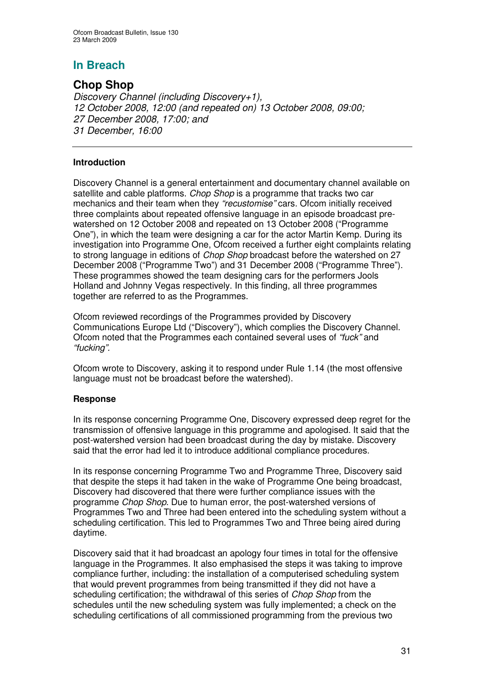# **Chop Shop**

*Discovery Channel (including Discovery+1), October 2008, 12:00 (and repeated on) 13 October 2008, 09:00; December 2008, 17:00; and December, 16:00*

## **Introduction**

Discovery Channel is a general entertainment and documentary channel available on satellite and cable platforms. *Chop Shop* is a programme that tracks two car mechanics and their team when they *"recustomise"* cars. Ofcom initially received three complaints about repeated offensive language in an episode broadcast prewatershed on 12 October 2008 and repeated on 13 October 2008 ("Programme One"), in which the team were designing a car for the actor Martin Kemp. During its investigation into Programme One, Ofcom received a further eight complaints relating to strong language in editions of *Chop Shop* broadcast before the watershed on 27 December 2008 ("Programme Two") and 31 December 2008 ("Programme Three"). These programmes showed the team designing cars for the performers Jools Holland and Johnny Vegas respectively. In this finding, all three programmes together are referred to as the Programmes.

Ofcom reviewed recordings of the Programmes provided by Discovery Communications Europe Ltd ("Discovery"), which complies the Discovery Channel. Ofcom noted that the Programmes each contained several uses of *"fuck"* and *"fucking".*

Ofcom wrote to Discovery, asking it to respond under Rule 1.14 (the most offensive language must not be broadcast before the watershed).

# **Response**

In its response concerning Programme One, Discovery expressed deep regret for the transmission of offensive language in this programme and apologised. It said that the post-watershed version had been broadcast during the day by mistake. Discovery said that the error had led it to introduce additional compliance procedures.

In its response concerning Programme Two and Programme Three, Discovery said that despite the steps it had taken in the wake of Programme One being broadcast, Discovery had discovered that there were further compliance issues with the programme *Chop Shop*. Due to human error, the post-watershed versions of Programmes Two and Three had been entered into the scheduling system without a scheduling certification. This led to Programmes Two and Three being aired during daytime.

Discovery said that it had broadcast an apology four times in total for the offensive language in the Programmes. It also emphasised the steps it was taking to improve compliance further, including: the installation of a computerised scheduling system that would prevent programmes from being transmitted if they did not have a scheduling certification; the withdrawal of this series of *Chop Shop* from the schedules until the new scheduling system was fully implemented; a check on the scheduling certifications of all commissioned programming from the previous two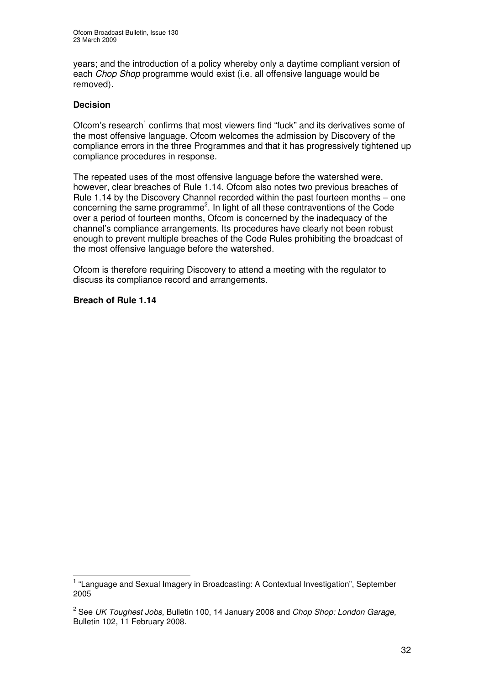years; and the introduction of a policy whereby only a daytime compliant version of each *Chop Shop* programme would exist (i.e. all offensive language would be removed).

#### **Decision**

Ofcom's research<sup>1</sup> confirms that most viewers find "fuck" and its derivatives some of the most offensive language. Ofcom welcomes the admission by Discovery of the compliance errors in the three Programmes and that it has progressively tightened up compliance procedures in response.

The repeated uses of the most offensive language before the watershed were, however, clear breaches of Rule 1.14. Ofcom also notes two previous breaches of Rule 1.14 by the Discovery Channel recorded within the past fourteen months – one concerning the same programme<sup>2</sup>. In light of all these contraventions of the Code over a period of fourteen months, Ofcom is concerned by the inadequacy of the channel's compliance arrangements. Its procedures have clearly not been robust enough to prevent multiple breaches of the Code Rules prohibiting the broadcast of the most offensive language before the watershed.

Ofcom is therefore requiring Discovery to attend a meeting with the regulator to discuss its compliance record and arrangements.

<sup>&</sup>lt;sup>1</sup> "Language and Sexual Imagery in Broadcasting: A Contextual Investigation", September 2005

<sup>2</sup> See *UK Toughest Jobs,* Bulletin 100, 14 January 2008 and *Chop Shop: London Garage,* Bulletin 102, 11 February 2008.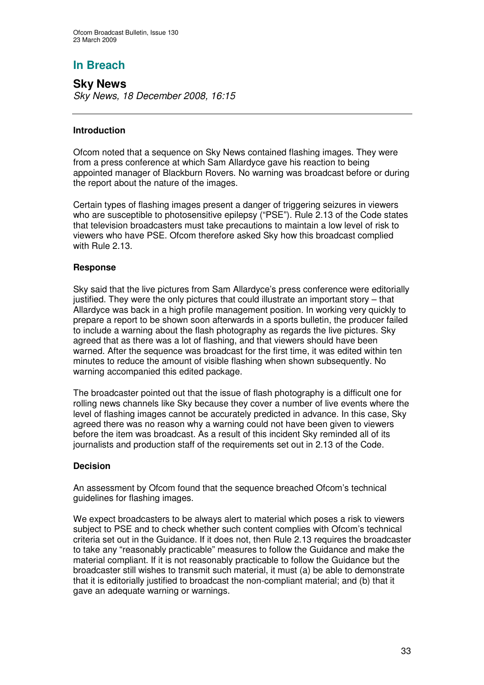**Sky News** *Sky News, 18 December 2008, 16:15*

### **Introduction**

Ofcom noted that a sequence on Sky News contained flashing images. They were from a press conference at which Sam Allardyce gave his reaction to being appointed manager of Blackburn Rovers. No warning was broadcast before or during the report about the nature of the images.

Certain types of flashing images present a danger of triggering seizures in viewers who are susceptible to photosensitive epilepsy ("PSE"). Rule 2.13 of the Code states that television broadcasters must take precautions to maintain a low level of risk to viewers who have PSE. Ofcom therefore asked Sky how this broadcast complied with Rule 2.13.

## **Response**

Sky said that the live pictures from Sam Allardyce's press conference were editorially justified. They were the only pictures that could illustrate an important story – that Allardyce was back in a high profile management position. In working very quickly to prepare a report to be shown soon afterwards in a sports bulletin, the producer failed to include a warning about the flash photography as regards the live pictures. Sky agreed that as there was a lot of flashing, and that viewers should have been warned. After the sequence was broadcast for the first time, it was edited within ten minutes to reduce the amount of visible flashing when shown subsequently. No warning accompanied this edited package.

The broadcaster pointed out that the issue of flash photography is a difficult one for rolling news channels like Sky because they cover a number of live events where the level of flashing images cannot be accurately predicted in advance. In this case, Sky agreed there was no reason why a warning could not have been given to viewers before the item was broadcast. As a result of this incident Sky reminded all of its journalists and production staff of the requirements set out in 2.13 of the Code.

#### **Decision**

An assessment by Ofcom found that the sequence breached Ofcom's technical guidelines for flashing images.

We expect broadcasters to be always alert to material which poses a risk to viewers subject to PSE and to check whether such content complies with Ofcom's technical criteria set out in the Guidance. If it does not, then Rule 2.13 requires the broadcaster to take any "reasonably practicable" measures to follow the Guidance and make the material compliant. If it is not reasonably practicable to follow the Guidance but the broadcaster still wishes to transmit such material, it must (a) be able to demonstrate that it is editorially justified to broadcast the non-compliant material; and (b) that it gave an adequate warning or warnings.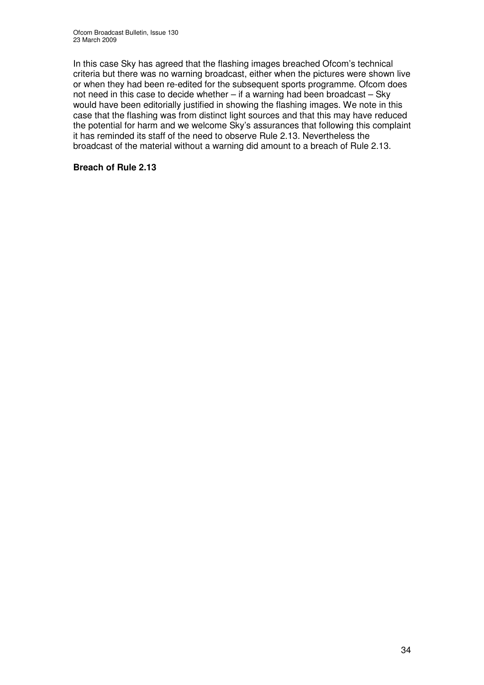In this case Sky has agreed that the flashing images breached Ofcom's technical criteria but there was no warning broadcast, either when the pictures were shown live or when they had been re-edited for the subsequent sports programme. Ofcom does not need in this case to decide whether – if a warning had been broadcast – Sky would have been editorially justified in showing the flashing images. We note in this case that the flashing was from distinct light sources and that this may have reduced the potential for harm and we welcome Sky's assurances that following this complaint it has reminded its staff of the need to observe Rule 2.13. Nevertheless the broadcast of the material without a warning did amount to a breach of Rule 2.13.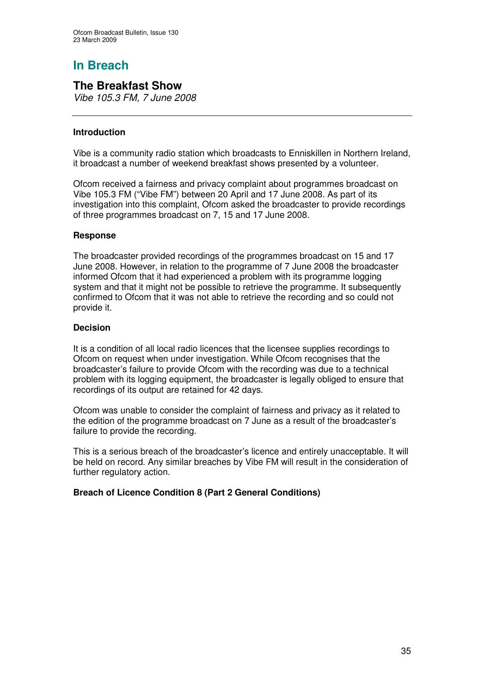# **The Breakfast Show**

*Vibe 105.3 FM, 7 June 2008*

## **Introduction**

Vibe is a community radio station which broadcasts to Enniskillen in Northern Ireland, it broadcast a number of weekend breakfast shows presented by a volunteer.

Ofcom received a fairness and privacy complaint about programmes broadcast on Vibe 105.3 FM ("Vibe FM") between 20 April and 17 June 2008. As part of its investigation into this complaint, Ofcom asked the broadcaster to provide recordings of three programmes broadcast on 7, 15 and 17 June 2008.

#### **Response**

The broadcaster provided recordings of the programmes broadcast on 15 and 17 June 2008. However, in relation to the programme of 7 June 2008 the broadcaster informed Ofcom that it had experienced a problem with its programme logging system and that it might not be possible to retrieve the programme. It subsequently confirmed to Ofcom that it was not able to retrieve the recording and so could not provide it.

#### **Decision**

It is a condition of all local radio licences that the licensee supplies recordings to Ofcom on request when under investigation. While Ofcom recognises that the broadcaster's failure to provide Ofcom with the recording was due to a technical problem with its logging equipment, the broadcaster is legally obliged to ensure that recordings of its output are retained for 42 days.

Ofcom was unable to consider the complaint of fairness and privacy as it related to the edition of the programme broadcast on 7 June as a result of the broadcaster's failure to provide the recording.

This is a serious breach of the broadcaster's licence and entirely unacceptable. It will be held on record. Any similar breaches by Vibe FM will result in the consideration of further regulatory action.

# **Breach of Licence Condition 8 (Part 2 General Conditions)**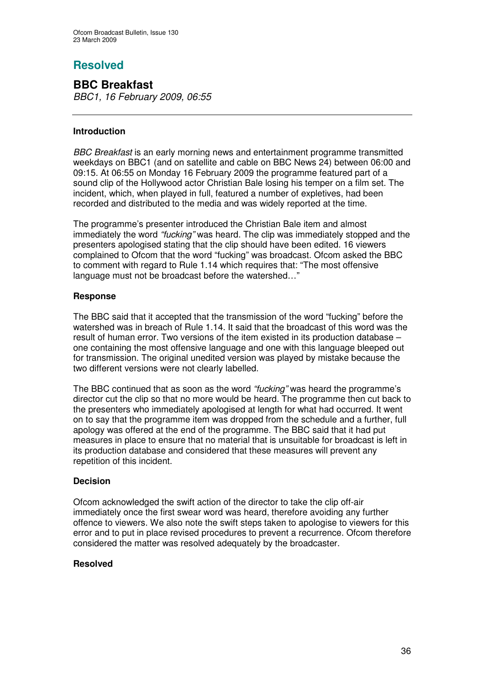# **Resolved**

**BBC Breakfast** *BBC1, 16 February 2009, 06:55*

## **Introduction**

*BBC Breakfast* is an early morning news and entertainment programme transmitted weekdays on BBC1 (and on satellite and cable on BBC News 24) between 06:00 and 09:15. At 06:55 on Monday 16 February 2009 the programme featured part of a sound clip of the Hollywood actor Christian Bale losing his temper on a film set. The incident, which, when played in full, featured a number of expletives, had been recorded and distributed to the media and was widely reported at the time.

The programme's presenter introduced the Christian Bale item and almost immediately the word *"fucking"* was heard. The clip was immediately stopped and the presenters apologised stating that the clip should have been edited. 16 viewers complained to Ofcom that the word "fucking" was broadcast. Ofcom asked the BBC to comment with regard to Rule 1.14 which requires that: "The most offensive language must not be broadcast before the watershed…"

## **Response**

The BBC said that it accepted that the transmission of the word "fucking" before the watershed was in breach of Rule 1.14. It said that the broadcast of this word was the result of human error. Two versions of the item existed in its production database – one containing the most offensive language and one with this language bleeped out for transmission. The original unedited version was played by mistake because the two different versions were not clearly labelled.

The BBC continued that as soon as the word *"fucking"* was heard the programme's director cut the clip so that no more would be heard. The programme then cut back to the presenters who immediately apologised at length for what had occurred. It went on to say that the programme item was dropped from the schedule and a further, full apology was offered at the end of the programme. The BBC said that it had put measures in place to ensure that no material that is unsuitable for broadcast is left in its production database and considered that these measures will prevent any repetition of this incident.

#### **Decision**

Ofcom acknowledged the swift action of the director to take the clip off-air immediately once the first swear word was heard, therefore avoiding any further offence to viewers. We also note the swift steps taken to apologise to viewers for this error and to put in place revised procedures to prevent a recurrence. Ofcom therefore considered the matter was resolved adequately by the broadcaster.

#### **Resolved**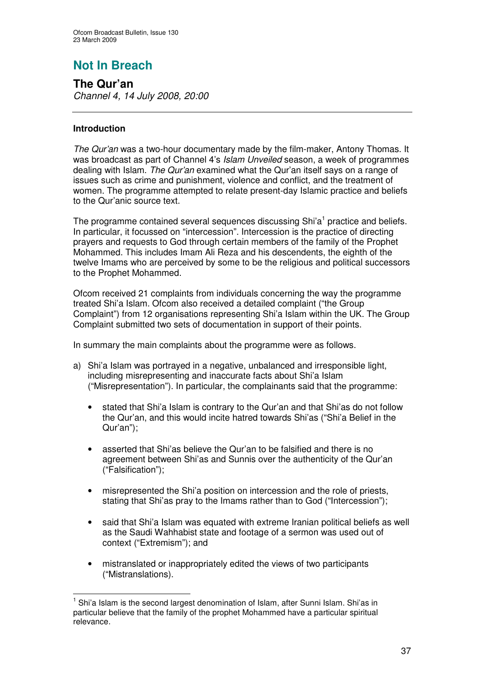# **Not In Breach**

**The Qur'an** *Channel 4, 14 July 2008, 20:00*

### **Introduction**

*The Qur'an* was a two-hour documentary made by the film-maker, Antony Thomas. It was broadcast as part of Channel 4's *Islam Unveiled* season, a week of programmes dealing with Islam. *The Qur'an* examined what the Qur'an itself says on a range of issues such as crime and punishment, violence and conflict, and the treatment of women. The programme attempted to relate present-day Islamic practice and beliefs to the Qur'anic source text.

The programme contained several sequences discussing Shi'a<sup>1</sup> practice and beliefs. In particular, it focussed on "intercession". Intercession is the practice of directing prayers and requests to God through certain members of the family of the Prophet Mohammed. This includes Imam Ali Reza and his descendents, the eighth of the twelve Imams who are perceived by some to be the religious and political successors to the Prophet Mohammed.

Ofcom received 21 complaints from individuals concerning the way the programme treated Shi'a Islam. Ofcom also received a detailed complaint ("the Group Complaint") from 12 organisations representing Shi'a Islam within the UK. The Group Complaint submitted two sets of documentation in support of their points.

In summary the main complaints about the programme were as follows.

- a) Shi'a Islam was portrayed in a negative, unbalanced and irresponsible light, including misrepresenting and inaccurate facts about Shi'a Islam ("Misrepresentation"). In particular, the complainants said that the programme:
	- stated that Shi'a Islam is contrary to the Qur'an and that Shi'as do not follow the Qur'an, and this would incite hatred towards Shi'as ("Shi'a Belief in the Qur'an");
	- asserted that Shi'as believe the Qur'an to be falsified and there is no agreement between Shi'as and Sunnis over the authenticity of the Qur'an ("Falsification");
	- misrepresented the Shi'a position on intercession and the role of priests, stating that Shi'as pray to the Imams rather than to God ("Intercession");
	- said that Shi'a Islam was equated with extreme Iranian political beliefs as well as the Saudi Wahhabist state and footage of a sermon was used out of context ("Extremism"); and
	- mistranslated or inappropriately edited the views of two participants ("Mistranslations).

<sup>1</sup> Shi'a Islam is the second largest denomination of Islam, after Sunni Islam. Shi'as in particular believe that the family of the prophet Mohammed have a particular spiritual relevance.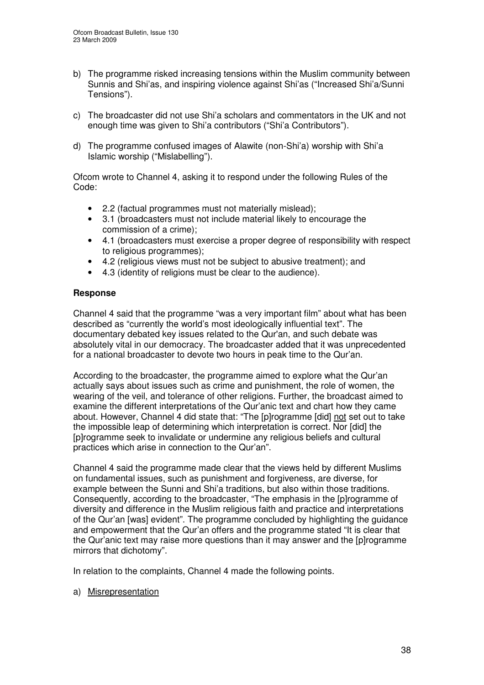- b) The programme risked increasing tensions within the Muslim community between Sunnis and Shi'as, and inspiring violence against Shi'as ("Increased Shi'a/Sunni Tensions").
- c) The broadcaster did not use Shi'a scholars and commentators in the UK and not enough time was given to Shi'a contributors ("Shi'a Contributors").
- d) The programme confused images of Alawite (non-Shi'a) worship with Shi'a Islamic worship ("Mislabelling").

Ofcom wrote to Channel 4, asking it to respond under the following Rules of the Code:

- 2.2 (factual programmes must not materially mislead);
- 3.1 (broadcasters must not include material likely to encourage the commission of a crime);
- 4.1 (broadcasters must exercise a proper degree of responsibility with respect to religious programmes);
- 4.2 (religious views must not be subject to abusive treatment); and
- 4.3 (identity of religions must be clear to the audience).

### **Response**

Channel 4 said that the programme "was a very important film" about what has been described as "currently the world's most ideologically influential text". The documentary debated key issues related to the Qur'an, and such debate was absolutely vital in our democracy. The broadcaster added that it was unprecedented for a national broadcaster to devote two hours in peak time to the Qur'an.

According to the broadcaster, the programme aimed to explore what the Qur'an actually says about issues such as crime and punishment, the role of women, the wearing of the veil, and tolerance of other religions. Further, the broadcast aimed to examine the different interpretations of the Qur'anic text and chart how they came about. However, Channel 4 did state that: "The [p]rogramme [did] not set out to take the impossible leap of determining which interpretation is correct. Nor [did] the [p]rogramme seek to invalidate or undermine any religious beliefs and cultural practices which arise in connection to the Qur'an".

Channel 4 said the programme made clear that the views held by different Muslims on fundamental issues, such as punishment and forgiveness, are diverse, for example between the Sunni and Shi'a traditions, but also within those traditions. Consequently, according to the broadcaster, "The emphasis in the [p]rogramme of diversity and difference in the Muslim religious faith and practice and interpretations of the Qur'an [was] evident". The programme concluded by highlighting the guidance and empowerment that the Qur'an offers and the programme stated "It is clear that the Qur'anic text may raise more questions than it may answer and the [p]rogramme mirrors that dichotomy".

In relation to the complaints, Channel 4 made the following points.

a) Misrepresentation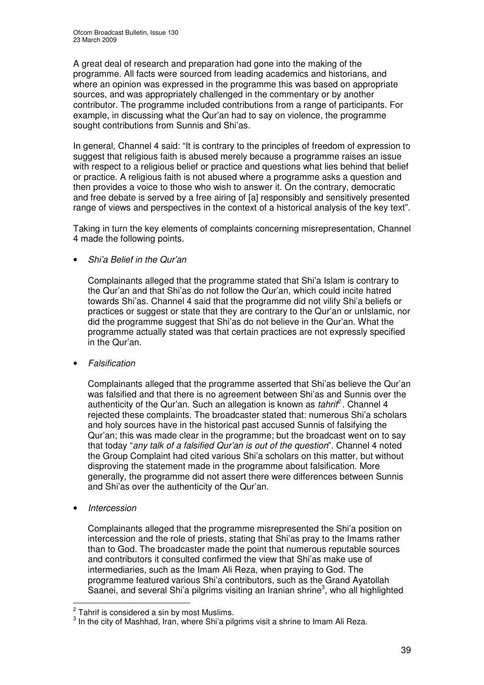A great deal of research and preparation had gone into the making of the programme. All facts were sourced from leading academics and historians, and where an opinion was expressed in the programme this was based on appropriate sources, and was appropriately challenged in the commentary or by another contributor. The programme included contributions from a range of participants. For example, in discussing what the Qur'an had to say on violence, the programme sought contributions from Sunnis and Shi'as.

In general, Channel 4 said: "It is contrary to the principles of freedom of expression to suggest that religious faith is abused merely because a programme raises an issue with respect to a religious belief or practice and questions what lies behind that belief or practice. A religious faith is not abused where a programme asks a question and then provides a voice to those who wish to answer it. On the contrary, democratic and free debate is served by a free airing of [a] responsibly and sensitively presented range of views and perspectives in the context of a historical analysis of the key text".

Taking in turn the key elements of complaints concerning misrepresentation, Channel 4 made the following points.

• *Shi'a Belief in the Qur'an*

Complainants alleged that the programme stated that Shi'a Islam is contrary to the Qur'an and that Shi'as do not follow the Qur'an, which could incite hatred towards Shi'as. Channel 4 said that the programme did not vilify Shi'a beliefs or practices or suggest or state that they are contrary to the Qur'an or unIslamic, nor did the programme suggest that Shi'as do not believe in the Qur'an. What the programme actually stated was that certain practices are not expressly specified in the Qur'an.

• *Falsification*

Complainants alleged that the programme asserted that Shi'as believe the Qur'an was falsified and that there is no agreement between Shi'as and Sunnis over the authenticity of the Qur'an. Such an allegation is known as *tahrif 2*. . Channel 4 rejected these complaints. The broadcaster stated that: numerous Shi'a scholars and holy sources have in the historical past accused Sunnis of falsifying the Qur'an; this was made clear in the programme; but the broadcast went on to say that today "*any talk of a falsified Qur'an is out of the question*". Channel 4 noted the Group Complaint had cited various Shi'a scholars on this matter, but without disproving the statement made in the programme about falsification. More generally, the programme did not assert there were differences between Sunnis and Shi'as over the authenticity of the Qur'an.

• *Intercession*

Complainants alleged that the programme misrepresented the Shi'a position on intercession and the role of priests, stating that Shi'as pray to the Imams rather than to God. The broadcaster made the point that numerous reputable sources and contributors it consulted confirmed the view that Shi'as make use of intermediaries, such as the Imam Ali Reza, when praying to God. The programme featured various Shi'a contributors, such as the Grand Ayatollah Saanei, and several Shi'a pilgrims visiting an Iranian shrine<sup>3</sup>, who all highlighted

 $2^{2}$  Tahrif is considered a sin by most Muslims.

 $3$  In the city of Mashhad, Iran, where Shi'a pilgrims visit a shrine to Imam Ali Reza.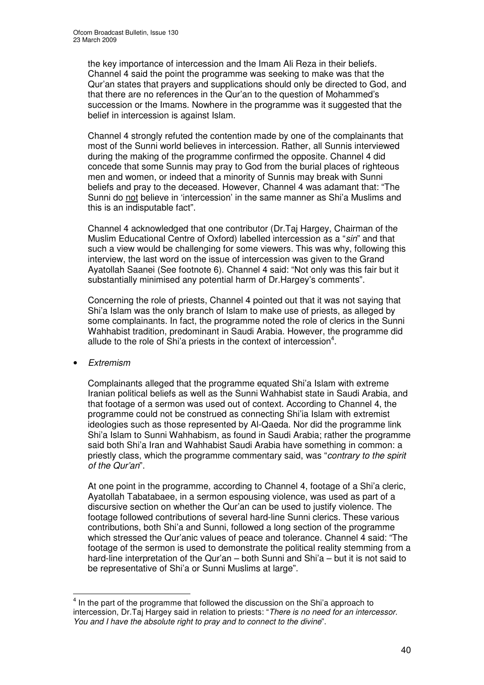the key importance of intercession and the Imam Ali Reza in their beliefs. Channel 4 said the point the programme was seeking to make was that the Qur'an states that prayers and supplications should only be directed to God, and that there are no references in the Qur'an to the question of Mohammed's succession or the Imams. Nowhere in the programme was it suggested that the belief in intercession is against Islam.

Channel 4 strongly refuted the contention made by one of the complainants that most of the Sunni world believes in intercession. Rather, all Sunnis interviewed during the making of the programme confirmed the opposite. Channel 4 did concede that some Sunnis may pray to God from the burial places of righteous men and women, or indeed that a minority of Sunnis may break with Sunni beliefs and pray to the deceased. However, Channel 4 was adamant that: "The Sunni do not believe in 'intercession' in the same manner as Shi'a Muslims and this is an indisputable fact".

Channel 4 acknowledged that one contributor (Dr.Taj Hargey, Chairman of the Muslim Educational Centre of Oxford) labelled intercession as a "*sin*" and that such a view would be challenging for some viewers. This was why, following this interview, the last word on the issue of intercession was given to the Grand Ayatollah Saanei (See footnote 6). Channel 4 said: "Not only was this fair but it substantially minimised any potential harm of Dr.Hargey's comments".

Concerning the role of priests, Channel 4 pointed out that it was not saying that Shi'a Islam was the only branch of Islam to make use of priests, as alleged by some complainants. In fact, the programme noted the role of clerics in the Sunni Wahhabist tradition, predominant in Saudi Arabia. However, the programme did allude to the role of Shi'a priests in the context of intercession<sup>4</sup>.

• *Extremism*

Complainants alleged that the programme equated Shi'a Islam with extreme Iranian political beliefs as well as the Sunni Wahhabist state in Saudi Arabia, and that footage of a sermon was used out of context. According to Channel 4, the programme could not be construed as connecting Shi'ia Islam with extremist ideologies such as those represented by Al-Qaeda. Nor did the programme link Shi'a Islam to Sunni Wahhabism, as found in Saudi Arabia; rather the programme said both Shi'a Iran and Wahhabist Saudi Arabia have something in common: a priestly class, which the programme commentary said, was "*contrary to the spirit of the Qur'an*".

At one point in the programme, according to Channel 4, footage of a Shi'a cleric, Ayatollah Tabatabaee, in a sermon espousing violence, was used as part of a discursive section on whether the Qur'an can be used to justify violence. The footage followed contributions of several hard-line Sunni clerics. These various contributions, both Shi'a and Sunni, followed a long section of the programme which stressed the Qur'anic values of peace and tolerance. Channel 4 said: "The footage of the sermon is used to demonstrate the political reality stemming from a hard-line interpretation of the Qur'an – both Sunni and Shi'a – but it is not said to be representative of Shi'a or Sunni Muslims at large".

 $<sup>4</sup>$  In the part of the programme that followed the discussion on the Shi'a approach to</sup> intercession, Dr.Taj Hargey said in relation to priests: "*There is no need for an intercessor. You and I have the absolute right to pray and to connect to the divine*".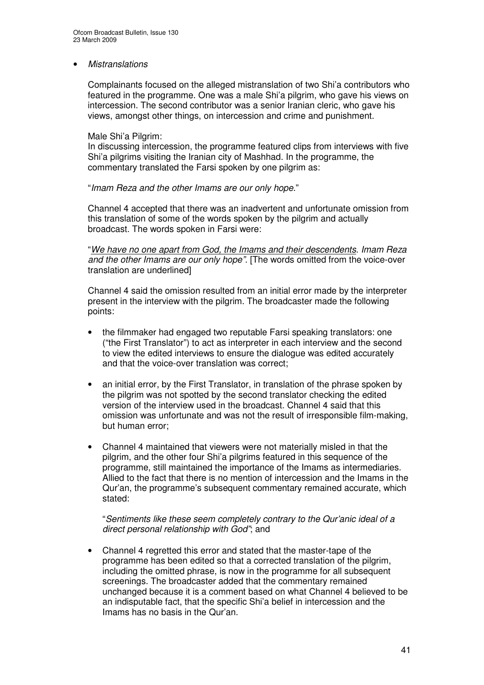• *Mistranslations*

Complainants focused on the alleged mistranslation of two Shi'a contributors who featured in the programme. One was a male Shi'a pilgrim, who gave his views on intercession. The second contributor was a senior Iranian cleric, who gave his views, amongst other things, on intercession and crime and punishment.

#### Male Shi'a Pilgrim:

In discussing intercession, the programme featured clips from interviews with five Shi'a pilgrims visiting the Iranian city of Mashhad. In the programme, the commentary translated the Farsi spoken by one pilgrim as:

"*Imam Reza and the other Imams are our only hope.*"

Channel 4 accepted that there was an inadvertent and unfortunate omission from this translation of some of the words spoken by the pilgrim and actually broadcast. The words spoken in Farsi were:

"*We have no one apart from God, the Imams and their descendents. Imam Reza and the other Imams are our only hope".* [The words omitted from the voice-over translation are underlined]

Channel 4 said the omission resulted from an initial error made by the interpreter present in the interview with the pilgrim. The broadcaster made the following points:

- the filmmaker had engaged two reputable Farsi speaking translators: one ("the First Translator") to act as interpreter in each interview and the second to view the edited interviews to ensure the dialogue was edited accurately and that the voice-over translation was correct;
- an initial error, by the First Translator, in translation of the phrase spoken by the pilgrim was not spotted by the second translator checking the edited version of the interview used in the broadcast. Channel 4 said that this omission was unfortunate and was not the result of irresponsible film-making, but human error;
- Channel 4 maintained that viewers were not materially misled in that the pilgrim, and the other four Shi'a pilgrims featured in this sequence of the programme, still maintained the importance of the Imams as intermediaries. Allied to the fact that there is no mention of intercession and the Imams in the Qur'an, the programme's subsequent commentary remained accurate, which stated:

"*Sentiments like these seem completely contrary to the Qur'anic ideal of a direct personal relationship with God"*; and

• Channel 4 regretted this error and stated that the master-tape of the programme has been edited so that a corrected translation of the pilgrim, including the omitted phrase, is now in the programme for all subsequent screenings. The broadcaster added that the commentary remained unchanged because it is a comment based on what Channel 4 believed to be an indisputable fact, that the specific Shi'a belief in intercession and the Imams has no basis in the Qur'an.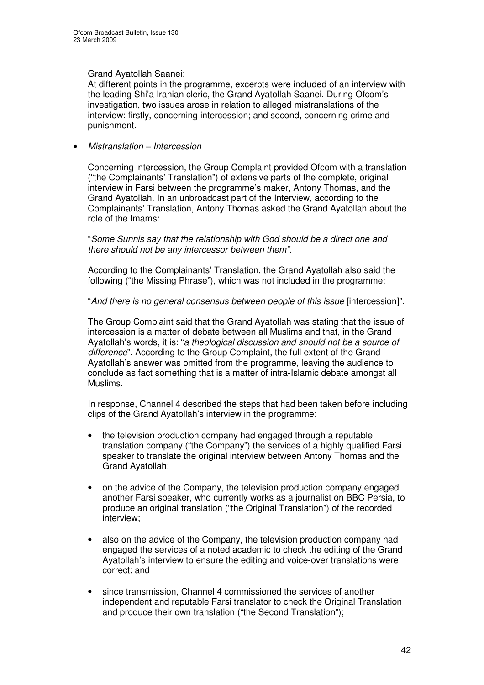### Grand Ayatollah Saanei:

At different points in the programme, excerpts were included of an interview with the leading Shi'a Iranian cleric, the Grand Ayatollah Saanei. During Ofcom's investigation, two issues arose in relation to alleged mistranslations of the interview: firstly, concerning intercession; and second, concerning crime and punishment.

### • *Mistranslation – Intercession*

Concerning intercession, the Group Complaint provided Ofcom with a translation ("the Complainants' Translation") of extensive parts of the complete, original interview in Farsi between the programme's maker, Antony Thomas, and the Grand Ayatollah. In an unbroadcast part of the Interview, according to the Complainants' Translation, Antony Thomas asked the Grand Ayatollah about the role of the Imams:

"*Some Sunnis say that the relationship with God should be a direct one and there should not be any intercessor between them".*

According to the Complainants' Translation, the Grand Ayatollah also said the following ("the Missing Phrase"), which was not included in the programme:

### "*And there is no general consensus between people of this issue* [intercession]".

The Group Complaint said that the Grand Ayatollah was stating that the issue of intercession is a matter of debate between all Muslims and that, in the Grand Ayatollah's words, it is: "*a theological discussion and should not be a source of difference*". According to the Group Complaint, the full extent of the Grand Ayatollah's answer was omitted from the programme, leaving the audience to conclude as fact something that is a matter of intra-Islamic debate amongst all Muslims.

In response, Channel 4 described the steps that had been taken before including clips of the Grand Ayatollah's interview in the programme:

- the television production company had engaged through a reputable translation company ("the Company") the services of a highly qualified Farsi speaker to translate the original interview between Antony Thomas and the Grand Ayatollah;
- on the advice of the Company, the television production company engaged another Farsi speaker, who currently works as a journalist on BBC Persia, to produce an original translation ("the Original Translation") of the recorded interview;
- also on the advice of the Company, the television production company had engaged the services of a noted academic to check the editing of the Grand Ayatollah's interview to ensure the editing and voice-over translations were correct; and
- since transmission, Channel 4 commissioned the services of another independent and reputable Farsi translator to check the Original Translation and produce their own translation ("the Second Translation");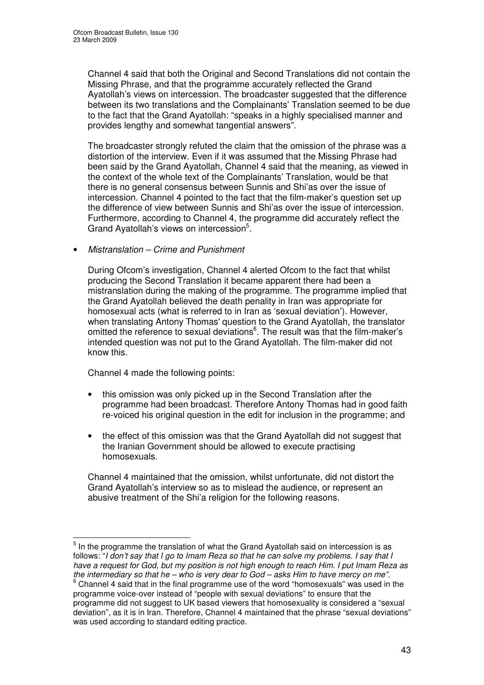Channel 4 said that both the Original and Second Translations did not contain the Missing Phrase, and that the programme accurately reflected the Grand Ayatollah's views on intercession. The broadcaster suggested that the difference between its two translations and the Complainants' Translation seemed to be due to the fact that the Grand Ayatollah: "speaks in a highly specialised manner and provides lengthy and somewhat tangential answers".

The broadcaster strongly refuted the claim that the omission of the phrase was a distortion of the interview. Even if it was assumed that the Missing Phrase had been said by the Grand Ayatollah, Channel 4 said that the meaning, as viewed in the context of the whole text of the Complainants' Translation, would be that there is no general consensus between Sunnis and Shi'as over the issue of intercession. Channel 4 pointed to the fact that the film-maker's question set up the difference of view between Sunnis and Shi'as over the issue of intercession. Furthermore, according to Channel 4, the programme did accurately reflect the Grand Ayatollah's views on intercession<sup>5</sup>.

### • *Mistranslation – Crime and Punishment*

During Ofcom's investigation, Channel 4 alerted Ofcom to the fact that whilst producing the Second Translation it became apparent there had been a mistranslation during the making of the programme. The programme implied that the Grand Ayatollah believed the death penality in Iran was appropriate for homosexual acts (what is referred to in Iran as 'sexual deviation'). However, when translating Antony Thomas' question to the Grand Ayatollah, the translator omitted the reference to sexual deviations<sup>6</sup>. The result was that the film-maker's intended question was not put to the Grand Ayatollah. The film-maker did not know this.

Channel 4 made the following points:

- this omission was only picked up in the Second Translation after the programme had been broadcast. Therefore Antony Thomas had in good faith re-voiced his original question in the edit for inclusion in the programme; and
- the effect of this omission was that the Grand Ayatollah did not suggest that the Iranian Government should be allowed to execute practising homosexuals.

Channel 4 maintained that the omission, whilst unfortunate, did not distort the Grand Ayatollah's interview so as to mislead the audience, or represent an abusive treatment of the Shi'a religion for the following reasons.

 $<sup>5</sup>$  In the programme the translation of what the Grand Ayatollah said on intercession is as</sup> follows: "I don't say that I go to Imam Reza so that he can solve my problems. I say that I have a request for God, but my position is not high enough to reach Him. I put Imam Reza as the intermediary so that he – who is very dear to  $God$  – asks Him to have mercy on me".

 $6$  Channel 4 said that in the final programme use of the word "homosexuals" was used in the programme voice-over instead of "people with sexual deviations" to ensure that the programme did not suggest to UK based viewers that homosexuality is considered a "sexual deviation", as it is in Iran. Therefore, Channel 4 maintained that the phrase "sexual deviations" was used according to standard editing practice.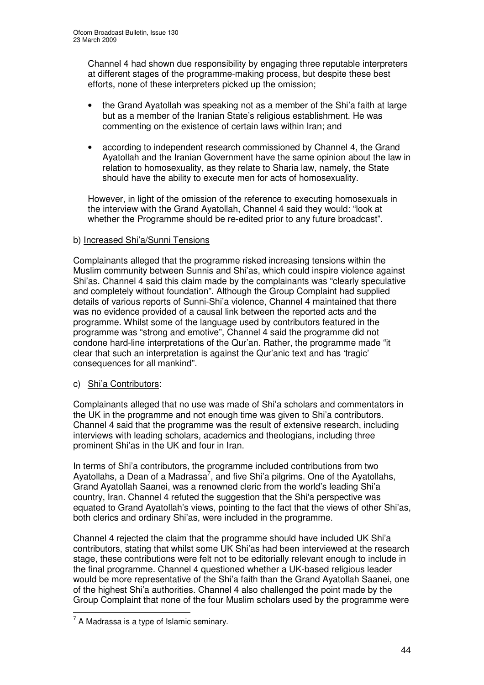Channel 4 had shown due responsibility by engaging three reputable interpreters at different stages of the programme-making process, but despite these best efforts, none of these interpreters picked up the omission;

- the Grand Ayatollah was speaking not as a member of the Shi'a faith at large but as a member of the Iranian State's religious establishment. He was commenting on the existence of certain laws within Iran; and
- according to independent research commissioned by Channel 4, the Grand Ayatollah and the Iranian Government have the same opinion about the law in relation to homosexuality, as they relate to Sharia law, namely, the State should have the ability to execute men for acts of homosexuality.

However, in light of the omission of the reference to executing homosexuals in the interview with the Grand Ayatollah, Channel 4 said they would: "look at whether the Programme should be re-edited prior to any future broadcast".

### b) Increased Shi'a/Sunni Tensions

Complainants alleged that the programme risked increasing tensions within the Muslim community between Sunnis and Shi'as, which could inspire violence against Shi'as. Channel 4 said this claim made by the complainants was "clearly speculative and completely without foundation". Although the Group Complaint had supplied details of various reports of Sunni-Shi'a violence, Channel 4 maintained that there was no evidence provided of a causal link between the reported acts and the programme. Whilst some of the language used by contributors featured in the programme was "strong and emotive", Channel 4 said the programme did not condone hard-line interpretations of the Qur'an. Rather, the programme made "it clear that such an interpretation is against the Qur'anic text and has 'tragic' consequences for all mankind".

### c) Shi'a Contributors:

Complainants alleged that no use was made of Shi'a scholars and commentators in the UK in the programme and not enough time was given to Shi'a contributors. Channel 4 said that the programme was the result of extensive research, including interviews with leading scholars, academics and theologians, including three prominent Shi'as in the UK and four in Iran.

In terms of Shi'a contributors, the programme included contributions from two Ayatollahs, a Dean of a Madrassa<sup>7</sup>, and five Shi'a pilgrims. One of the Ayatollahs, Grand Ayatollah Saanei, was a renowned cleric from the world's leading Shi'a country, Iran. Channel 4 refuted the suggestion that the Shi'a perspective was equated to Grand Ayatollah's views, pointing to the fact that the views of other Shi'as, both clerics and ordinary Shi'as, were included in the programme.

Channel 4 rejected the claim that the programme should have included UK Shi'a contributors, stating that whilst some UK Shi'as had been interviewed at the research stage, these contributions were felt not to be editorially relevant enough to include in the final programme. Channel 4 questioned whether a UK-based religious leader would be more representative of the Shi'a faith than the Grand Ayatollah Saanei, one of the highest Shi'a authorities. Channel 4 also challenged the point made by the Group Complaint that none of the four Muslim scholars used by the programme were

 $^7$  A Madrassa is a type of Islamic seminary.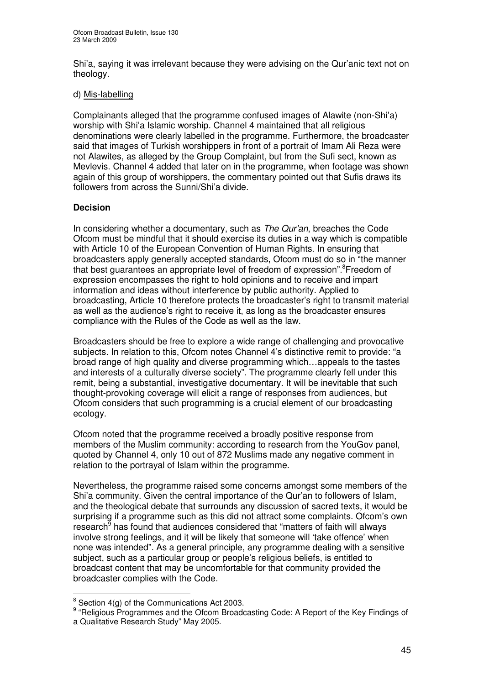Shi'a, saying it was irrelevant because they were advising on the Qur'anic text not on theology.

#### d) Mis-labelling

Complainants alleged that the programme confused images of Alawite (non-Shi'a) worship with Shi'a Islamic worship. Channel 4 maintained that all religious denominations were clearly labelled in the programme. Furthermore, the broadcaster said that images of Turkish worshippers in front of a portrait of Imam Ali Reza were not Alawites, as alleged by the Group Complaint, but from the Sufi sect, known as Mevlevis. Channel 4 added that later on in the programme, when footage was shown again of this group of worshippers, the commentary pointed out that Sufis draws its followers from across the Sunni/Shi'a divide.

### **Decision**

In considering whether a documentary, such as *The Qur'an*, breaches the Code Ofcom must be mindful that it should exercise its duties in a way which is compatible with Article 10 of the European Convention of Human Rights. In ensuring that broadcasters apply generally accepted standards, Ofcom must do so in "the manner that best guarantees an appropriate level of freedom of expression".<sup>8</sup>Freedom of expression encompasses the right to hold opinions and to receive and impart information and ideas without interference by public authority. Applied to broadcasting, Article 10 therefore protects the broadcaster's right to transmit material as well as the audience's right to receive it, as long as the broadcaster ensures compliance with the Rules of the Code as well as the law.

Broadcasters should be free to explore a wide range of challenging and provocative subjects. In relation to this, Ofcom notes Channel 4's distinctive remit to provide: "a broad range of high quality and diverse programming which…appeals to the tastes and interests of a culturally diverse society". The programme clearly fell under this remit, being a substantial, investigative documentary. It will be inevitable that such thought-provoking coverage will elicit a range of responses from audiences, but Ofcom considers that such programming is a crucial element of our broadcasting ecology.

Ofcom noted that the programme received a broadly positive response from members of the Muslim community: according to research from the YouGov panel, quoted by Channel 4, only 10 out of 872 Muslims made any negative comment in relation to the portrayal of Islam within the programme.

Nevertheless, the programme raised some concerns amongst some members of the Shi'a community. Given the central importance of the Qur'an to followers of Islam, and the theological debate that surrounds any discussion of sacred texts, it would be surprising if a programme such as this did not attract some complaints. Ofcom's own research<sup>§</sup> has found that audiences considered that "matters of faith will always involve strong feelings, and it will be likely that someone will 'take offence' when none was intended". As a general principle, any programme dealing with a sensitive subject, such as a particular group or people's religious beliefs, is entitled to broadcast content that may be uncomfortable for that community provided the broadcaster complies with the Code.

 $\frac{8}{3}$  Section 4(g) of the Communications Act 2003.

<sup>&</sup>lt;sup>9</sup> "Religious Programmes and the Ofcom Broadcasting Code: A Report of the Key Findings of a Qualitative Research Study" May 2005.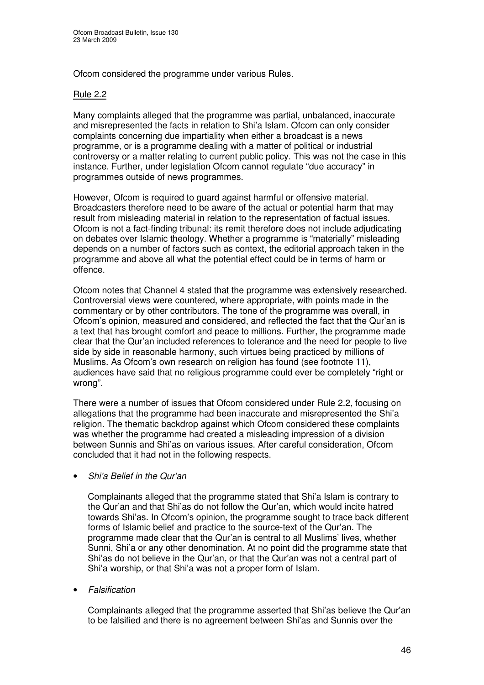Ofcom considered the programme under various Rules.

### Rule 2.2

Many complaints alleged that the programme was partial, unbalanced, inaccurate and misrepresented the facts in relation to Shi'a Islam. Ofcom can only consider complaints concerning due impartiality when either a broadcast is a news programme, or is a programme dealing with a matter of political or industrial controversy or a matter relating to current public policy. This was not the case in this instance. Further, under legislation Ofcom cannot regulate "due accuracy" in programmes outside of news programmes.

However, Ofcom is required to guard against harmful or offensive material. Broadcasters therefore need to be aware of the actual or potential harm that may result from misleading material in relation to the representation of factual issues. Ofcom is not a fact-finding tribunal: its remit therefore does not include adjudicating on debates over Islamic theology. Whether a programme is "materially" misleading depends on a number of factors such as context, the editorial approach taken in the programme and above all what the potential effect could be in terms of harm or offence.

Ofcom notes that Channel 4 stated that the programme was extensively researched. Controversial views were countered, where appropriate, with points made in the commentary or by other contributors. The tone of the programme was overall, in Ofcom's opinion, measured and considered, and reflected the fact that the Qur'an is a text that has brought comfort and peace to millions. Further, the programme made clear that the Qur'an included references to tolerance and the need for people to live side by side in reasonable harmony, such virtues being practiced by millions of Muslims. As Ofcom's own research on religion has found (see footnote 11), audiences have said that no religious programme could ever be completely "right or wrong".

There were a number of issues that Ofcom considered under Rule 2.2, focusing on allegations that the programme had been inaccurate and misrepresented the Shi'a religion. The thematic backdrop against which Ofcom considered these complaints was whether the programme had created a misleading impression of a division between Sunnis and Shi'as on various issues. After careful consideration, Ofcom concluded that it had not in the following respects.

• *Shi'a Belief in the Qur'an*

Complainants alleged that the programme stated that Shi'a Islam is contrary to the Qur'an and that Shi'as do not follow the Qur'an, which would incite hatred towards Shi'as. In Ofcom's opinion, the programme sought to trace back different forms of Islamic belief and practice to the source-text of the Qur'an. The programme made clear that the Qur'an is central to all Muslims' lives, whether Sunni, Shi'a or any other denomination. At no point did the programme state that Shi'as do not believe in the Qur'an, or that the Qur'an was not a central part of Shi'a worship, or that Shi'a was not a proper form of Islam.

• *Falsification*

Complainants alleged that the programme asserted that Shi'as believe the Qur'an to be falsified and there is no agreement between Shi'as and Sunnis over the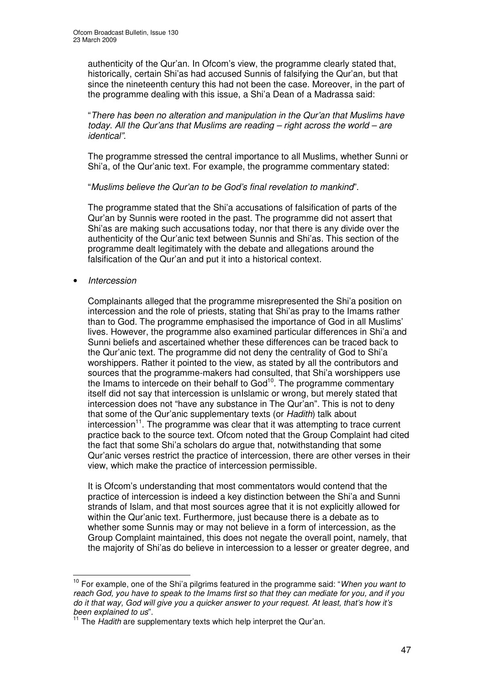authenticity of the Qur'an. In Ofcom's view, the programme clearly stated that, historically, certain Shi'as had accused Sunnis of falsifying the Qur'an, but that since the nineteenth century this had not been the case. Moreover, in the part of the programme dealing with this issue, a Shi'a Dean of a Madrassa said:

"*There has been no alteration and manipulation in the Qur'an that Muslims have today. All the Qur'ans that Muslims are reading – right across the world – are identical".*

The programme stressed the central importance to all Muslims, whether Sunni or Shi'a, of the Qur'anic text. For example, the programme commentary stated:

### "*Muslims believe the Qur'an to be God's final revelation to mankind*".

The programme stated that the Shi'a accusations of falsification of parts of the Qur'an by Sunnis were rooted in the past. The programme did not assert that Shi'as are making such accusations today, nor that there is any divide over the authenticity of the Qur'anic text between Sunnis and Shi'as. This section of the programme dealt legitimately with the debate and allegations around the falsification of the Qur'an and put it into a historical context.

• *Intercession*

Complainants alleged that the programme misrepresented the Shi'a position on intercession and the role of priests, stating that Shi'as pray to the Imams rather than to God. The programme emphasised the importance of God in all Muslims' lives. However, the programme also examined particular differences in Shi'a and Sunni beliefs and ascertained whether these differences can be traced back to the Qur'anic text. The programme did not deny the centrality of God to Shi'a worshippers. Rather it pointed to the view, as stated by all the contributors and sources that the programme-makers had consulted, that Shi'a worshippers use the Imams to intercede on their behalf to God<sup>10</sup>. The programme commentary itself did not say that intercession is unIslamic or wrong, but merely stated that intercession does not "have any substance in The Qur'an". This is not to deny that some of the Qur'anic supplementary texts (or *Hadith*) talk about intercession<sup>11</sup>. The programme was clear that it was attempting to trace current practice back to the source text. Ofcom noted that the Group Complaint had cited the fact that some Shi'a scholars do argue that, notwithstanding that some Qur'anic verses restrict the practice of intercession, there are other verses in their view, which make the practice of intercession permissible.

It is Ofcom's understanding that most commentators would contend that the practice of intercession is indeed a key distinction between the Shi'a and Sunni strands of Islam, and that most sources agree that it is not explicitly allowed for within the Qur'anic text. Furthermore, just because there is a debate as to whether some Sunnis may or may not believe in a form of intercession, as the Group Complaint maintained, this does not negate the overall point, namely, that the majority of Shi'as do believe in intercession to a lesser or greater degree, and

<sup>10</sup> For example, one of the Shi'a pilgrims featured in the programme said: "*When you want to* reach God, you have to speak to the Imams first so that they can mediate for you, and if you do it that way. God will give you a quicker answer to your request. At least, that's how it's *been explained to us*".

<sup>&</sup>lt;sup>11</sup> The *Hadith* are supplementary texts which help interpret the Qur'an.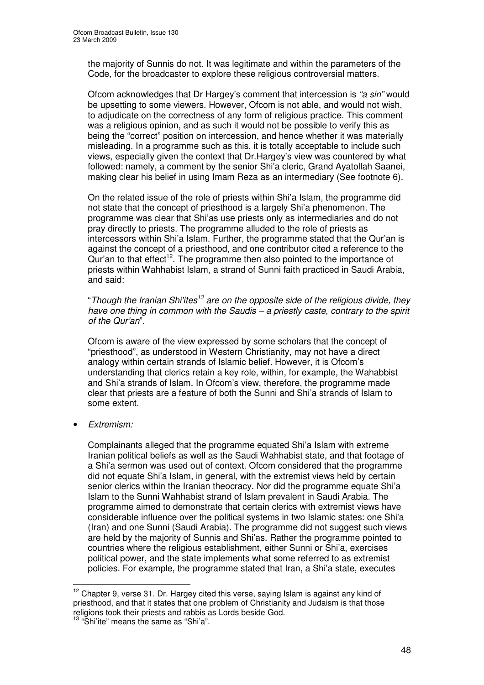the majority of Sunnis do not. It was legitimate and within the parameters of the Code, for the broadcaster to explore these religious controversial matters.

Ofcom acknowledges that Dr Hargey's comment that intercession is *"a sin"* would be upsetting to some viewers. However, Ofcom is not able, and would not wish, to adjudicate on the correctness of any form of religious practice. This comment was a religious opinion, and as such it would not be possible to verify this as being the "correct" position on intercession, and hence whether it was materially misleading. In a programme such as this, it is totally acceptable to include such views, especially given the context that Dr.Hargey's view was countered by what followed: namely, a comment by the senior Shi'a cleric, Grand Ayatollah Saanei, making clear his belief in using Imam Reza as an intermediary (See footnote 6).

On the related issue of the role of priests within Shi'a Islam, the programme did not state that the concept of priesthood is a largely Shi'a phenomenon. The programme was clear that Shi'as use priests only as intermediaries and do not pray directly to priests. The programme alluded to the role of priests as intercessors within Shi'a Islam. Further, the programme stated that the Qur'an is against the concept of a priesthood, and one contributor cited a reference to the Qur'an to that effect<sup>12</sup>. The programme then also pointed to the importance of priests within Wahhabist Islam, a strand of Sunni faith practiced in Saudi Arabia, and said:

"*Though the Iranian Shi'ites 13 are on the opposite side of the religious divide, they have one thing in common with the Saudis – a priestly caste, contrary to the spirit of the Qur'an*".

Ofcom is aware of the view expressed by some scholars that the concept of "priesthood", as understood in Western Christianity, may not have a direct analogy within certain strands of Islamic belief. However, it is Ofcom's understanding that clerics retain a key role, within, for example, the Wahabbist and Shi'a strands of Islam. In Ofcom's view, therefore, the programme made clear that priests are a feature of both the Sunni and Shi'a strands of Islam to some extent.

• *Extremism:*

Complainants alleged that the programme equated Shi'a Islam with extreme Iranian political beliefs as well as the Saudi Wahhabist state, and that footage of a Shi'a sermon was used out of context. Ofcom considered that the programme did not equate Shi'a Islam, in general, with the extremist views held by certain senior clerics within the Iranian theocracy. Nor did the programme equate Shi'a Islam to the Sunni Wahhabist strand of Islam prevalent in Saudi Arabia. The programme aimed to demonstrate that certain clerics with extremist views have considerable influence over the political systems in two Islamic states: one Shi'a (Iran) and one Sunni (Saudi Arabia). The programme did not suggest such views are held by the majority of Sunnis and Shi'as. Rather the programme pointed to countries where the religious establishment, either Sunni or Shi'a, exercises political power, and the state implements what some referred to as extremist policies. For example, the programme stated that Iran, a Shi'a state, executes

 $12$  Chapter 9, verse 31. Dr. Hargey cited this verse, saying Islam is against any kind of priesthood, and that it states that one problem of Christianity and Judaism is that those religions took their priests and rabbis as Lords beside God.

<sup>&</sup>lt;sup>13</sup> "Shi'ite" means the same as "Shi'a".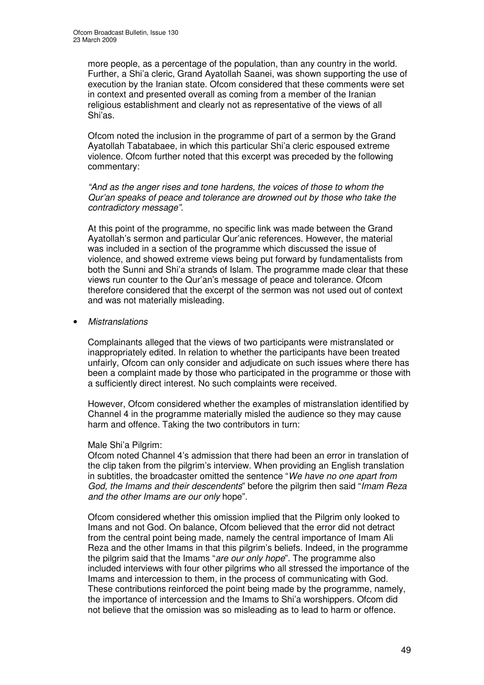more people, as a percentage of the population, than any country in the world. Further, a Shi'a cleric, Grand Ayatollah Saanei, was shown supporting the use of execution by the Iranian state. Ofcom considered that these comments were set in context and presented overall as coming from a member of the Iranian religious establishment and clearly not as representative of the views of all Shi'as.

Ofcom noted the inclusion in the programme of part of a sermon by the Grand Ayatollah Tabatabaee, in which this particular Shi'a cleric espoused extreme violence. Ofcom further noted that this excerpt was preceded by the following commentary:

*"And as the anger rises and tone hardens, the voices of those to whom the Qur'an speaks of peace and tolerance are drowned out by those who take the contradictory message".*

At this point of the programme, no specific link was made between the Grand Ayatollah's sermon and particular Qur'anic references. However, the material was included in a section of the programme which discussed the issue of violence, and showed extreme views being put forward by fundamentalists from both the Sunni and Shi'a strands of Islam. The programme made clear that these views run counter to the Qur'an's message of peace and tolerance. Ofcom therefore considered that the excerpt of the sermon was not used out of context and was not materially misleading.

• *Mistranslations*

Complainants alleged that the views of two participants were mistranslated or inappropriately edited. In relation to whether the participants have been treated unfairly, Ofcom can only consider and adjudicate on such issues where there has been a complaint made by those who participated in the programme or those with a sufficiently direct interest. No such complaints were received.

However, Ofcom considered whether the examples of mistranslation identified by Channel 4 in the programme materially misled the audience so they may cause harm and offence. Taking the two contributors in turn:

### Male Shi'a Pilgrim:

Ofcom noted Channel 4's admission that there had been an error in translation of the clip taken from the pilgrim's interview. When providing an English translation in subtitles, the broadcaster omitted the sentence "*We have no one apart from God, the Imams and their descendents*" before the pilgrim then said "*Imam Reza and the other Imams are our only* hope".

Ofcom considered whether this omission implied that the Pilgrim only looked to Imans and not God. On balance, Ofcom believed that the error did not detract from the central point being made, namely the central importance of Imam Ali Reza and the other Imams in that this pilgrim's beliefs. Indeed, in the programme the pilgrim said that the Imams "*are our only hope*". The programme also included interviews with four other pilgrims who all stressed the importance of the Imams and intercession to them, in the process of communicating with God. These contributions reinforced the point being made by the programme, namely, the importance of intercession and the Imams to Shi'a worshippers. Ofcom did not believe that the omission was so misleading as to lead to harm or offence.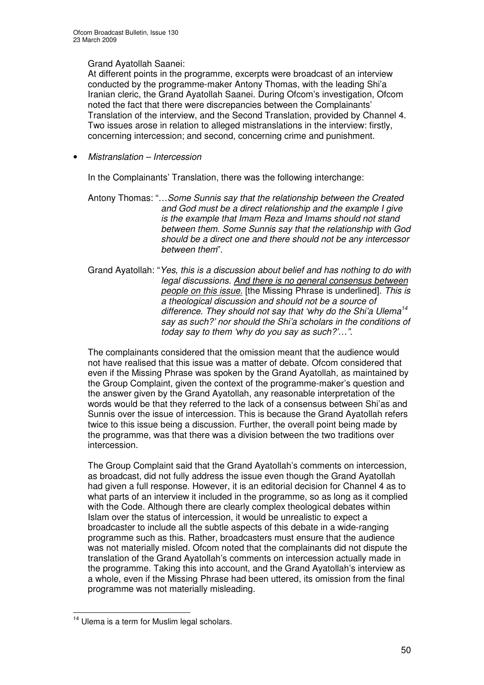### Grand Ayatollah Saanei:

At different points in the programme, excerpts were broadcast of an interview conducted by the programme-maker Antony Thomas, with the leading Shi'a Iranian cleric, the Grand Ayatollah Saanei. During Ofcom's investigation, Ofcom noted the fact that there were discrepancies between the Complainants' Translation of the interview, and the Second Translation, provided by Channel 4. Two issues arose in relation to alleged mistranslations in the interview: firstly, concerning intercession; and second, concerning crime and punishment.

• *Mistranslation – Intercession*

In the Complainants' Translation, there was the following interchange:

Antony Thomas: "…*Some Sunnis say that the relationship between the Created and God must be a direct relationship and the example I give is the example that Imam Reza and Imams should not stand between them. Some Sunnis say that the relationship with God should be a direct one and there should not be any intercessor between them*".

Grand Ayatollah: "*Yes, this is a discussion about belief and has nothing to do with legal discussions. And there is no general consensus between people on this issue.* [the Missing Phrase is underlined]. *This is a theological discussion and should not be a source of difference. They should not say that 'why do the Shi'a Ulema 14 say as such?' nor should the Shi'a scholars in the conditions of today say to them 'why do you say as such?'…".*

The complainants considered that the omission meant that the audience would not have realised that this issue was a matter of debate. Ofcom considered that even if the Missing Phrase was spoken by the Grand Ayatollah, as maintained by the Group Complaint, given the context of the programme-maker's question and the answer given by the Grand Ayatollah, any reasonable interpretation of the words would be that they referred to the lack of a consensus between Shi'as and Sunnis over the issue of intercession. This is because the Grand Ayatollah refers twice to this issue being a discussion. Further, the overall point being made by the programme, was that there was a division between the two traditions over intercession.

The Group Complaint said that the Grand Ayatollah's comments on intercession, as broadcast, did not fully address the issue even though the Grand Ayatollah had given a full response. However, it is an editorial decision for Channel 4 as to what parts of an interview it included in the programme, so as long as it complied with the Code. Although there are clearly complex theological debates within Islam over the status of intercession, it would be unrealistic to expect a broadcaster to include all the subtle aspects of this debate in a wide-ranging programme such as this. Rather, broadcasters must ensure that the audience was not materially misled. Ofcom noted that the complainants did not dispute the translation of the Grand Ayatollah's comments on intercession actually made in the programme. Taking this into account, and the Grand Ayatollah's interview as a whole, even if the Missing Phrase had been uttered, its omission from the final programme was not materially misleading.

<sup>&</sup>lt;sup>14</sup> Ulema is a term for Muslim legal scholars.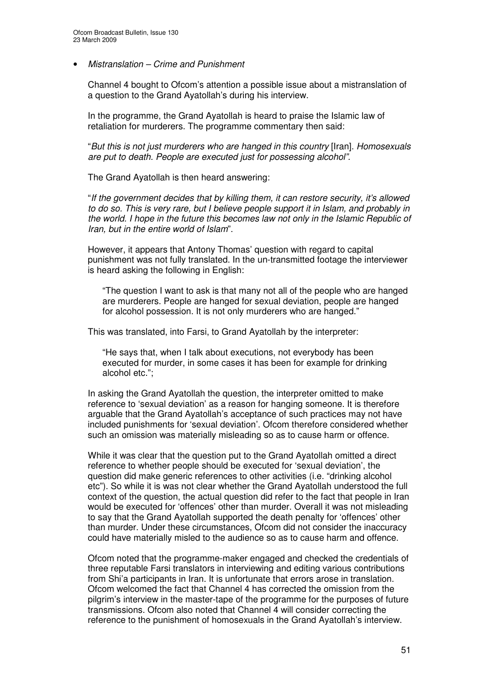#### • *Mistranslation – Crime and Punishment*

Channel 4 bought to Ofcom's attention a possible issue about a mistranslation of a question to the Grand Ayatollah's during his interview.

In the programme, the Grand Ayatollah is heard to praise the Islamic law of retaliation for murderers. The programme commentary then said:

"*But this is not just murderers who are hanged in this country* [Iran]. *Homosexuals are put to death. People are executed just for possessing alcohol".*

The Grand Ayatollah is then heard answering:

"*If the government decides that by killing them, it can restore security, it's allowed to do so. This is very rare, but I believe people support it in Islam, and probably in the world. I hope in the future this becomes law not only in the Islamic Republic of Iran, but in the entire world of Islam*".

However, it appears that Antony Thomas' question with regard to capital punishment was not fully translated. In the un-transmitted footage the interviewer is heard asking the following in English:

"The question I want to ask is that many not all of the people who are hanged are murderers. People are hanged for sexual deviation, people are hanged for alcohol possession. It is not only murderers who are hanged."

This was translated, into Farsi, to Grand Ayatollah by the interpreter:

"He says that, when I talk about executions, not everybody has been executed for murder, in some cases it has been for example for drinking alcohol etc.";

In asking the Grand Ayatollah the question, the interpreter omitted to make reference to 'sexual deviation' as a reason for hanging someone. It is therefore arguable that the Grand Ayatollah's acceptance of such practices may not have included punishments for 'sexual deviation'. Ofcom therefore considered whether such an omission was materially misleading so as to cause harm or offence.

While it was clear that the question put to the Grand Ayatollah omitted a direct reference to whether people should be executed for 'sexual deviation', the question did make generic references to other activities (i.e. "drinking alcohol etc"). So while it is was not clear whether the Grand Ayatollah understood the full context of the question, the actual question did refer to the fact that people in Iran would be executed for 'offences' other than murder. Overall it was not misleading to say that the Grand Ayatollah supported the death penalty for 'offences' other than murder. Under these circumstances, Ofcom did not consider the inaccuracy could have materially misled to the audience so as to cause harm and offence.

Ofcom noted that the programme-maker engaged and checked the credentials of three reputable Farsi translators in interviewing and editing various contributions from Shi'a participants in Iran. It is unfortunate that errors arose in translation. Ofcom welcomed the fact that Channel 4 has corrected the omission from the pilgrim's interview in the master-tape of the programme for the purposes of future transmissions. Ofcom also noted that Channel 4 will consider correcting the reference to the punishment of homosexuals in the Grand Ayatollah's interview.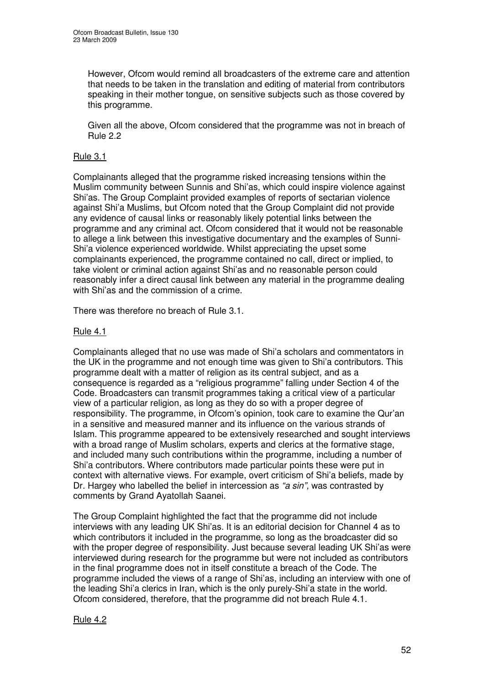However, Ofcom would remind all broadcasters of the extreme care and attention that needs to be taken in the translation and editing of material from contributors speaking in their mother tongue, on sensitive subjects such as those covered by this programme.

Given all the above, Ofcom considered that the programme was not in breach of Rule 2.2

### Rule 3.1

Complainants alleged that the programme risked increasing tensions within the Muslim community between Sunnis and Shi'as, which could inspire violence against Shi'as. The Group Complaint provided examples of reports of sectarian violence against Shi'a Muslims, but Ofcom noted that the Group Complaint did not provide any evidence of causal links or reasonably likely potential links between the programme and any criminal act. Ofcom considered that it would not be reasonable to allege a link between this investigative documentary and the examples of Sunni-Shi'a violence experienced worldwide. Whilst appreciating the upset some complainants experienced, the programme contained no call, direct or implied, to take violent or criminal action against Shi'as and no reasonable person could reasonably infer a direct causal link between any material in the programme dealing with Shi'as and the commission of a crime.

There was therefore no breach of Rule 3.1.

### Rule 4.1

Complainants alleged that no use was made of Shi'a scholars and commentators in the UK in the programme and not enough time was given to Shi'a contributors. This programme dealt with a matter of religion as its central subject, and as a consequence is regarded as a "religious programme" falling under Section 4 of the Code. Broadcasters can transmit programmes taking a critical view of a particular view of a particular religion, as long as they do so with a proper degree of responsibility. The programme, in Ofcom's opinion, took care to examine the Qur'an in a sensitive and measured manner and its influence on the various strands of Islam. This programme appeared to be extensively researched and sought interviews with a broad range of Muslim scholars, experts and clerics at the formative stage, and included many such contributions within the programme, including a number of Shi'a contributors. Where contributors made particular points these were put in context with alternative views. For example, overt criticism of Shi'a beliefs, made by Dr. Hargey who labelled the belief in intercession as *"a sin",* was contrasted by comments by Grand Ayatollah Saanei.

The Group Complaint highlighted the fact that the programme did not include interviews with any leading UK Shi'as. It is an editorial decision for Channel 4 as to which contributors it included in the programme, so long as the broadcaster did so with the proper degree of responsibility. Just because several leading UK Shi'as were interviewed during research for the programme but were not included as contributors in the final programme does not in itself constitute a breach of the Code. The programme included the views of a range of Shi'as, including an interview with one of the leading Shi'a clerics in Iran, which is the only purely-Shi'a state in the world. Ofcom considered, therefore, that the programme did not breach Rule 4.1.

### Rule 4.2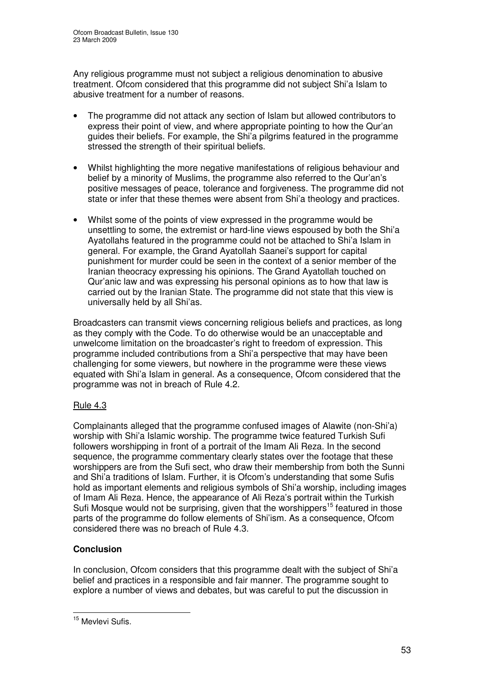Any religious programme must not subject a religious denomination to abusive treatment. Ofcom considered that this programme did not subject Shi'a Islam to abusive treatment for a number of reasons.

- The programme did not attack any section of Islam but allowed contributors to express their point of view, and where appropriate pointing to how the Qur'an guides their beliefs. For example, the Shi'a pilgrims featured in the programme stressed the strength of their spiritual beliefs.
- Whilst highlighting the more negative manifestations of religious behaviour and belief by a minority of Muslims, the programme also referred to the Qur'an's positive messages of peace, tolerance and forgiveness. The programme did not state or infer that these themes were absent from Shi'a theology and practices.
- Whilst some of the points of view expressed in the programme would be unsettling to some, the extremist or hard-line views espoused by both the Shi'a Ayatollahs featured in the programme could not be attached to Shi'a Islam in general. For example, the Grand Ayatollah Saanei's support for capital punishment for murder could be seen in the context of a senior member of the Iranian theocracy expressing his opinions. The Grand Ayatollah touched on Qur'anic law and was expressing his personal opinions as to how that law is carried out by the Iranian State. The programme did not state that this view is universally held by all Shi'as.

Broadcasters can transmit views concerning religious beliefs and practices, as long as they comply with the Code. To do otherwise would be an unacceptable and unwelcome limitation on the broadcaster's right to freedom of expression. This programme included contributions from a Shi'a perspective that may have been challenging for some viewers, but nowhere in the programme were these views equated with Shi'a Islam in general. As a consequence, Ofcom considered that the programme was not in breach of Rule 4.2.

### Rule 4.3

Complainants alleged that the programme confused images of Alawite (non-Shi'a) worship with Shi'a Islamic worship. The programme twice featured Turkish Sufi followers worshipping in front of a portrait of the Imam Ali Reza. In the second sequence, the programme commentary clearly states over the footage that these worshippers are from the Sufi sect, who draw their membership from both the Sunni and Shi'a traditions of Islam. Further, it is Ofcom's understanding that some Sufis hold as important elements and religious symbols of Shi'a worship, including images of Imam Ali Reza. Hence, the appearance of Ali Reza's portrait within the Turkish Sufi Mosque would not be surprising, given that the worshippers<sup>15</sup> featured in those parts of the programme do follow elements of Shi'ism. As a consequence, Ofcom considered there was no breach of Rule 4.3.

### **Conclusion**

In conclusion, Ofcom considers that this programme dealt with the subject of Shi'a belief and practices in a responsible and fair manner. The programme sought to explore a number of views and debates, but was careful to put the discussion in

<sup>&</sup>lt;sup>15</sup> Mevlevi Sufis.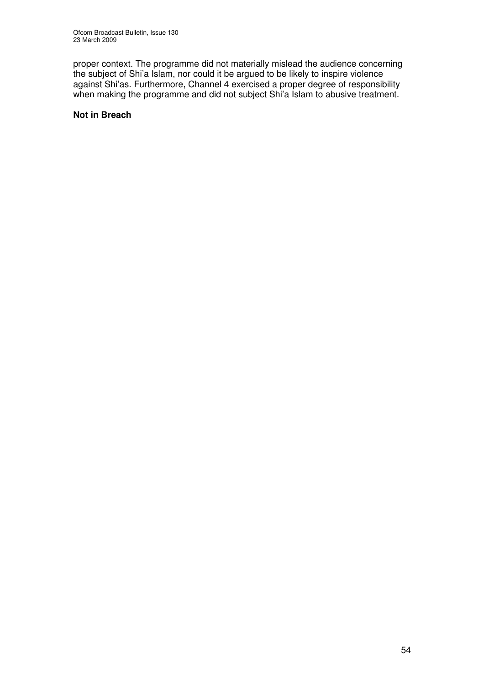proper context. The programme did not materially mislead the audience concerning the subject of Shi'a Islam, nor could it be argued to be likely to inspire violence against Shi'as. Furthermore, Channel 4 exercised a proper degree of responsibility when making the programme and did not subject Shi'a Islam to abusive treatment.

### **Not in Breach**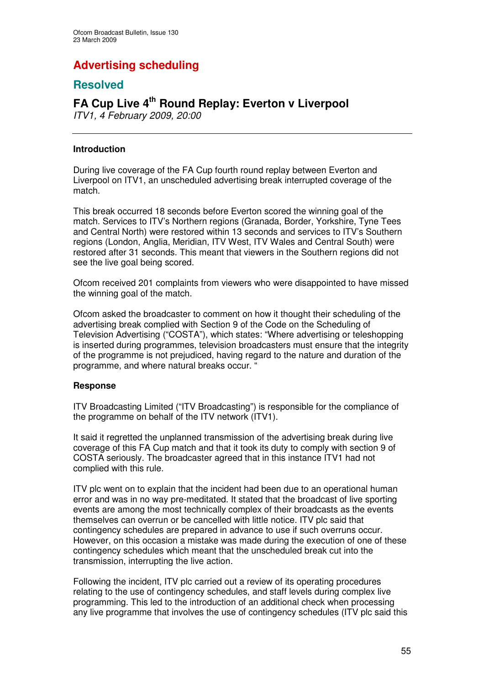# **Advertising scheduling**

### **Resolved**

### **FA Cup Live 4 th Round Replay: Everton v Liverpool**

*ITV1, 4 February 2009, 20:00*

### **Introduction**

During live coverage of the FA Cup fourth round replay between Everton and Liverpool on ITV1, an unscheduled advertising break interrupted coverage of the match.

This break occurred 18 seconds before Everton scored the winning goal of the match. Services to ITV's Northern regions (Granada, Border, Yorkshire, Tyne Tees and Central North) were restored within 13 seconds and services to ITV's Southern regions (London, Anglia, Meridian, ITV West, ITV Wales and Central South) were restored after 31 seconds. This meant that viewers in the Southern regions did not see the live goal being scored.

Ofcom received 201 complaints from viewers who were disappointed to have missed the winning goal of the match.

Ofcom asked the broadcaster to comment on how it thought their scheduling of the advertising break complied with Section 9 of the Code on the Scheduling of Television Advertising ("COSTA"), which states: "Where advertising or teleshopping is inserted during programmes, television broadcasters must ensure that the integrity of the programme is not prejudiced, having regard to the nature and duration of the programme, and where natural breaks occur. "

### **Response**

ITV Broadcasting Limited ("ITV Broadcasting") is responsible for the compliance of the programme on behalf of the ITV network (ITV1).

It said it regretted the unplanned transmission of the advertising break during live coverage of this FA Cup match and that it took its duty to comply with section 9 of COSTA seriously. The broadcaster agreed that in this instance ITV1 had not complied with this rule.

ITV plc went on to explain that the incident had been due to an operational human error and was in no way pre-meditated. It stated that the broadcast of live sporting events are among the most technically complex of their broadcasts as the events themselves can overrun or be cancelled with little notice. ITV plc said that contingency schedules are prepared in advance to use if such overruns occur. However, on this occasion a mistake was made during the execution of one of these contingency schedules which meant that the unscheduled break cut into the transmission, interrupting the live action.

Following the incident, ITV plc carried out a review of its operating procedures relating to the use of contingency schedules, and staff levels during complex live programming. This led to the introduction of an additional check when processing any live programme that involves the use of contingency schedules (ITV plc said this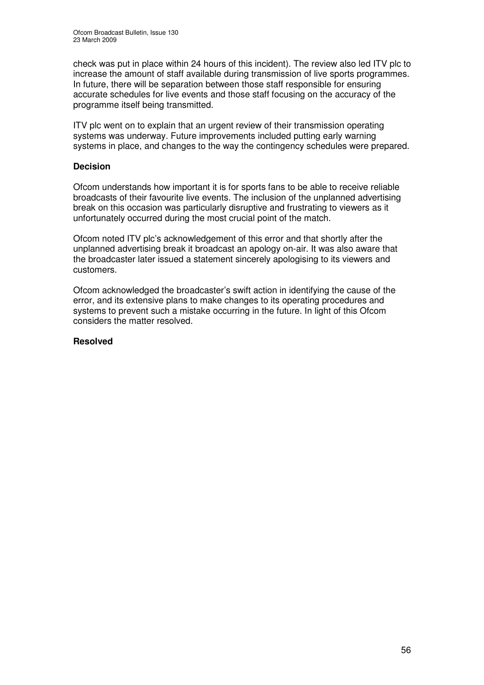check was put in place within 24 hours of this incident). The review also led ITV plc to increase the amount of staff available during transmission of live sports programmes. In future, there will be separation between those staff responsible for ensuring accurate schedules for live events and those staff focusing on the accuracy of the programme itself being transmitted.

ITV plc went on to explain that an urgent review of their transmission operating systems was underway. Future improvements included putting early warning systems in place, and changes to the way the contingency schedules were prepared.

### **Decision**

Ofcom understands how important it is for sports fans to be able to receive reliable broadcasts of their favourite live events. The inclusion of the unplanned advertising break on this occasion was particularly disruptive and frustrating to viewers as it unfortunately occurred during the most crucial point of the match.

Ofcom noted ITV plc's acknowledgement of this error and that shortly after the unplanned advertising break it broadcast an apology on-air. It was also aware that the broadcaster later issued a statement sincerely apologising to its viewers and customers.

Ofcom acknowledged the broadcaster's swift action in identifying the cause of the error, and its extensive plans to make changes to its operating procedures and systems to prevent such a mistake occurring in the future. In light of this Ofcom considers the matter resolved.

### **Resolved**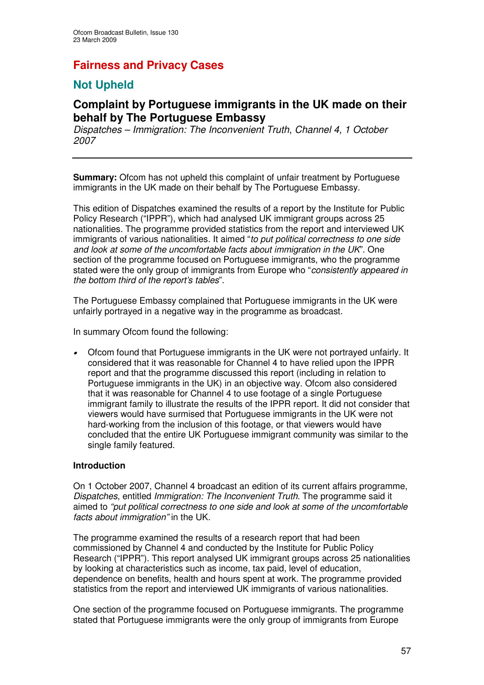### **Fairness and Privacy Cases**

### **Not Upheld**

### **Complaint by Portuguese immigrants in the UK made on their behalf by The Portuguese Embassy**

*Dispatches – Immigration: The Inconvenient Truth*, *Channel 4, 1 October 2007*

**Summary:** Ofcom has not upheld this complaint of unfair treatment by Portuguese immigrants in the UK made on their behalf by The Portuguese Embassy.

This edition of Dispatches examined the results of a report by the Institute for Public Policy Research ("IPPR"), which had analysed UK immigrant groups across 25 nationalities. The programme provided statistics from the report and interviewed UK immigrants of various nationalities. It aimed "*to put political correctness to one side and look at some of the uncomfortable facts about immigration in the UK*". One section of the programme focused on Portuguese immigrants, who the programme stated were the only group of immigrants from Europe who "*consistently appeared in the bottom third of the report's tables*".

The Portuguese Embassy complained that Portuguese immigrants in the UK were unfairly portrayed in a negative way in the programme as broadcast.

In summary Ofcom found the following:

• Ofcom found that Portuguese immigrants in the UK were not portrayed unfairly. It considered that it was reasonable for Channel 4 to have relied upon the IPPR report and that the programme discussed this report (including in relation to Portuguese immigrants in the UK) in an objective way. Ofcom also considered that it was reasonable for Channel 4 to use footage of a single Portuguese immigrant family to illustrate the results of the IPPR report. It did not consider that viewers would have surmised that Portuguese immigrants in the UK were not hard-working from the inclusion of this footage, or that viewers would have concluded that the entire UK Portuguese immigrant community was similar to the single family featured.

#### **Introduction**

On 1 October 2007, Channel 4 broadcast an edition of its current affairs programme, *Dispatches*, entitled *Immigration: The Inconvenient Truth*. The programme said it aimed to *"put political correctness to one side and look at some of the uncomfortable facts about immigration"* in the UK.

The programme examined the results of a research report that had been commissioned by Channel 4 and conducted by the Institute for Public Policy Research ("IPPR"). This report analysed UK immigrant groups across 25 nationalities by looking at characteristics such as income, tax paid, level of education, dependence on benefits, health and hours spent at work. The programme provided statistics from the report and interviewed UK immigrants of various nationalities.

One section of the programme focused on Portuguese immigrants. The programme stated that Portuguese immigrants were the only group of immigrants from Europe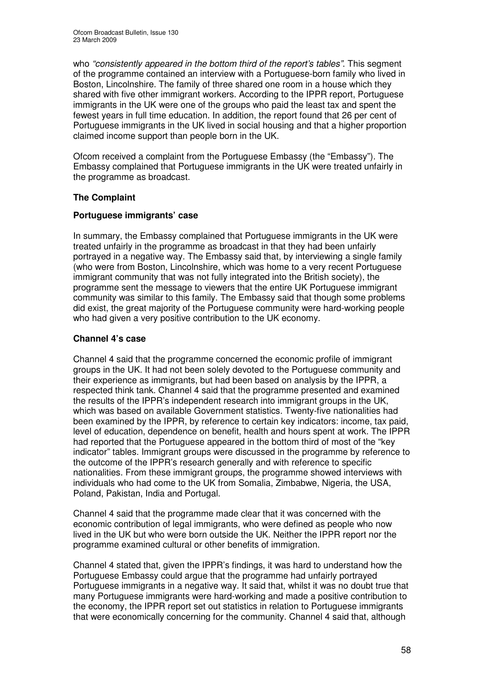who *"consistently appeared in the bottom third of the report's tables"*. This segment of the programme contained an interview with a Portuguese-born family who lived in Boston, Lincolnshire. The family of three shared one room in a house which they shared with five other immigrant workers. According to the IPPR report, Portuguese immigrants in the UK were one of the groups who paid the least tax and spent the fewest years in full time education. In addition, the report found that 26 per cent of Portuguese immigrants in the UK lived in social housing and that a higher proportion claimed income support than people born in the UK.

Ofcom received a complaint from the Portuguese Embassy (the "Embassy"). The Embassy complained that Portuguese immigrants in the UK were treated unfairly in the programme as broadcast.

### **The Complaint**

### **Portuguese immigrants' case**

In summary, the Embassy complained that Portuguese immigrants in the UK were treated unfairly in the programme as broadcast in that they had been unfairly portrayed in a negative way. The Embassy said that, by interviewing a single family (who were from Boston, Lincolnshire, which was home to a very recent Portuguese immigrant community that was not fully integrated into the British society), the programme sent the message to viewers that the entire UK Portuguese immigrant community was similar to this family. The Embassy said that though some problems did exist, the great majority of the Portuguese community were hard-working people who had given a very positive contribution to the UK economy.

### **Channel 4's case**

Channel 4 said that the programme concerned the economic profile of immigrant groups in the UK. It had not been solely devoted to the Portuguese community and their experience as immigrants, but had been based on analysis by the IPPR, a respected think tank. Channel 4 said that the programme presented and examined the results of the IPPR's independent research into immigrant groups in the UK, which was based on available Government statistics. Twenty-five nationalities had been examined by the IPPR, by reference to certain key indicators: income, tax paid, level of education, dependence on benefit, health and hours spent at work. The IPPR had reported that the Portuguese appeared in the bottom third of most of the "key indicator" tables. Immigrant groups were discussed in the programme by reference to the outcome of the IPPR's research generally and with reference to specific nationalities. From these immigrant groups, the programme showed interviews with individuals who had come to the UK from Somalia, Zimbabwe, Nigeria, the USA, Poland, Pakistan, India and Portugal.

Channel 4 said that the programme made clear that it was concerned with the economic contribution of legal immigrants, who were defined as people who now lived in the UK but who were born outside the UK. Neither the IPPR report nor the programme examined cultural or other benefits of immigration.

Channel 4 stated that, given the IPPR's findings, it was hard to understand how the Portuguese Embassy could argue that the programme had unfairly portrayed Portuguese immigrants in a negative way. It said that, whilst it was no doubt true that many Portuguese immigrants were hard-working and made a positive contribution to the economy, the IPPR report set out statistics in relation to Portuguese immigrants that were economically concerning for the community. Channel 4 said that, although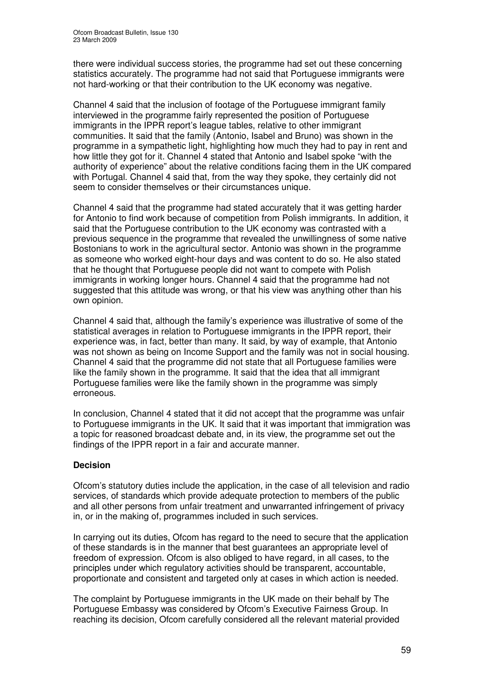there were individual success stories, the programme had set out these concerning statistics accurately. The programme had not said that Portuguese immigrants were not hard-working or that their contribution to the UK economy was negative.

Channel 4 said that the inclusion of footage of the Portuguese immigrant family interviewed in the programme fairly represented the position of Portuguese immigrants in the IPPR report's league tables, relative to other immigrant communities. It said that the family (Antonio, Isabel and Bruno) was shown in the programme in a sympathetic light, highlighting how much they had to pay in rent and how little they got for it. Channel 4 stated that Antonio and Isabel spoke "with the authority of experience" about the relative conditions facing them in the UK compared with Portugal. Channel 4 said that, from the way they spoke, they certainly did not seem to consider themselves or their circumstances unique.

Channel 4 said that the programme had stated accurately that it was getting harder for Antonio to find work because of competition from Polish immigrants. In addition, it said that the Portuguese contribution to the UK economy was contrasted with a previous sequence in the programme that revealed the unwillingness of some native Bostonians to work in the agricultural sector. Antonio was shown in the programme as someone who worked eight-hour days and was content to do so. He also stated that he thought that Portuguese people did not want to compete with Polish immigrants in working longer hours. Channel 4 said that the programme had not suggested that this attitude was wrong, or that his view was anything other than his own opinion.

Channel 4 said that, although the family's experience was illustrative of some of the statistical averages in relation to Portuguese immigrants in the IPPR report, their experience was, in fact, better than many. It said, by way of example, that Antonio was not shown as being on Income Support and the family was not in social housing. Channel 4 said that the programme did not state that all Portuguese families were like the family shown in the programme. It said that the idea that all immigrant Portuguese families were like the family shown in the programme was simply erroneous.

In conclusion, Channel 4 stated that it did not accept that the programme was unfair to Portuguese immigrants in the UK. It said that it was important that immigration was a topic for reasoned broadcast debate and, in its view, the programme set out the findings of the IPPR report in a fair and accurate manner.

### **Decision**

Ofcom's statutory duties include the application, in the case of all television and radio services, of standards which provide adequate protection to members of the public and all other persons from unfair treatment and unwarranted infringement of privacy in, or in the making of, programmes included in such services.

In carrying out its duties, Ofcom has regard to the need to secure that the application of these standards is in the manner that best guarantees an appropriate level of freedom of expression. Ofcom is also obliged to have regard, in all cases, to the principles under which regulatory activities should be transparent, accountable, proportionate and consistent and targeted only at cases in which action is needed.

The complaint by Portuguese immigrants in the UK made on their behalf by The Portuguese Embassy was considered by Ofcom's Executive Fairness Group. In reaching its decision, Ofcom carefully considered all the relevant material provided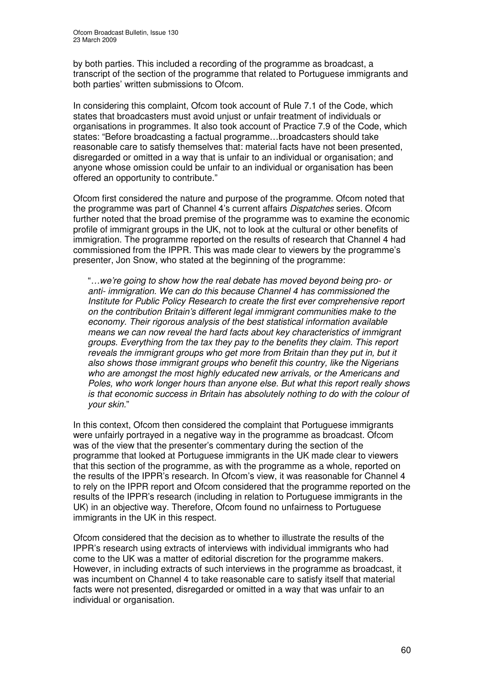by both parties. This included a recording of the programme as broadcast, a transcript of the section of the programme that related to Portuguese immigrants and both parties' written submissions to Ofcom.

In considering this complaint, Ofcom took account of Rule 7.1 of the Code, which states that broadcasters must avoid unjust or unfair treatment of individuals or organisations in programmes. It also took account of Practice 7.9 of the Code, which states: "Before broadcasting a factual programme…broadcasters should take reasonable care to satisfy themselves that: material facts have not been presented, disregarded or omitted in a way that is unfair to an individual or organisation; and anyone whose omission could be unfair to an individual or organisation has been offered an opportunity to contribute."

Ofcom first considered the nature and purpose of the programme. Ofcom noted that the programme was part of Channel 4's current affairs *Dispatches* series. Ofcom further noted that the broad premise of the programme was to examine the economic profile of immigrant groups in the UK, not to look at the cultural or other benefits of immigration. The programme reported on the results of research that Channel 4 had commissioned from the IPPR. This was made clear to viewers by the programme's presenter, Jon Snow, who stated at the beginning of the programme:

"*…we're going to show how the real debate has moved beyond being pro- or anti- immigration. We can do this because Channel 4 has commissioned the Institute for Public Policy Research to create the first ever comprehensive report on the contribution Britain's different legal immigrant communities make to the economy. Their rigorous analysis of the best statistical information available means we can now reveal the hard facts about key characteristics of immigrant groups. Everything from the tax they pay to the benefits they claim. This report reveals the immigrant groups who get more from Britain than they put in, but it also shows those immigrant groups who benefit this country, like the Nigerians who are amongst the most highly educated new arrivals, or the Americans and Poles, who work longer hours than anyone else. But what this report really shows is that economic success in Britain has absolutely nothing to do with the colour of your skin.*"

In this context, Ofcom then considered the complaint that Portuguese immigrants were unfairly portrayed in a negative way in the programme as broadcast. Ofcom was of the view that the presenter's commentary during the section of the programme that looked at Portuguese immigrants in the UK made clear to viewers that this section of the programme, as with the programme as a whole, reported on the results of the IPPR's research. In Ofcom's view, it was reasonable for Channel 4 to rely on the IPPR report and Ofcom considered that the programme reported on the results of the IPPR's research (including in relation to Portuguese immigrants in the UK) in an objective way. Therefore, Ofcom found no unfairness to Portuguese immigrants in the UK in this respect.

Ofcom considered that the decision as to whether to illustrate the results of the IPPR's research using extracts of interviews with individual immigrants who had come to the UK was a matter of editorial discretion for the programme makers. However, in including extracts of such interviews in the programme as broadcast, it was incumbent on Channel 4 to take reasonable care to satisfy itself that material facts were not presented, disregarded or omitted in a way that was unfair to an individual or organisation.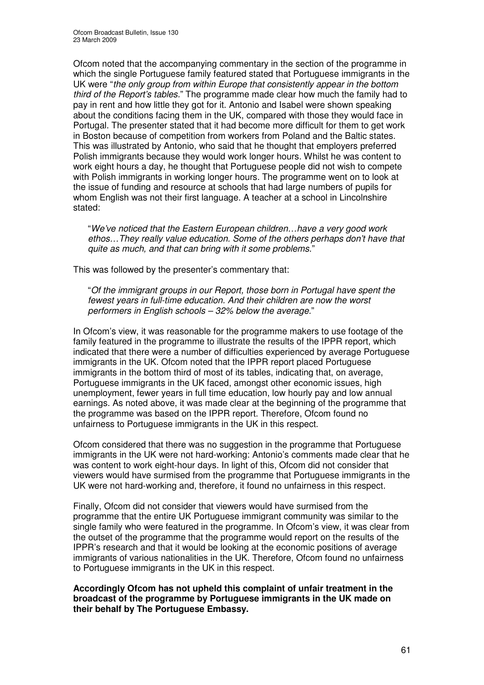Ofcom noted that the accompanying commentary in the section of the programme in which the single Portuguese family featured stated that Portuguese immigrants in the UK were "*the only group from within Europe that consistently appear in the bottom third of the Report's tables.*" The programme made clear how much the family had to pay in rent and how little they got for it. Antonio and Isabel were shown speaking about the conditions facing them in the UK, compared with those they would face in Portugal. The presenter stated that it had become more difficult for them to get work in Boston because of competition from workers from Poland and the Baltic states. This was illustrated by Antonio, who said that he thought that employers preferred Polish immigrants because they would work longer hours. Whilst he was content to work eight hours a day, he thought that Portuguese people did not wish to compete with Polish immigrants in working longer hours. The programme went on to look at the issue of funding and resource at schools that had large numbers of pupils for whom English was not their first language. A teacher at a school in Lincolnshire stated:

"*We've noticed that the Eastern European children…have a very good work ethos…They really value education. Some of the others perhaps don't have that quite as much, and that can bring with it some problems.*"

This was followed by the presenter's commentary that:

"*Of the immigrant groups in our Report, those born in Portugal have spent the fewest years in full-time education. And their children are now the worst performers in English schools – 32% below the average.*"

In Ofcom's view, it was reasonable for the programme makers to use footage of the family featured in the programme to illustrate the results of the IPPR report, which indicated that there were a number of difficulties experienced by average Portuguese immigrants in the UK. Ofcom noted that the IPPR report placed Portuguese immigrants in the bottom third of most of its tables, indicating that, on average, Portuguese immigrants in the UK faced, amongst other economic issues, high unemployment, fewer years in full time education, low hourly pay and low annual earnings. As noted above, it was made clear at the beginning of the programme that the programme was based on the IPPR report. Therefore, Ofcom found no unfairness to Portuguese immigrants in the UK in this respect.

Ofcom considered that there was no suggestion in the programme that Portuguese immigrants in the UK were not hard-working: Antonio's comments made clear that he was content to work eight-hour days. In light of this, Ofcom did not consider that viewers would have surmised from the programme that Portuguese immigrants in the UK were not hard-working and, therefore, it found no unfairness in this respect.

Finally, Ofcom did not consider that viewers would have surmised from the programme that the entire UK Portuguese immigrant community was similar to the single family who were featured in the programme. In Ofcom's view, it was clear from the outset of the programme that the programme would report on the results of the IPPR's research and that it would be looking at the economic positions of average immigrants of various nationalities in the UK. Therefore, Ofcom found no unfairness to Portuguese immigrants in the UK in this respect.

**Accordingly Ofcom has not upheld this complaint of unfair treatment in the broadcast of the programme by Portuguese immigrants in the UK made on their behalf by The Portuguese Embassy.**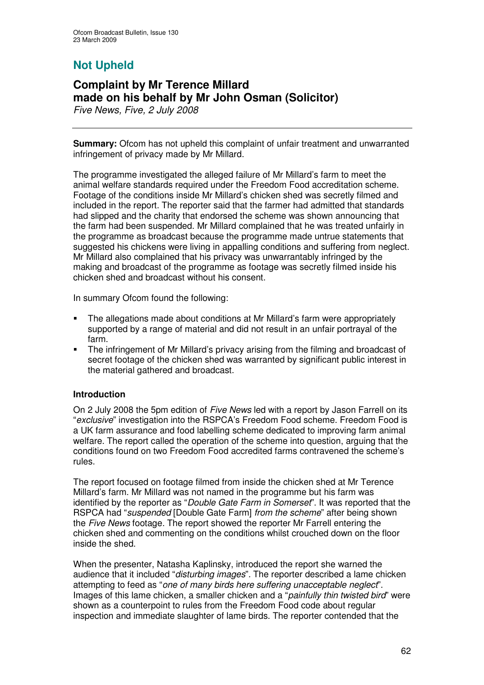# **Not Upheld**

# **Complaint by Mr Terence Millard made on his behalf by Mr John Osman (Solicitor)**

*Five News, Five, 2 July 2008*

**Summary:** Ofcom has not upheld this complaint of unfair treatment and unwarranted infringement of privacy made by Mr Millard.

The programme investigated the alleged failure of Mr Millard's farm to meet the animal welfare standards required under the Freedom Food accreditation scheme. Footage of the conditions inside Mr Millard's chicken shed was secretly filmed and included in the report. The reporter said that the farmer had admitted that standards had slipped and the charity that endorsed the scheme was shown announcing that the farm had been suspended. Mr Millard complained that he was treated unfairly in the programme as broadcast because the programme made untrue statements that suggested his chickens were living in appalling conditions and suffering from neglect. Mr Millard also complained that his privacy was unwarrantably infringed by the making and broadcast of the programme as footage was secretly filmed inside his chicken shed and broadcast without his consent.

In summary Ofcom found the following:

- The allegations made about conditions at Mr Millard's farm were appropriately supported by a range of material and did not result in an unfair portrayal of the farm.
- The infringement of Mr Millard's privacy arising from the filming and broadcast of secret footage of the chicken shed was warranted by significant public interest in the material gathered and broadcast.

### **Introduction**

On 2 July 2008 the 5pm edition of *Five News* led with a report by Jason Farrell on its "*exclusive*" investigation into the RSPCA's Freedom Food scheme. Freedom Food is a UK farm assurance and food labelling scheme dedicated to improving farm animal welfare. The report called the operation of the scheme into question, arguing that the conditions found on two Freedom Food accredited farms contravened the scheme's rules.

The report focused on footage filmed from inside the chicken shed at Mr Terence Millard's farm. Mr Millard was not named in the programme but his farm was identified by the reporter as "*Double Gate Farm in Somerset*". It was reported that the RSPCA had "*suspended* [Double Gate Farm] *from the scheme*" after being shown the *Five News* footage. The report showed the reporter Mr Farrell entering the chicken shed and commenting on the conditions whilst crouched down on the floor inside the shed.

When the presenter, Natasha Kaplinsky, introduced the report she warned the audience that it included "*disturbing images*"*.* The reporter described a lame chicken attempting to feed as "*one of many birds here suffering unacceptable neglect*". Images of this lame chicken, a smaller chicken and a "*painfully thin twisted bird*" were shown as a counterpoint to rules from the Freedom Food code about regular inspection and immediate slaughter of lame birds. The reporter contended that the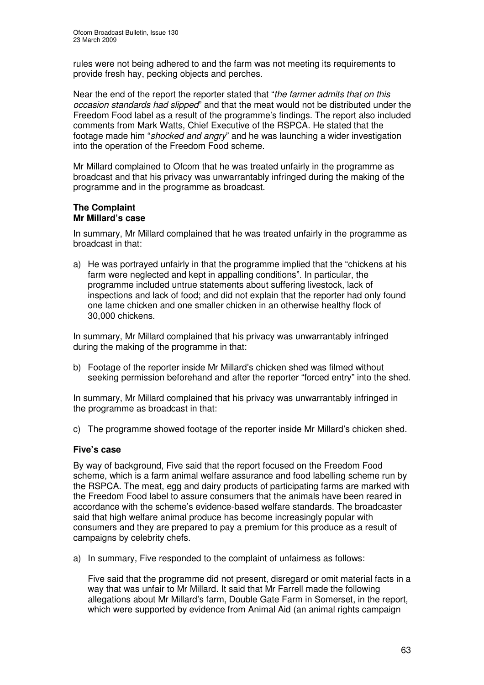rules were not being adhered to and the farm was not meeting its requirements to provide fresh hay, pecking objects and perches.

Near the end of the report the reporter stated that "*the farmer admits that on this occasion standards had slipped*" and that the meat would not be distributed under the Freedom Food label as a result of the programme's findings. The report also included comments from Mark Watts, Chief Executive of the RSPCA. He stated that the footage made him "*shocked and angry*" and he was launching a wider investigation into the operation of the Freedom Food scheme.

Mr Millard complained to Ofcom that he was treated unfairly in the programme as broadcast and that his privacy was unwarrantably infringed during the making of the programme and in the programme as broadcast.

#### **The Complaint Mr Millard's case**

In summary, Mr Millard complained that he was treated unfairly in the programme as broadcast in that:

a) He was portrayed unfairly in that the programme implied that the "chickens at his farm were neglected and kept in appalling conditions". In particular, the programme included untrue statements about suffering livestock, lack of inspections and lack of food; and did not explain that the reporter had only found one lame chicken and one smaller chicken in an otherwise healthy flock of 30,000 chickens.

In summary, Mr Millard complained that his privacy was unwarrantably infringed during the making of the programme in that:

b) Footage of the reporter inside Mr Millard's chicken shed was filmed without seeking permission beforehand and after the reporter "forced entry" into the shed.

In summary, Mr Millard complained that his privacy was unwarrantably infringed in the programme as broadcast in that:

c) The programme showed footage of the reporter inside Mr Millard's chicken shed.

### **Five's case**

By way of background, Five said that the report focused on the Freedom Food scheme, which is a farm animal welfare assurance and food labelling scheme run by the RSPCA. The meat, egg and dairy products of participating farms are marked with the Freedom Food label to assure consumers that the animals have been reared in accordance with the scheme's evidence-based welfare standards. The broadcaster said that high welfare animal produce has become increasingly popular with consumers and they are prepared to pay a premium for this produce as a result of campaigns by celebrity chefs.

a) In summary, Five responded to the complaint of unfairness as follows:

Five said that the programme did not present, disregard or omit material facts in a way that was unfair to Mr Millard. It said that Mr Farrell made the following allegations about Mr Millard's farm, Double Gate Farm in Somerset, in the report, which were supported by evidence from Animal Aid (an animal rights campaign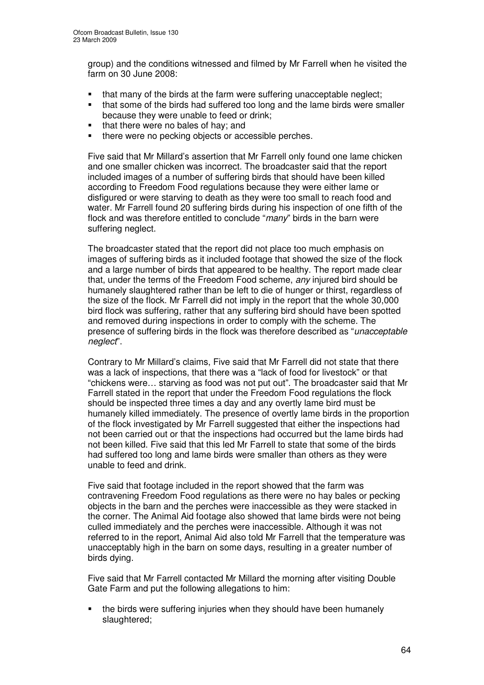group) and the conditions witnessed and filmed by Mr Farrell when he visited the farm on 30 June 2008:

- that many of the birds at the farm were suffering unacceptable neglect;
- that some of the birds had suffered too long and the lame birds were smaller because they were unable to feed or drink;
- that there were no bales of hay; and
- there were no pecking objects or accessible perches.

Five said that Mr Millard's assertion that Mr Farrell only found one lame chicken and one smaller chicken was incorrect. The broadcaster said that the report included images of a number of suffering birds that should have been killed according to Freedom Food regulations because they were either lame or disfigured or were starving to death as they were too small to reach food and water. Mr Farrell found 20 suffering birds during his inspection of one fifth of the flock and was therefore entitled to conclude "*many*" birds in the barn were suffering neglect.

The broadcaster stated that the report did not place too much emphasis on images of suffering birds as it included footage that showed the size of the flock and a large number of birds that appeared to be healthy. The report made clear that, under the terms of the Freedom Food scheme, *any* injured bird should be humanely slaughtered rather than be left to die of hunger or thirst, regardless of the size of the flock. Mr Farrell did not imply in the report that the whole 30,000 bird flock was suffering, rather that any suffering bird should have been spotted and removed during inspections in order to comply with the scheme. The presence of suffering birds in the flock was therefore described as "*unacceptable neglect*".

Contrary to Mr Millard's claims, Five said that Mr Farrell did not state that there was a lack of inspections, that there was a "lack of food for livestock" or that "chickens were… starving as food was not put out". The broadcaster said that Mr Farrell stated in the report that under the Freedom Food regulations the flock should be inspected three times a day and any overtly lame bird must be humanely killed immediately. The presence of overtly lame birds in the proportion of the flock investigated by Mr Farrell suggested that either the inspections had not been carried out or that the inspections had occurred but the lame birds had not been killed. Five said that this led Mr Farrell to state that some of the birds had suffered too long and lame birds were smaller than others as they were unable to feed and drink.

Five said that footage included in the report showed that the farm was contravening Freedom Food regulations as there were no hay bales or pecking objects in the barn and the perches were inaccessible as they were stacked in the corner. The Animal Aid footage also showed that lame birds were not being culled immediately and the perches were inaccessible. Although it was not referred to in the report, Animal Aid also told Mr Farrell that the temperature was unacceptably high in the barn on some days, resulting in a greater number of birds dying.

Five said that Mr Farrell contacted Mr Millard the morning after visiting Double Gate Farm and put the following allegations to him:

 the birds were suffering injuries when they should have been humanely slaughtered;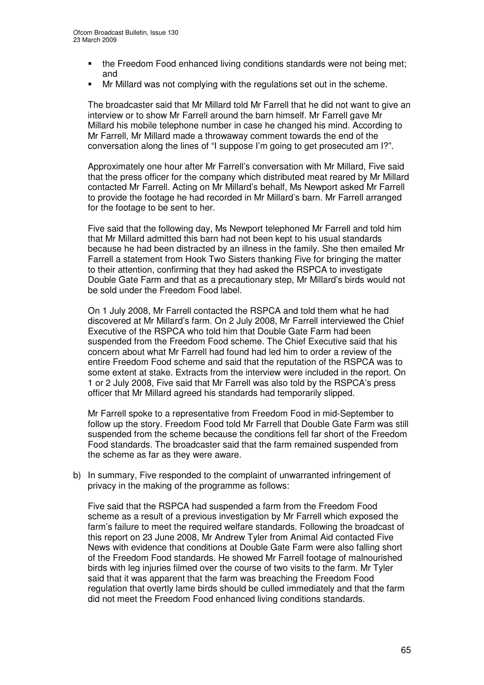- the Freedom Food enhanced living conditions standards were not being met; and
- Mr Millard was not complying with the regulations set out in the scheme.

The broadcaster said that Mr Millard told Mr Farrell that he did not want to give an interview or to show Mr Farrell around the barn himself. Mr Farrell gave Mr Millard his mobile telephone number in case he changed his mind. According to Mr Farrell, Mr Millard made a throwaway comment towards the end of the conversation along the lines of "I suppose I'm going to get prosecuted am I?".

Approximately one hour after Mr Farrell's conversation with Mr Millard, Five said that the press officer for the company which distributed meat reared by Mr Millard contacted Mr Farrell. Acting on Mr Millard's behalf, Ms Newport asked Mr Farrell to provide the footage he had recorded in Mr Millard's barn. Mr Farrell arranged for the footage to be sent to her.

Five said that the following day, Ms Newport telephoned Mr Farrell and told him that Mr Millard admitted this barn had not been kept to his usual standards because he had been distracted by an illness in the family. She then emailed Mr Farrell a statement from Hook Two Sisters thanking Five for bringing the matter to their attention, confirming that they had asked the RSPCA to investigate Double Gate Farm and that as a precautionary step, Mr Millard's birds would not be sold under the Freedom Food label.

On 1 July 2008, Mr Farrell contacted the RSPCA and told them what he had discovered at Mr Millard's farm. On 2 July 2008, Mr Farrell interviewed the Chief Executive of the RSPCA who told him that Double Gate Farm had been suspended from the Freedom Food scheme. The Chief Executive said that his concern about what Mr Farrell had found had led him to order a review of the entire Freedom Food scheme and said that the reputation of the RSPCA was to some extent at stake. Extracts from the interview were included in the report. On 1 or 2 July 2008, Five said that Mr Farrell was also told by the RSPCA's press officer that Mr Millard agreed his standards had temporarily slipped.

Mr Farrell spoke to a representative from Freedom Food in mid-September to follow up the story. Freedom Food told Mr Farrell that Double Gate Farm was still suspended from the scheme because the conditions fell far short of the Freedom Food standards. The broadcaster said that the farm remained suspended from the scheme as far as they were aware.

b) In summary, Five responded to the complaint of unwarranted infringement of privacy in the making of the programme as follows:

Five said that the RSPCA had suspended a farm from the Freedom Food scheme as a result of a previous investigation by Mr Farrell which exposed the farm's failure to meet the required welfare standards. Following the broadcast of this report on 23 June 2008, Mr Andrew Tyler from Animal Aid contacted Five News with evidence that conditions at Double Gate Farm were also falling short of the Freedom Food standards. He showed Mr Farrell footage of malnourished birds with leg injuries filmed over the course of two visits to the farm. Mr Tyler said that it was apparent that the farm was breaching the Freedom Food regulation that overtly lame birds should be culled immediately and that the farm did not meet the Freedom Food enhanced living conditions standards.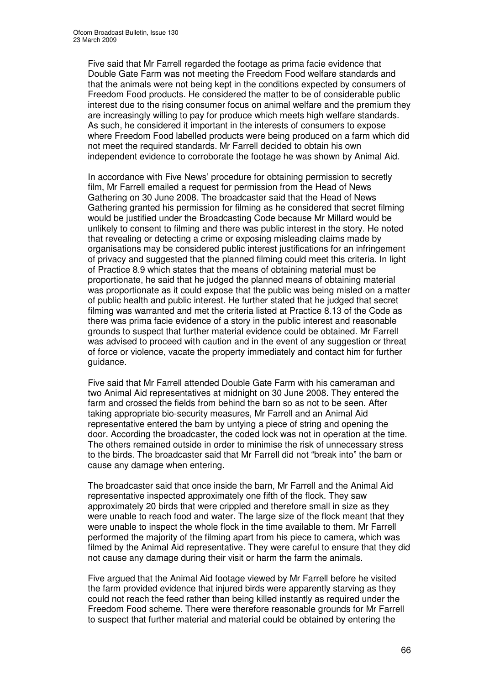Five said that Mr Farrell regarded the footage as prima facie evidence that Double Gate Farm was not meeting the Freedom Food welfare standards and that the animals were not being kept in the conditions expected by consumers of Freedom Food products. He considered the matter to be of considerable public interest due to the rising consumer focus on animal welfare and the premium they are increasingly willing to pay for produce which meets high welfare standards. As such, he considered it important in the interests of consumers to expose where Freedom Food labelled products were being produced on a farm which did not meet the required standards. Mr Farrell decided to obtain his own independent evidence to corroborate the footage he was shown by Animal Aid.

In accordance with Five News' procedure for obtaining permission to secretly film, Mr Farrell emailed a request for permission from the Head of News Gathering on 30 June 2008. The broadcaster said that the Head of News Gathering granted his permission for filming as he considered that secret filming would be justified under the Broadcasting Code because Mr Millard would be unlikely to consent to filming and there was public interest in the story. He noted that revealing or detecting a crime or exposing misleading claims made by organisations may be considered public interest justifications for an infringement of privacy and suggested that the planned filming could meet this criteria. In light of Practice 8.9 which states that the means of obtaining material must be proportionate, he said that he judged the planned means of obtaining material was proportionate as it could expose that the public was being misled on a matter of public health and public interest. He further stated that he judged that secret filming was warranted and met the criteria listed at Practice 8.13 of the Code as there was prima facie evidence of a story in the public interest and reasonable grounds to suspect that further material evidence could be obtained. Mr Farrell was advised to proceed with caution and in the event of any suggestion or threat of force or violence, vacate the property immediately and contact him for further guidance.

Five said that Mr Farrell attended Double Gate Farm with his cameraman and two Animal Aid representatives at midnight on 30 June 2008. They entered the farm and crossed the fields from behind the barn so as not to be seen. After taking appropriate bio-security measures, Mr Farrell and an Animal Aid representative entered the barn by untying a piece of string and opening the door. According the broadcaster, the coded lock was not in operation at the time. The others remained outside in order to minimise the risk of unnecessary stress to the birds. The broadcaster said that Mr Farrell did not "break into" the barn or cause any damage when entering.

The broadcaster said that once inside the barn, Mr Farrell and the Animal Aid representative inspected approximately one fifth of the flock. They saw approximately 20 birds that were crippled and therefore small in size as they were unable to reach food and water. The large size of the flock meant that they were unable to inspect the whole flock in the time available to them. Mr Farrell performed the majority of the filming apart from his piece to camera, which was filmed by the Animal Aid representative. They were careful to ensure that they did not cause any damage during their visit or harm the farm the animals.

Five argued that the Animal Aid footage viewed by Mr Farrell before he visited the farm provided evidence that injured birds were apparently starving as they could not reach the feed rather than being killed instantly as required under the Freedom Food scheme. There were therefore reasonable grounds for Mr Farrell to suspect that further material and material could be obtained by entering the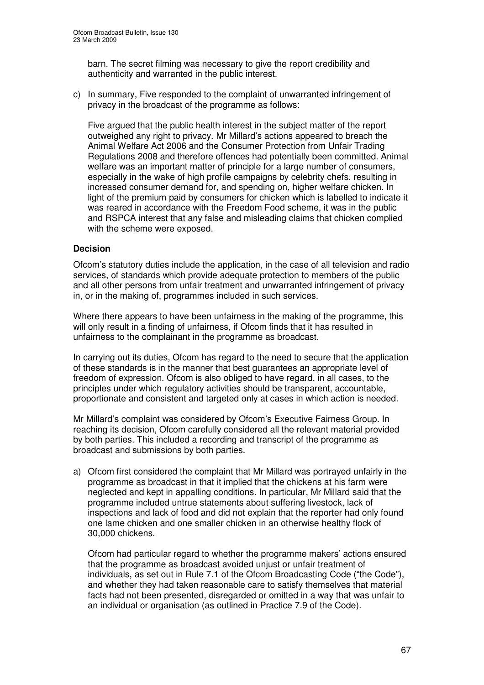barn. The secret filming was necessary to give the report credibility and authenticity and warranted in the public interest.

c) In summary, Five responded to the complaint of unwarranted infringement of privacy in the broadcast of the programme as follows:

Five argued that the public health interest in the subject matter of the report outweighed any right to privacy. Mr Millard's actions appeared to breach the Animal Welfare Act 2006 and the Consumer Protection from Unfair Trading Regulations 2008 and therefore offences had potentially been committed. Animal welfare was an important matter of principle for a large number of consumers, especially in the wake of high profile campaigns by celebrity chefs, resulting in increased consumer demand for, and spending on, higher welfare chicken. In light of the premium paid by consumers for chicken which is labelled to indicate it was reared in accordance with the Freedom Food scheme, it was in the public and RSPCA interest that any false and misleading claims that chicken complied with the scheme were exposed.

### **Decision**

Ofcom's statutory duties include the application, in the case of all television and radio services, of standards which provide adequate protection to members of the public and all other persons from unfair treatment and unwarranted infringement of privacy in, or in the making of, programmes included in such services.

Where there appears to have been unfairness in the making of the programme, this will only result in a finding of unfairness, if Ofcom finds that it has resulted in unfairness to the complainant in the programme as broadcast.

In carrying out its duties, Ofcom has regard to the need to secure that the application of these standards is in the manner that best guarantees an appropriate level of freedom of expression. Ofcom is also obliged to have regard, in all cases, to the principles under which regulatory activities should be transparent, accountable, proportionate and consistent and targeted only at cases in which action is needed.

Mr Millard's complaint was considered by Ofcom's Executive Fairness Group. In reaching its decision, Ofcom carefully considered all the relevant material provided by both parties. This included a recording and transcript of the programme as broadcast and submissions by both parties.

a) Ofcom first considered the complaint that Mr Millard was portrayed unfairly in the programme as broadcast in that it implied that the chickens at his farm were neglected and kept in appalling conditions. In particular, Mr Millard said that the programme included untrue statements about suffering livestock, lack of inspections and lack of food and did not explain that the reporter had only found one lame chicken and one smaller chicken in an otherwise healthy flock of 30,000 chickens.

Ofcom had particular regard to whether the programme makers' actions ensured that the programme as broadcast avoided unjust or unfair treatment of individuals, as set out in Rule 7.1 of the Ofcom Broadcasting Code ("the Code"), and whether they had taken reasonable care to satisfy themselves that material facts had not been presented, disregarded or omitted in a way that was unfair to an individual or organisation (as outlined in Practice 7.9 of the Code).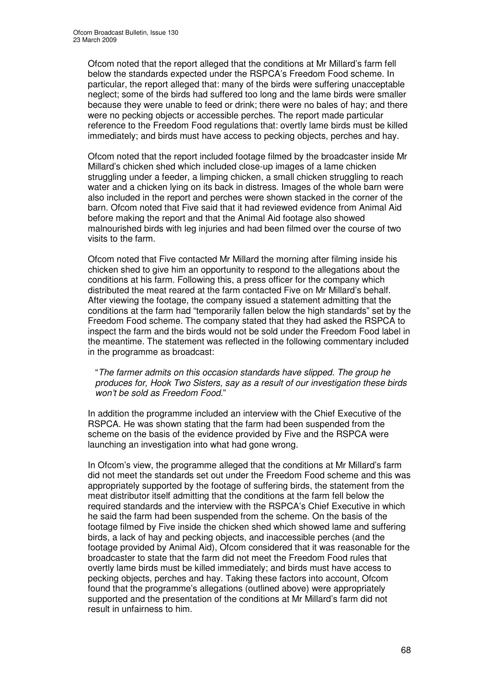Ofcom noted that the report alleged that the conditions at Mr Millard's farm fell below the standards expected under the RSPCA's Freedom Food scheme. In particular, the report alleged that: many of the birds were suffering unacceptable neglect; some of the birds had suffered too long and the lame birds were smaller because they were unable to feed or drink; there were no bales of hay; and there were no pecking objects or accessible perches. The report made particular reference to the Freedom Food regulations that: overtly lame birds must be killed immediately; and birds must have access to pecking objects, perches and hay.

Ofcom noted that the report included footage filmed by the broadcaster inside Mr Millard's chicken shed which included close-up images of a lame chicken struggling under a feeder, a limping chicken, a small chicken struggling to reach water and a chicken lying on its back in distress. Images of the whole barn were also included in the report and perches were shown stacked in the corner of the barn. Ofcom noted that Five said that it had reviewed evidence from Animal Aid before making the report and that the Animal Aid footage also showed malnourished birds with leg injuries and had been filmed over the course of two visits to the farm.

Ofcom noted that Five contacted Mr Millard the morning after filming inside his chicken shed to give him an opportunity to respond to the allegations about the conditions at his farm. Following this, a press officer for the company which distributed the meat reared at the farm contacted Five on Mr Millard's behalf. After viewing the footage, the company issued a statement admitting that the conditions at the farm had "temporarily fallen below the high standards" set by the Freedom Food scheme. The company stated that they had asked the RSPCA to inspect the farm and the birds would not be sold under the Freedom Food label in the meantime. The statement was reflected in the following commentary included in the programme as broadcast:

"*The farmer admits on this occasion standards have slipped. The group he produces for, Hook Two Sisters, say as a result of our investigation these birds won't be sold as Freedom Food.*"

In addition the programme included an interview with the Chief Executive of the RSPCA. He was shown stating that the farm had been suspended from the scheme on the basis of the evidence provided by Five and the RSPCA were launching an investigation into what had gone wrong.

In Ofcom's view, the programme alleged that the conditions at Mr Millard's farm did not meet the standards set out under the Freedom Food scheme and this was appropriately supported by the footage of suffering birds, the statement from the meat distributor itself admitting that the conditions at the farm fell below the required standards and the interview with the RSPCA's Chief Executive in which he said the farm had been suspended from the scheme. On the basis of the footage filmed by Five inside the chicken shed which showed lame and suffering birds, a lack of hay and pecking objects, and inaccessible perches (and the footage provided by Animal Aid), Ofcom considered that it was reasonable for the broadcaster to state that the farm did not meet the Freedom Food rules that overtly lame birds must be killed immediately; and birds must have access to pecking objects, perches and hay. Taking these factors into account, Ofcom found that the programme's allegations (outlined above) were appropriately supported and the presentation of the conditions at Mr Millard's farm did not result in unfairness to him.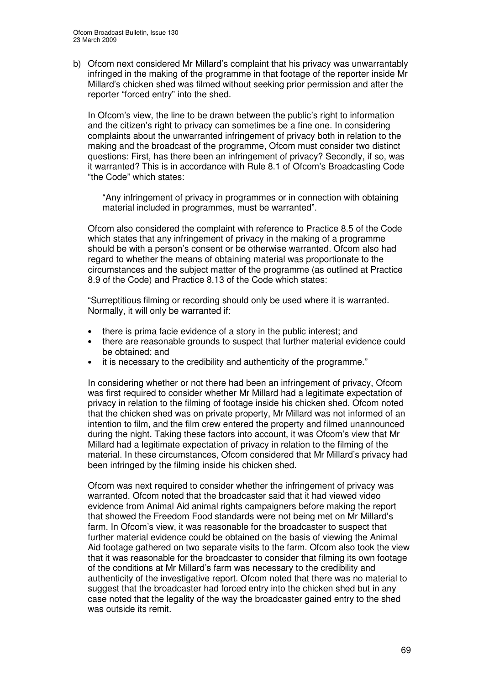b) Ofcom next considered Mr Millard's complaint that his privacy was unwarrantably infringed in the making of the programme in that footage of the reporter inside Mr Millard's chicken shed was filmed without seeking prior permission and after the reporter "forced entry" into the shed.

In Ofcom's view, the line to be drawn between the public's right to information and the citizen's right to privacy can sometimes be a fine one. In considering complaints about the unwarranted infringement of privacy both in relation to the making and the broadcast of the programme, Ofcom must consider two distinct questions: First, has there been an infringement of privacy? Secondly, if so, was it warranted? This is in accordance with Rule 8.1 of Ofcom's Broadcasting Code "the Code" which states:

"Any infringement of privacy in programmes or in connection with obtaining material included in programmes, must be warranted".

Ofcom also considered the complaint with reference to Practice 8.5 of the Code which states that any infringement of privacy in the making of a programme should be with a person's consent or be otherwise warranted. Ofcom also had regard to whether the means of obtaining material was proportionate to the circumstances and the subject matter of the programme (as outlined at Practice 8.9 of the Code) and Practice 8.13 of the Code which states:

"Surreptitious filming or recording should only be used where it is warranted. Normally, it will only be warranted if:

- there is prima facie evidence of a story in the public interest; and
- there are reasonable grounds to suspect that further material evidence could be obtained; and
- it is necessary to the credibility and authenticity of the programme."

In considering whether or not there had been an infringement of privacy, Ofcom was first required to consider whether Mr Millard had a legitimate expectation of privacy in relation to the filming of footage inside his chicken shed. Ofcom noted that the chicken shed was on private property, Mr Millard was not informed of an intention to film, and the film crew entered the property and filmed unannounced during the night. Taking these factors into account, it was Ofcom's view that Mr Millard had a legitimate expectation of privacy in relation to the filming of the material. In these circumstances, Ofcom considered that Mr Millard's privacy had been infringed by the filming inside his chicken shed.

Ofcom was next required to consider whether the infringement of privacy was warranted. Ofcom noted that the broadcaster said that it had viewed video evidence from Animal Aid animal rights campaigners before making the report that showed the Freedom Food standards were not being met on Mr Millard's farm. In Ofcom's view, it was reasonable for the broadcaster to suspect that further material evidence could be obtained on the basis of viewing the Animal Aid footage gathered on two separate visits to the farm. Ofcom also took the view that it was reasonable for the broadcaster to consider that filming its own footage of the conditions at Mr Millard's farm was necessary to the credibility and authenticity of the investigative report. Ofcom noted that there was no material to suggest that the broadcaster had forced entry into the chicken shed but in any case noted that the legality of the way the broadcaster gained entry to the shed was outside its remit.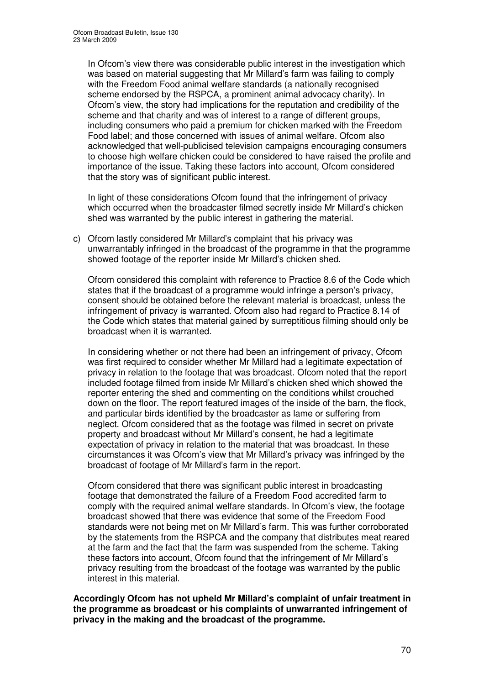In Ofcom's view there was considerable public interest in the investigation which was based on material suggesting that Mr Millard's farm was failing to comply with the Freedom Food animal welfare standards (a nationally recognised scheme endorsed by the RSPCA, a prominent animal advocacy charity). In Ofcom's view, the story had implications for the reputation and credibility of the scheme and that charity and was of interest to a range of different groups, including consumers who paid a premium for chicken marked with the Freedom Food label; and those concerned with issues of animal welfare. Ofcom also acknowledged that well-publicised television campaigns encouraging consumers to choose high welfare chicken could be considered to have raised the profile and importance of the issue. Taking these factors into account, Ofcom considered that the story was of significant public interest.

In light of these considerations Ofcom found that the infringement of privacy which occurred when the broadcaster filmed secretly inside Mr Millard's chicken shed was warranted by the public interest in gathering the material.

c) Ofcom lastly considered Mr Millard's complaint that his privacy was unwarrantably infringed in the broadcast of the programme in that the programme showed footage of the reporter inside Mr Millard's chicken shed.

Ofcom considered this complaint with reference to Practice 8.6 of the Code which states that if the broadcast of a programme would infringe a person's privacy, consent should be obtained before the relevant material is broadcast, unless the infringement of privacy is warranted. Ofcom also had regard to Practice 8.14 of the Code which states that material gained by surreptitious filming should only be broadcast when it is warranted.

In considering whether or not there had been an infringement of privacy, Ofcom was first required to consider whether Mr Millard had a legitimate expectation of privacy in relation to the footage that was broadcast. Ofcom noted that the report included footage filmed from inside Mr Millard's chicken shed which showed the reporter entering the shed and commenting on the conditions whilst crouched down on the floor. The report featured images of the inside of the barn, the flock, and particular birds identified by the broadcaster as lame or suffering from neglect. Ofcom considered that as the footage was filmed in secret on private property and broadcast without Mr Millard's consent, he had a legitimate expectation of privacy in relation to the material that was broadcast. In these circumstances it was Ofcom's view that Mr Millard's privacy was infringed by the broadcast of footage of Mr Millard's farm in the report.

Ofcom considered that there was significant public interest in broadcasting footage that demonstrated the failure of a Freedom Food accredited farm to comply with the required animal welfare standards. In Ofcom's view, the footage broadcast showed that there was evidence that some of the Freedom Food standards were not being met on Mr Millard's farm. This was further corroborated by the statements from the RSPCA and the company that distributes meat reared at the farm and the fact that the farm was suspended from the scheme. Taking these factors into account, Ofcom found that the infringement of Mr Millard's privacy resulting from the broadcast of the footage was warranted by the public interest in this material.

**Accordingly Ofcom has not upheld Mr Millard's complaint of unfair treatment in the programme as broadcast or his complaints of unwarranted infringement of privacy in the making and the broadcast of the programme.**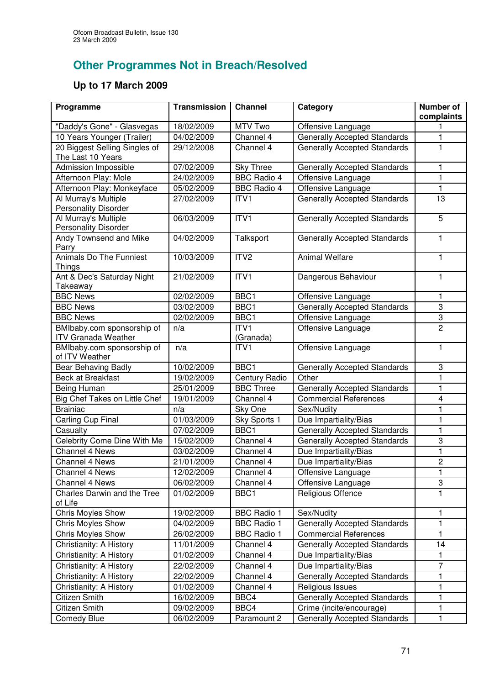# **Other Programmes Not in Breach/Resolved**

### **Up to 17 March 2009**

| Programme                                                | <b>Transmission</b> | <b>Channel</b>       | Category                            | Number of<br>complaints |
|----------------------------------------------------------|---------------------|----------------------|-------------------------------------|-------------------------|
| "Daddy's Gone" - Glasvegas                               | 18/02/2009          | MTV Two              | Offensive Language                  |                         |
| 10 Years Younger (Trailer)                               | 04/02/2009          | Channel 4            | <b>Generally Accepted Standards</b> | 1                       |
| 20 Biggest Selling Singles of<br>The Last 10 Years       | 29/12/2008          | Channel 4            | <b>Generally Accepted Standards</b> | 1                       |
| Admission Impossible                                     | 07/02/2009          | <b>Sky Three</b>     | <b>Generally Accepted Standards</b> | 1                       |
| Afternoon Play: Mole                                     | 24/02/2009          | <b>BBC Radio 4</b>   | Offensive Language                  | $\mathbf{1}$            |
| Afternoon Play: Monkeyface                               | 05/02/2009          | <b>BBC Radio 4</b>   | Offensive Language                  | 1                       |
| Al Murray's Multiple<br><b>Personality Disorder</b>      | 27/02/2009          | ITV <sub>1</sub>     | <b>Generally Accepted Standards</b> | 13                      |
| Al Murray's Multiple<br><b>Personality Disorder</b>      | 06/03/2009          | ITV1                 | <b>Generally Accepted Standards</b> | 5                       |
| Andy Townsend and Mike<br>Parry                          | 04/02/2009          | Talksport            | <b>Generally Accepted Standards</b> | 1                       |
| <b>Animals Do The Funniest</b><br><b>Things</b>          | 10/03/2009          | ITV <sub>2</sub>     | <b>Animal Welfare</b>               | 1                       |
| Ant & Dec's Saturday Night<br>Takeaway                   | 21/02/2009          | ITV <sub>1</sub>     | Dangerous Behaviour                 | 1                       |
| <b>BBC News</b>                                          | 02/02/2009          | BBC1                 | Offensive Language                  | 1                       |
| <b>BBC News</b>                                          | 03/02/2009          | BBC1                 | <b>Generally Accepted Standards</b> | 3                       |
| <b>BBC News</b>                                          | 02/02/2009          | BBC1                 | Offensive Language                  | 3                       |
| BMIbaby.com sponsorship of<br><b>ITV Granada Weather</b> | n/a                 | ITV1<br>(Granada)    | Offensive Language                  | $\overline{2}$          |
| BMIbaby.com sponsorship of<br>of ITV Weather             | n/a                 | ITV1                 | Offensive Language                  | 1                       |
| <b>Bear Behaving Badly</b>                               | 10/02/2009          | BBC1                 | <b>Generally Accepted Standards</b> | 3                       |
| <b>Beck at Breakfast</b>                                 | 19/02/2009          | <b>Century Radio</b> | Other                               | 1                       |
| Being Human                                              | 25/01/2009          | <b>BBC Three</b>     | <b>Generally Accepted Standards</b> | 1                       |
| Big Chef Takes on Little Chef                            | 19/01/2009          | Channel 4            | <b>Commercial References</b>        | $\overline{\mathbf{4}}$ |
| <b>Brainiac</b>                                          | n/a                 | Sky One              | Sex/Nudity                          | 1                       |
| Carling Cup Final                                        | 01/03/2009          | Sky Sports 1         | Due Impartiality/Bias               | 1                       |
| Casualty                                                 | 07/02/2009          | BBC1                 | <b>Generally Accepted Standards</b> | $\mathbf{1}$            |
| Celebrity Come Dine With Me                              | 15/02/2009          | Channel 4            | <b>Generally Accepted Standards</b> | 3                       |
| Channel 4 News                                           | 03/02/2009          | Channel 4            | Due Impartiality/Bias               | 1                       |
| Channel 4 News                                           | 21/01/2009          | Channel 4            | Due Impartiality/Bias               | $\overline{\mathbf{c}}$ |
| Channel 4 News                                           | 12/02/2009          | Channel 4            | Offensive Language                  | 1                       |
| Channel 4 News                                           | 06/02/2009          | Channel 4            | Offensive Language                  | 3                       |
| Charles Darwin and the Tree<br>of Life                   | 01/02/2009          | BBC1                 | <b>Religious Offence</b>            | 1                       |
| Chris Moyles Show                                        | 19/02/2009          | <b>BBC Radio 1</b>   | Sex/Nudity                          | 1                       |
| Chris Moyles Show                                        | 04/02/2009          | <b>BBC Radio 1</b>   | <b>Generally Accepted Standards</b> | 1                       |
| <b>Chris Moyles Show</b>                                 | 26/02/2009          | <b>BBC Radio 1</b>   | <b>Commercial References</b>        | 1                       |
| Christianity: A History                                  | 11/01/2009          | Channel 4            | <b>Generally Accepted Standards</b> | 14                      |
| Christianity: A History                                  | 01/02/2009          | Channel 4            | Due Impartiality/Bias               | 1                       |
| Christianity: A History                                  | 22/02/2009          | Channel 4            | Due Impartiality/Bias               | $\overline{7}$          |
| Christianity: A History                                  | 22/02/2009          | Channel 4            | <b>Generally Accepted Standards</b> | 1                       |
| Christianity: A History                                  | 01/02/2009          | Channel 4            | Religious Issues                    | 1                       |
| Citizen Smith                                            | 16/02/2009          | BBC4                 | <b>Generally Accepted Standards</b> | 1                       |
| Citizen Smith                                            | 09/02/2009          | BBC4                 | Crime (incite/encourage)            | 1                       |
| <b>Comedy Blue</b>                                       | 06/02/2009          | Paramount 2          | <b>Generally Accepted Standards</b> | 1                       |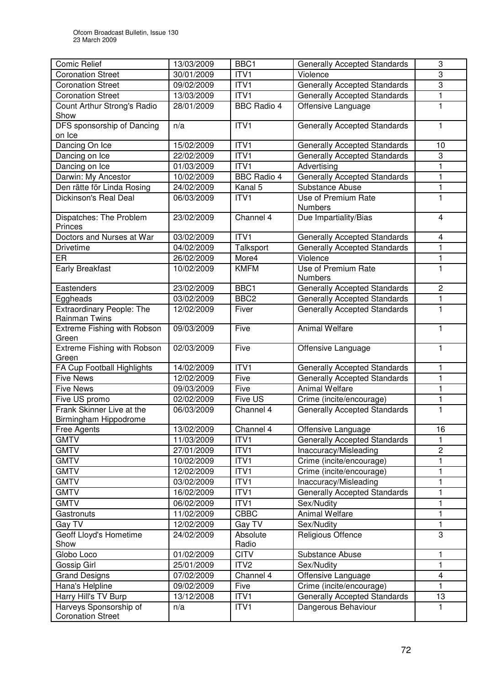| <b>Comic Relief</b>                                      | 13/03/2009 | BBC1               | <b>Generally Accepted Standards</b>   | 3              |
|----------------------------------------------------------|------------|--------------------|---------------------------------------|----------------|
| <b>Coronation Street</b>                                 | 30/01/2009 | ITV1               | Violence                              | 3              |
| <b>Coronation Street</b>                                 | 09/02/2009 | ITV1               | <b>Generally Accepted Standards</b>   | 3              |
| <b>Coronation Street</b>                                 | 13/03/2009 | ITV1               | <b>Generally Accepted Standards</b>   | $\mathbf{1}$   |
| Count Arthur Strong's Radio<br>Show                      | 28/01/2009 | <b>BBC Radio 4</b> | Offensive Language                    | $\mathbf{1}$   |
| DFS sponsorship of Dancing<br>on Ice                     | n/a        | ITV1               | <b>Generally Accepted Standards</b>   | 1              |
| Dancing On Ice                                           | 15/02/2009 | ITV1               | <b>Generally Accepted Standards</b>   | 10             |
| Dancing on Ice                                           | 22/02/2009 | ITV1               | <b>Generally Accepted Standards</b>   | 3              |
| Dancing on Ice                                           | 01/03/2009 | ITV1               | Advertising                           | 1              |
| Darwin: My Ancestor                                      | 10/02/2009 | <b>BBC Radio 4</b> | <b>Generally Accepted Standards</b>   | 1              |
| Den rätte för Linda Rosing                               | 24/02/2009 | Kanal 5            | Substance Abuse                       | $\mathbf{1}$   |
| Dickinson's Real Deal                                    | 06/03/2009 | ITV1               | Use of Premium Rate<br><b>Numbers</b> | $\mathbf{1}$   |
| Dispatches: The Problem<br>Princes                       | 23/02/2009 | Channel 4          | Due Impartiality/Bias                 | $\overline{4}$ |
| Doctors and Nurses at War                                | 03/02/2009 | ITVI               | <b>Generally Accepted Standards</b>   | 4              |
| <b>Drivetime</b>                                         | 04/02/2009 | Talksport          | <b>Generally Accepted Standards</b>   | $\mathbf{1}$   |
| ER                                                       | 26/02/2009 | More4              | Violence                              | 1              |
| Early Breakfast                                          | 10/02/2009 | <b>KMFM</b>        | Use of Premium Rate<br><b>Numbers</b> | 1              |
| Eastenders                                               | 23/02/2009 | BBC1               | <b>Generally Accepted Standards</b>   | $\overline{2}$ |
| Eggheads                                                 | 03/02/2009 | BBC <sub>2</sub>   | <b>Generally Accepted Standards</b>   | 1              |
| <b>Extraordinary People: The</b><br><b>Rainman Twins</b> | 12/02/2009 | Fiver              | <b>Generally Accepted Standards</b>   | $\mathbf{1}$   |
| Extreme Fishing with Robson<br>Green                     | 09/03/2009 | Five               | <b>Animal Welfare</b>                 | 1              |
| Extreme Fishing with Robson<br>Green                     | 02/03/2009 | Five               | Offensive Language                    | 1              |
| FA Cup Football Highlights                               | 14/02/2009 | ITV1               | <b>Generally Accepted Standards</b>   | 1              |
| <b>Five News</b>                                         | 12/02/2009 | Five               | <b>Generally Accepted Standards</b>   | 1              |
| <b>Five News</b>                                         | 09/03/2009 | Five               | <b>Animal Welfare</b>                 | $\mathbf{1}$   |
| Five US promo                                            | 02/02/2009 | Five US            | Crime (incite/encourage)              | 1              |
| Frank Skinner Live at the<br>Birmingham Hippodrome       | 06/03/2009 | Channel 4          | <b>Generally Accepted Standards</b>   | 1              |
| Free Agents                                              | 13/02/2009 | Channel 4          | Offensive Language                    | 16             |
| <b>GMTV</b>                                              | 11/03/2009 | ITV1               | <b>Generally Accepted Standards</b>   | 1              |
| <b>GMTV</b>                                              | 27/01/2009 | ITV1               | Inaccuracy/Misleading                 | $\overline{c}$ |
| <b>GMTV</b>                                              | 10/02/2009 | <b>ITV1</b>        | Crime (incite/encourage)              | 1              |
| <b>GMTV</b>                                              | 12/02/2009 | ITV1               | Crime (incite/encourage)              | 1              |
| <b>GMTV</b>                                              | 03/02/2009 | ITV1               | Inaccuracy/Misleading                 | $\mathbf{1}$   |
| <b>GMTV</b>                                              | 16/02/2009 | ITV1               | <b>Generally Accepted Standards</b>   | 1              |
| <b>GMTV</b>                                              | 06/02/2009 | ITV1               | Sex/Nudity                            | 1              |
| Gastronuts                                               | 11/02/2009 | <b>CBBC</b>        | <b>Animal Welfare</b>                 | $\mathbf{1}$   |
| Gay TV                                                   | 12/02/2009 | Gay TV             | Sex/Nudity                            | 1              |
| Geoff Lloyd's Hometime<br>Show                           | 24/02/2009 | Absolute<br>Radio  | Religious Offence                     | 3              |
| Globo Loco                                               | 01/02/2009 | <b>CITV</b>        | Substance Abuse                       | 1              |
| Gossip Girl                                              | 25/01/2009 | ITV <sub>2</sub>   | Sex/Nudity                            | $\mathbf{1}$   |
| <b>Grand Designs</b>                                     | 07/02/2009 | Channel 4          | Offensive Language                    | 4              |
| Hana's Helpline                                          | 09/02/2009 | Five               | Crime (incite/encourage)              | 1              |
| Harry Hill's TV Burp                                     | 13/12/2008 | ITV1               | <b>Generally Accepted Standards</b>   | 13             |
| Harveys Sponsorship of<br><b>Coronation Street</b>       | n/a        | ITV1               | Dangerous Behaviour                   | $\mathbf{1}$   |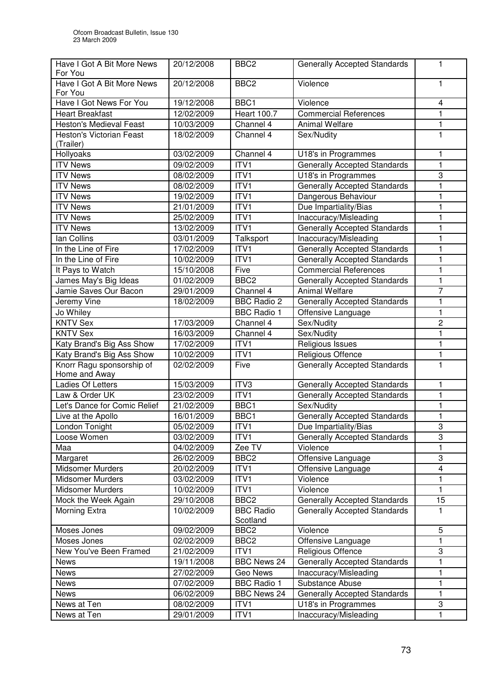| Have I Got A Bit More News<br>For You | 20/12/2008 | BBC <sub>2</sub>   | <b>Generally Accepted Standards</b>                          | 1                       |
|---------------------------------------|------------|--------------------|--------------------------------------------------------------|-------------------------|
| Have I Got A Bit More News            | 20/12/2008 | BBC <sub>2</sub>   | Violence                                                     | 1                       |
| For You                               |            |                    |                                                              |                         |
| Have I Got News For You               | 19/12/2008 | BBC1               | Violence                                                     | 4                       |
| <b>Heart Breakfast</b>                | 12/02/2009 | <b>Heart 100.7</b> | <b>Commercial References</b>                                 | 1                       |
| <b>Heston's Medieval Feast</b>        | 10/03/2009 | Channel 4          | <b>Animal Welfare</b>                                        | $\mathbf{1}$            |
| <b>Heston's Victorian Feast</b>       | 18/02/2009 | Channel 4          | Sex/Nudity                                                   | $\mathbf{1}$            |
| (Trailer)                             |            |                    |                                                              |                         |
| Hollyoaks                             | 03/02/2009 | Channel 4          | U18's in Programmes                                          | 1                       |
| <b>ITV News</b>                       | 09/02/2009 | ITV1               | <b>Generally Accepted Standards</b>                          | $\mathbf{1}$            |
| <b>ITV News</b>                       | 08/02/2009 | ITV1               | U18's in Programmes                                          | 3                       |
| <b>ITV News</b>                       | 08/02/2009 | ITV1               | <b>Generally Accepted Standards</b>                          | 1                       |
| <b>ITV News</b>                       | 19/02/2009 | ITV1               | Dangerous Behaviour                                          | $\mathbf{1}$            |
| <b>ITV News</b>                       | 21/01/2009 | ITV1               | Due Impartiality/Bias                                        | 1                       |
| <b>ITV News</b>                       | 25/02/2009 | ITV1               | Inaccuracy/Misleading                                        | 1                       |
| <b>ITV News</b>                       | 13/02/2009 | ITV1               | <b>Generally Accepted Standards</b>                          | $\mathbf{1}$            |
| lan Collins                           | 03/01/2009 | Talksport          | Inaccuracy/Misleading                                        | 1                       |
| In the Line of Fire                   | 17/02/2009 | ITV1               | Generally Accepted Standards                                 | 1                       |
| In the Line of Fire                   | 10/02/2009 | ITV1               | <b>Generally Accepted Standards</b>                          | 1                       |
| It Pays to Watch                      | 15/10/2008 | Five               | <b>Commercial References</b>                                 | 1                       |
| James May's Big Ideas                 | 01/02/2009 | BBC <sub>2</sub>   |                                                              | $\mathbf{1}$            |
| Jamie Saves Our Bacon                 | 29/01/2009 | Channel 4          | <b>Generally Accepted Standards</b><br><b>Animal Welfare</b> | $\overline{7}$          |
|                                       |            |                    |                                                              |                         |
| Jeremy Vine                           | 18/02/2009 | <b>BBC Radio 2</b> | <b>Generally Accepted Standards</b>                          | 1                       |
| Jo Whiley                             |            | <b>BBC Radio 1</b> | Offensive Language                                           | $\mathbf{1}$            |
| <b>KNTV Sex</b>                       | 17/03/2009 | Channel 4          | Sex/Nudity                                                   | $\overline{c}$          |
| <b>KNTV Sex</b>                       | 16/03/2009 | Channel 4          | Sex/Nudity                                                   | 1                       |
| Katy Brand's Big Ass Show             | 17/02/2009 | ITV1               | Religious Issues                                             | $\mathbf{1}$            |
| Katy Brand's Big Ass Show             | 10/02/2009 | ITV <sub>1</sub>   | Religious Offence                                            | $\mathbf{1}$            |
| Knorr Ragu sponsorship of             | 02/02/2009 | Five               | <b>Generally Accepted Standards</b>                          | 1                       |
| Home and Away                         |            |                    |                                                              |                         |
| Ladies Of Letters                     | 15/03/2009 | ITV3               | <b>Generally Accepted Standards</b>                          | 1                       |
| Law & Order UK                        | 23/02/2009 | ITVI               | <b>Generally Accepted Standards</b>                          | 1                       |
| Let's Dance for Comic Relief          | 21/02/2009 | BBC1               | Sex/Nudity                                                   | 1                       |
| Live at the Apollo                    | 16/01/2009 | BBC1               | <b>Generally Accepted Standards</b>                          | 1                       |
| London Tonight                        | 05/02/2009 | ITV1               | Due Impartiality/Bias                                        | 3                       |
| Loose Women                           | 03/02/2009 | ITV1               | <b>Generally Accepted Standards</b>                          | 3                       |
| Maa                                   | 04/02/2009 | Zee TV             | Violence                                                     | $\mathbf{1}$            |
| Margaret                              | 26/02/2009 | BBC <sub>2</sub>   | Offensive Language                                           | 3                       |
| Midsomer Murders                      | 20/02/2009 | ITV1               | Offensive Language                                           | $\overline{\mathbf{4}}$ |
| <b>Midsomer Murders</b>               | 03/02/2009 | ITV1               | Violence                                                     | 1                       |
| <b>Midsomer Murders</b>               | 10/02/2009 | ITV1               | Violence                                                     | 1                       |
| Mock the Week Again                   | 29/10/2008 | BBC <sub>2</sub>   | <b>Generally Accepted Standards</b>                          | 15                      |
| Morning Extra                         | 10/02/2009 | <b>BBC Radio</b>   | <b>Generally Accepted Standards</b>                          | 1                       |
|                                       |            | Scotland           |                                                              |                         |
| Moses Jones                           | 09/02/2009 | BBC <sub>2</sub>   | Violence                                                     | $\overline{5}$          |
| Moses Jones                           | 02/02/2009 | BBC <sub>2</sub>   | Offensive Language                                           | 1                       |
| New You've Been Framed                | 21/02/2009 | ITV1               | Religious Offence                                            | 3                       |
| <b>News</b>                           | 19/11/2008 | BBC News 24        | Generally Accepted Standards                                 | 1                       |
| <b>News</b>                           | 27/02/2009 | Geo News           | Inaccuracy/Misleading                                        | 1                       |
| News                                  | 07/02/2009 | <b>BBC</b> Radio 1 | Substance Abuse                                              | $\mathbf{1}$            |
| <b>News</b>                           | 06/02/2009 | <b>BBC News 24</b> | Generally Accepted Standards                                 | 1                       |
| News at Ten                           | 08/02/2009 | ITV1               | U18's in Programmes                                          | 3                       |
| News at Ten                           | 29/01/2009 | ITV1               | Inaccuracy/Misleading                                        | 1                       |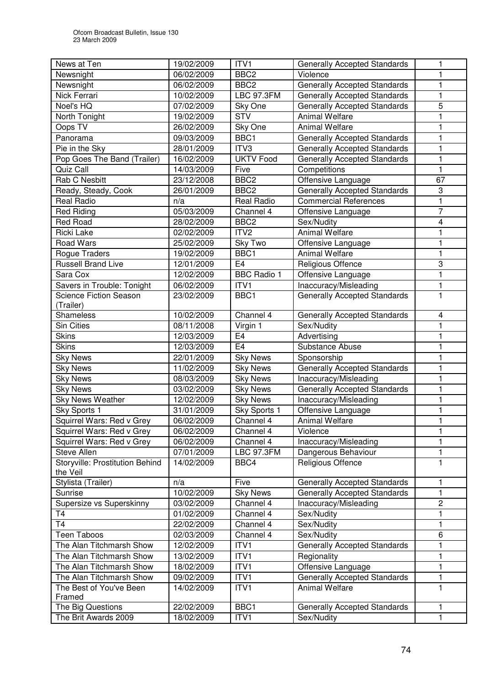| News at Ten                     | 19/02/2009 | ITV1               | <b>Generally Accepted Standards</b> | 1                       |
|---------------------------------|------------|--------------------|-------------------------------------|-------------------------|
| Newsnight                       | 06/02/2009 | BBC <sub>2</sub>   | Violence                            | 1                       |
| Newsnight                       | 06/02/2009 | BBC <sub>2</sub>   | Generally Accepted Standards        | 1                       |
| Nick Ferrari                    | 10/02/2009 | <b>LBC 97.3FM</b>  | <b>Generally Accepted Standards</b> | 1                       |
| Noel's HQ                       | 07/02/2009 | Sky One            | <b>Generally Accepted Standards</b> | 5                       |
| North Tonight                   | 19/02/2009 | <b>STV</b>         | <b>Animal Welfare</b>               |                         |
| Oops TV                         | 26/02/2009 | Sky One            | <b>Animal Welfare</b>               |                         |
| Panorama                        | 09/03/2009 | BBC1               | <b>Generally Accepted Standards</b> | 1                       |
| Pie in the Sky                  | 28/01/2009 | ITV3               | <b>Generally Accepted Standards</b> | 1                       |
| Pop Goes The Band (Trailer)     | 16/02/2009 | <b>UKTV Food</b>   | <b>Generally Accepted Standards</b> | $\mathbf{1}$            |
| Quiz Call                       | 14/03/2009 | Five               | Competitions                        | 1                       |
| Rab C Nesbitt                   | 23/12/2008 | BBC <sub>2</sub>   | Offensive Language                  | 67                      |
| Ready, Steady, Cook             | 26/01/2009 | BBC <sub>2</sub>   | <b>Generally Accepted Standards</b> | 3                       |
| Real Radio                      | n/a        | Real Radio         | Commercial References               | 1                       |
| <b>Red Riding</b>               | 05/03/2009 | Channel 4          | Offensive Language                  | 7                       |
| <b>Red Road</b>                 | 28/02/2009 | BBC <sub>2</sub>   | Sex/Nudity                          | 4                       |
| <b>Ricki Lake</b>               | 02/02/2009 | ITV <sub>2</sub>   | <b>Animal Welfare</b>               | 1                       |
| <b>Road Wars</b>                | 25/02/2009 | Sky Two            | Offensive Language                  | 1                       |
| Rogue Traders                   | 19/02/2009 | BBC1               | <b>Animal Welfare</b>               | 1                       |
| <b>Russell Brand Live</b>       | 12/01/2009 | E <sub>4</sub>     | Religious Offence                   | 3                       |
| Sara Cox                        | 12/02/2009 | <b>BBC Radio 1</b> | Offensive Language                  | $\mathbf{1}$            |
| Savers in Trouble: Tonight      | 06/02/2009 | ITV1               | Inaccuracy/Misleading               | 1                       |
| <b>Science Fiction Season</b>   | 23/02/2009 | BBC1               | <b>Generally Accepted Standards</b> | 1                       |
| (Trailer)                       |            |                    |                                     |                         |
| Shameless                       | 10/02/2009 | Channel 4          | <b>Generally Accepted Standards</b> | 4                       |
| <b>Sin Cities</b>               | 08/11/2008 | Virgin 1           | Sex/Nudity                          | 1                       |
| <b>Skins</b>                    | 12/03/2009 | E <sub>4</sub>     | Advertising                         | 1                       |
| <b>Skins</b>                    | 12/03/2009 | E <sub>4</sub>     | Substance Abuse                     | 1                       |
| <b>Sky News</b>                 | 22/01/2009 | <b>Sky News</b>    | Sponsorship                         | 1                       |
| <b>Sky News</b>                 | 11/02/2009 | <b>Sky News</b>    | <b>Generally Accepted Standards</b> | 1                       |
| <b>Sky News</b>                 | 08/03/2009 | <b>Sky News</b>    | Inaccuracy/Misleading               | 1                       |
| <b>Sky News</b>                 | 03/02/2009 | <b>Sky News</b>    | <b>Generally Accepted Standards</b> | 1                       |
| <b>Sky News Weather</b>         | 12/02/2009 | <b>Sky News</b>    | Inaccuracy/Misleading               |                         |
| Sky Sports 1                    | 31/01/2009 | Sky Sports 1       | Offensive Language                  | 1                       |
| Squirrel Wars: Red v Grey       | 06/02/2009 | Channel 4          | Animal Welfare                      |                         |
| Squirrel Wars: Red v Grey       | 06/02/2009 | Channel 4          | Violence                            | 1                       |
| Squirrel Wars: Red v Grey       | 06/02/2009 | Channel 4          | Inaccuracy/Misleading               | 1                       |
| Steve Allen                     | 07/01/2009 | <b>LBC 97.3FM</b>  | Dangerous Behaviour                 | 1                       |
| Storyville: Prostitution Behind | 14/02/2009 | BBC4               | Religious Offence                   | 1                       |
| the Veil                        |            |                    |                                     |                         |
| Stylista (Trailer)              | n/a        | Five               | <b>Generally Accepted Standards</b> | 1                       |
| Sunrise                         | 10/02/2009 | <b>Sky News</b>    | <b>Generally Accepted Standards</b> | 1                       |
| Supersize vs Superskinny        | 03/02/2009 | Channel 4          | Inaccuracy/Misleading               | $\overline{\mathbf{c}}$ |
| T4                              | 01/02/2009 | Channel 4          | Sex/Nudity                          | 1                       |
| <b>T4</b>                       | 22/02/2009 | Channel 4          | Sex/Nudity                          | 1                       |
| Teen Taboos                     | 02/03/2009 | Channel 4          | Sex/Nudity                          | 6                       |
| The Alan Titchmarsh Show        | 12/02/2009 | ITV1               | <b>Generally Accepted Standards</b> | 1                       |
| The Alan Titchmarsh Show        | 13/02/2009 | ITV1               | Regionality                         | 1                       |
| The Alan Titchmarsh Show        | 18/02/2009 | ITV1               | Offensive Language                  | 1                       |
| The Alan Titchmarsh Show        | 09/02/2009 | ITV1               | <b>Generally Accepted Standards</b> | $\mathbf{1}$            |
| The Best of You've Been         | 14/02/2009 | ITV1               | <b>Animal Welfare</b>               | 1                       |
| Framed                          |            |                    |                                     |                         |
| The Big Questions               | 22/02/2009 | BBC1               | <b>Generally Accepted Standards</b> | 1                       |
| The Brit Awards 2009            | 18/02/2009 | ITV1               | Sex/Nudity                          | $\mathbf{1}$            |